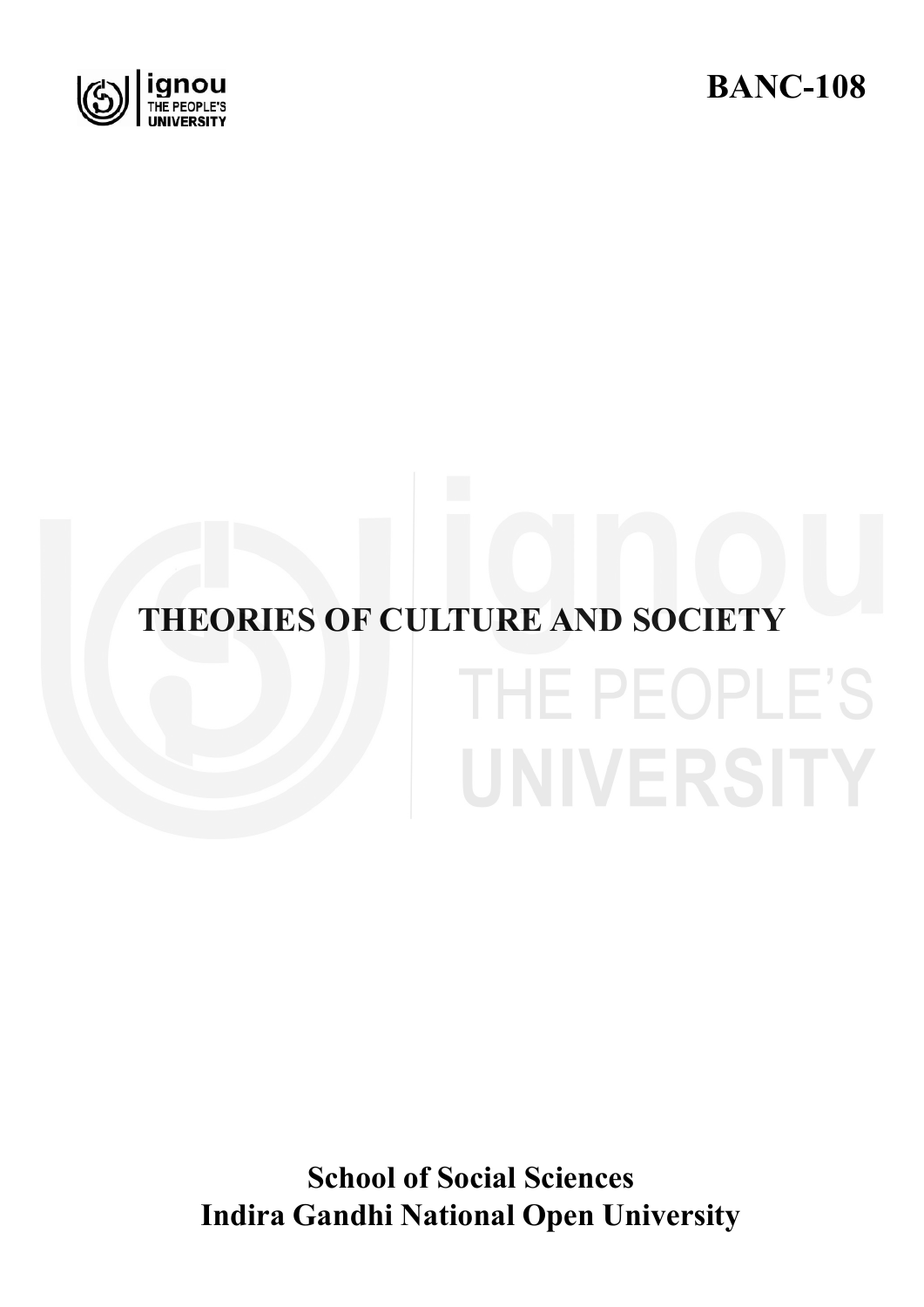



## **THEORIES OF CULTURE AND SOCIETY** THE PEOPLE'S UNIVERSITY

**School of Social Sciences Indira Gandhi National Open University**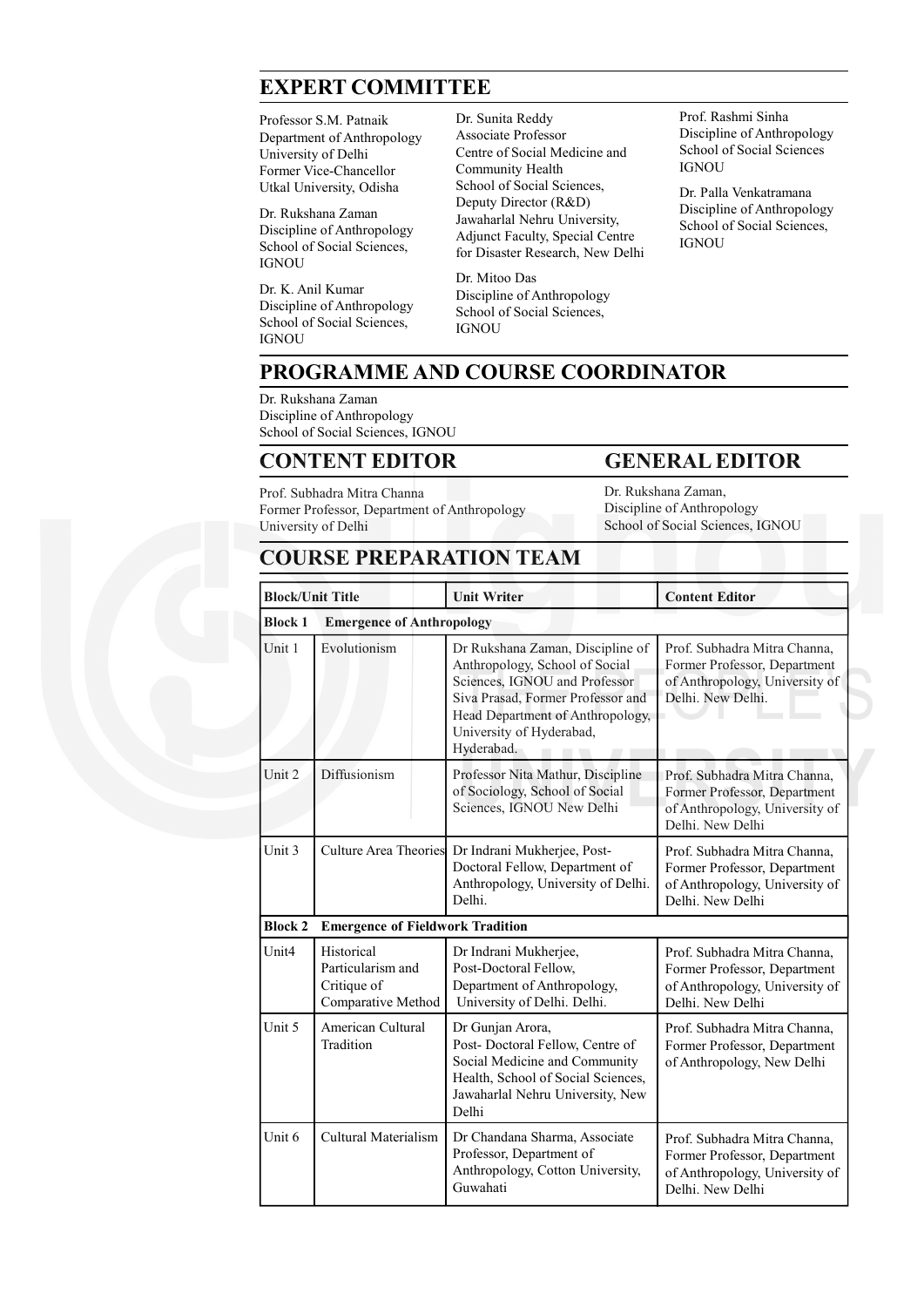## **EXPERT COMMITTEE**

Professor S.M. Patnaik Department of Anthropology University of Delhi Former Vice-Chancellor Utkal University, Odisha

Dr. Rukshana Zaman Discipline of Anthropology School of Social Sciences, IGNOU

Dr. K. Anil Kumar Discipline of Anthropology School of Social Sciences, IGNOU

Dr. Sunita Reddy Associate Professor Centre of Social Medicine and Community Health School of Social Sciences, Deputy Director (R&D) Jawaharlal Nehru University, Adjunct Faculty, Special Centre for Disaster Research, New Delhi

Dr. Mitoo Das Discipline of Anthropology School of Social Sciences, IGNOU

Prof. Rashmi Sinha Discipline of Anthropology School of Social Sciences IGNOU

Dr. Palla Venkatramana Discipline of Anthropology School of Social Sciences, IGNOU

## **PROGRAMME AND COURSE COORDINATOR**

Dr. Rukshana Zaman Discipline of Anthropology School of Social Sciences, IGNOU

## **CONTENT EDITOR GENERAL EDITOR**

Prof. Subhadra Mitra Channa Former Professor, Department of Anthropology University of Delhi

Dr. Rukshana Zaman, Discipline of Anthropology School of Social Sciences, IGNOU

## **COURSE PREPARATION TEAM**

| <b>Block/Unit Title</b>                            |                                                                      | <b>Unit Writer</b>                                                                                                                                                                                                     | <b>Content Editor</b>                                                                                               |  |  |
|----------------------------------------------------|----------------------------------------------------------------------|------------------------------------------------------------------------------------------------------------------------------------------------------------------------------------------------------------------------|---------------------------------------------------------------------------------------------------------------------|--|--|
| <b>Block 1</b><br><b>Emergence of Anthropology</b> |                                                                      |                                                                                                                                                                                                                        |                                                                                                                     |  |  |
| Unit 1                                             | Evolutionism                                                         | Dr Rukshana Zaman, Discipline of<br>Anthropology, School of Social<br>Sciences, IGNOU and Professor<br>Siva Prasad, Former Professor and<br>Head Department of Anthropology,<br>University of Hyderabad,<br>Hyderabad. | Prof. Subhadra Mitra Channa,<br>Former Professor, Department<br>of Anthropology, University of<br>Delhi. New Delhi. |  |  |
| Unit 2                                             | Diffusionism                                                         | Professor Nita Mathur, Discipline<br>of Sociology, School of Social<br>Sciences, IGNOU New Delhi                                                                                                                       | Prof. Subhadra Mitra Channa.<br>Former Professor, Department<br>of Anthropology, University of<br>Delhi. New Delhi  |  |  |
| Unit 3                                             | <b>Culture Area Theories</b>                                         | Dr Indrani Mukherjee, Post-<br>Doctoral Fellow, Department of<br>Anthropology, University of Delhi.<br>Delhi.                                                                                                          | Prof. Subhadra Mitra Channa,<br>Former Professor, Department<br>of Anthropology, University of<br>Delhi. New Delhi  |  |  |
| <b>Block 2</b>                                     | <b>Emergence of Fieldwork Tradition</b>                              |                                                                                                                                                                                                                        |                                                                                                                     |  |  |
| Unit4                                              | Historical<br>Particularism and<br>Critique of<br>Comparative Method | Dr Indrani Mukherjee,<br>Post-Doctoral Fellow,<br>Department of Anthropology,<br>University of Delhi. Delhi.                                                                                                           | Prof. Subhadra Mitra Channa,<br>Former Professor, Department<br>of Anthropology, University of<br>Delhi. New Delhi  |  |  |
| Unit 5                                             | American Cultural<br>Tradition                                       | Dr Gunjan Arora,<br>Post- Doctoral Fellow, Centre of<br>Social Medicine and Community<br>Health, School of Social Sciences,<br>Jawaharlal Nehru University, New<br>Delhi                                               | Prof. Subhadra Mitra Channa,<br>Former Professor, Department<br>of Anthropology, New Delhi                          |  |  |
| Unit 6                                             | Cultural Materialism                                                 | Dr Chandana Sharma, Associate<br>Professor, Department of<br>Anthropology, Cotton University,<br>Guwahati                                                                                                              | Prof. Subhadra Mitra Channa.<br>Former Professor, Department<br>of Anthropology, University of<br>Delhi. New Delhi  |  |  |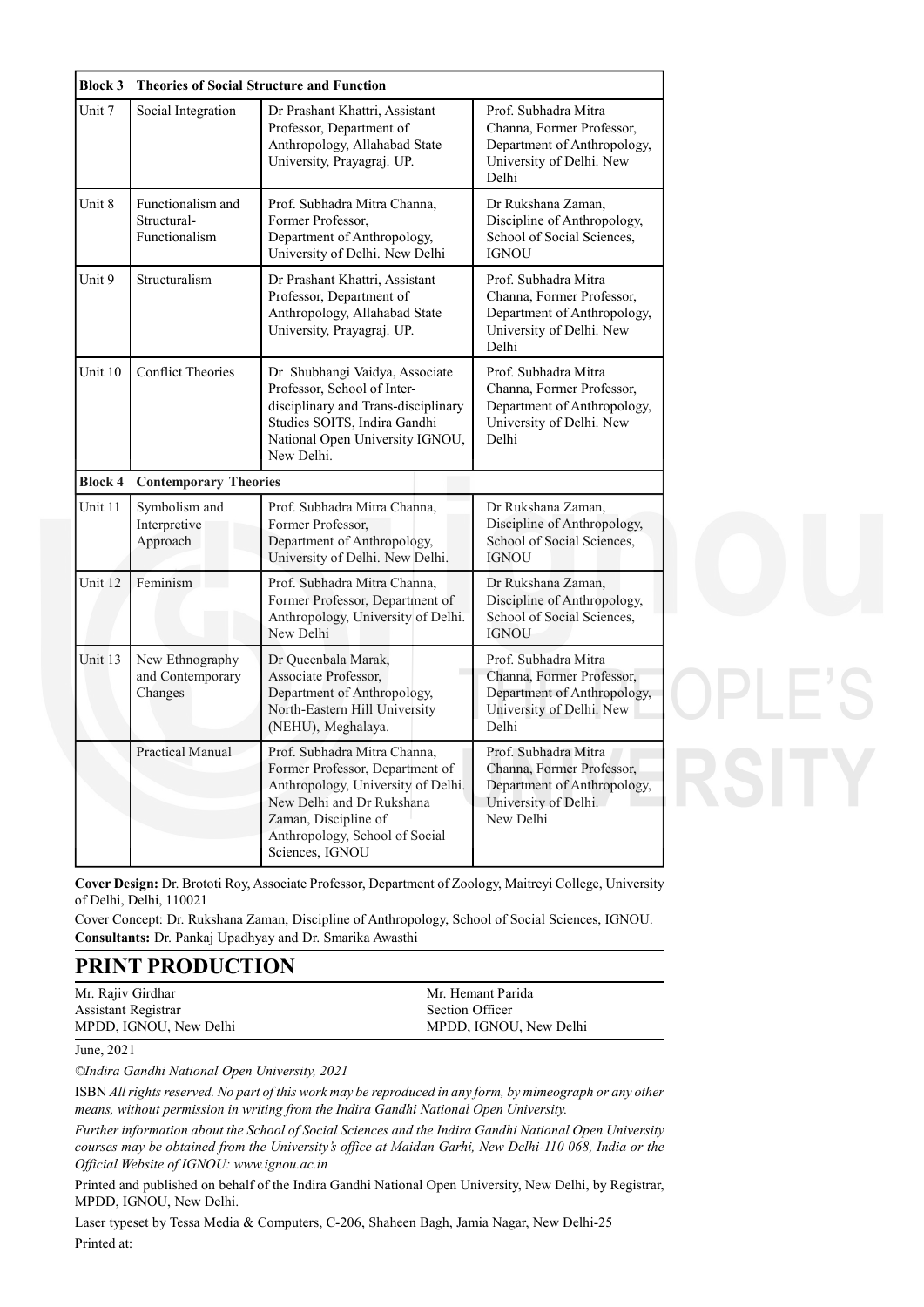| <b>Block 3</b> | <b>Theories of Social Structure and Function</b>  |                                                                                                                                                                                                                 |                                                                                                                       |  |  |  |
|----------------|---------------------------------------------------|-----------------------------------------------------------------------------------------------------------------------------------------------------------------------------------------------------------------|-----------------------------------------------------------------------------------------------------------------------|--|--|--|
| Unit 7         | Social Integration                                | Dr Prashant Khattri, Assistant<br>Professor, Department of<br>Anthropology, Allahabad State<br>University, Prayagraj. UP.                                                                                       | Prof. Subhadra Mitra<br>Channa, Former Professor,<br>Department of Anthropology,<br>University of Delhi. New<br>Delhi |  |  |  |
| Unit 8         | Functionalism and<br>Structural-<br>Functionalism | Prof. Subhadra Mitra Channa.<br>Former Professor,<br>Department of Anthropology,<br>University of Delhi. New Delhi                                                                                              | Dr Rukshana Zaman,<br>Discipline of Anthropology,<br>School of Social Sciences,<br><b>IGNOU</b>                       |  |  |  |
| Unit 9         | Structuralism                                     | Dr Prashant Khattri, Assistant<br>Professor, Department of<br>Anthropology, Allahabad State<br>University, Prayagraj. UP.                                                                                       | Prof. Subhadra Mitra<br>Channa, Former Professor,<br>Department of Anthropology,<br>University of Delhi. New<br>Delhi |  |  |  |
| Unit 10        | <b>Conflict Theories</b>                          | Dr Shubhangi Vaidya, Associate<br>Professor, School of Inter-<br>disciplinary and Trans-disciplinary<br>Studies SOITS, Indira Gandhi<br>National Open University IGNOU,<br>New Delhi.                           | Prof. Subhadra Mitra<br>Channa, Former Professor,<br>Department of Anthropology,<br>University of Delhi. New<br>Delhi |  |  |  |
| <b>Block 4</b> | <b>Contemporary Theories</b>                      |                                                                                                                                                                                                                 |                                                                                                                       |  |  |  |
| Unit 11        | Symbolism and<br>Interpretive<br>Approach         | Prof. Subhadra Mitra Channa,<br>Former Professor,<br>Department of Anthropology,<br>University of Delhi. New Delhi.                                                                                             | Dr Rukshana Zaman,<br>Discipline of Anthropology,<br>School of Social Sciences,<br><b>IGNOU</b>                       |  |  |  |
| Unit 12        | Feminism                                          | Prof. Subhadra Mitra Channa,<br>Former Professor, Department of<br>Anthropology, University of Delhi.<br>New Delhi                                                                                              | Dr Rukshana Zaman,<br>Discipline of Anthropology,<br>School of Social Sciences,<br><b>IGNOU</b>                       |  |  |  |
| Unit 13        | New Ethnography<br>and Contemporary<br>Changes    | Dr Queenbala Marak,<br>Associate Professor,<br>Department of Anthropology,<br>North-Eastern Hill University<br>(NEHU), Meghalaya.                                                                               | Prof. Subhadra Mitra<br>Channa, Former Professor,<br>Department of Anthropology,<br>University of Delhi. New<br>Delhi |  |  |  |
|                | <b>Practical Manual</b>                           | Prof. Subhadra Mitra Channa,<br>Former Professor, Department of<br>Anthropology, University of Delhi.<br>New Delhi and Dr Rukshana<br>Zaman, Discipline of<br>Anthropology, School of Social<br>Sciences, IGNOU | Prof. Subhadra Mitra<br>Channa, Former Professor,<br>Department of Anthropology,<br>University of Delhi.<br>New Delhi |  |  |  |

**Cover Design:** Dr. Brototi Roy, Associate Professor, Department of Zoology, Maitreyi College, University of Delhi, Delhi, 110021

Cover Concept: Dr. Rukshana Zaman, Discipline of Anthropology, School of Social Sciences, IGNOU. **Consultants:** Dr. Pankaj Upadhyay and Dr. Smarika Awasthi

## **PRINT PRODUCTION**

| Mr. Rajiv Girdhar      | Mr. Hemant Parida      |
|------------------------|------------------------|
| Assistant Registrar    | Section Officer        |
| MPDD, IGNOU, New Delhi | MPDD, IGNOU, New Delhi |

June, 2021

*©Indira Gandhi National Open University, 2021*

ISBN *All rights reserved. No part of this work may be reproduced in any form, by mimeograph or any other means, without permission in writing from the Indira Gandhi National Open University.*

*Further information about the School of Social Sciences and the Indira Gandhi National Open University courses may be obtained from the University's office at Maidan Garhi, New Delhi-110 068, India or the Official Website of IGNOU: www.ignou.ac.in*

Printed and published on behalf of the Indira Gandhi National Open University, New Delhi, by Registrar, MPDD, IGNOU, New Delhi.

Laser typeset by Tessa Media & Computers, C-206, Shaheen Bagh, Jamia Nagar, New Delhi-25 Printed at: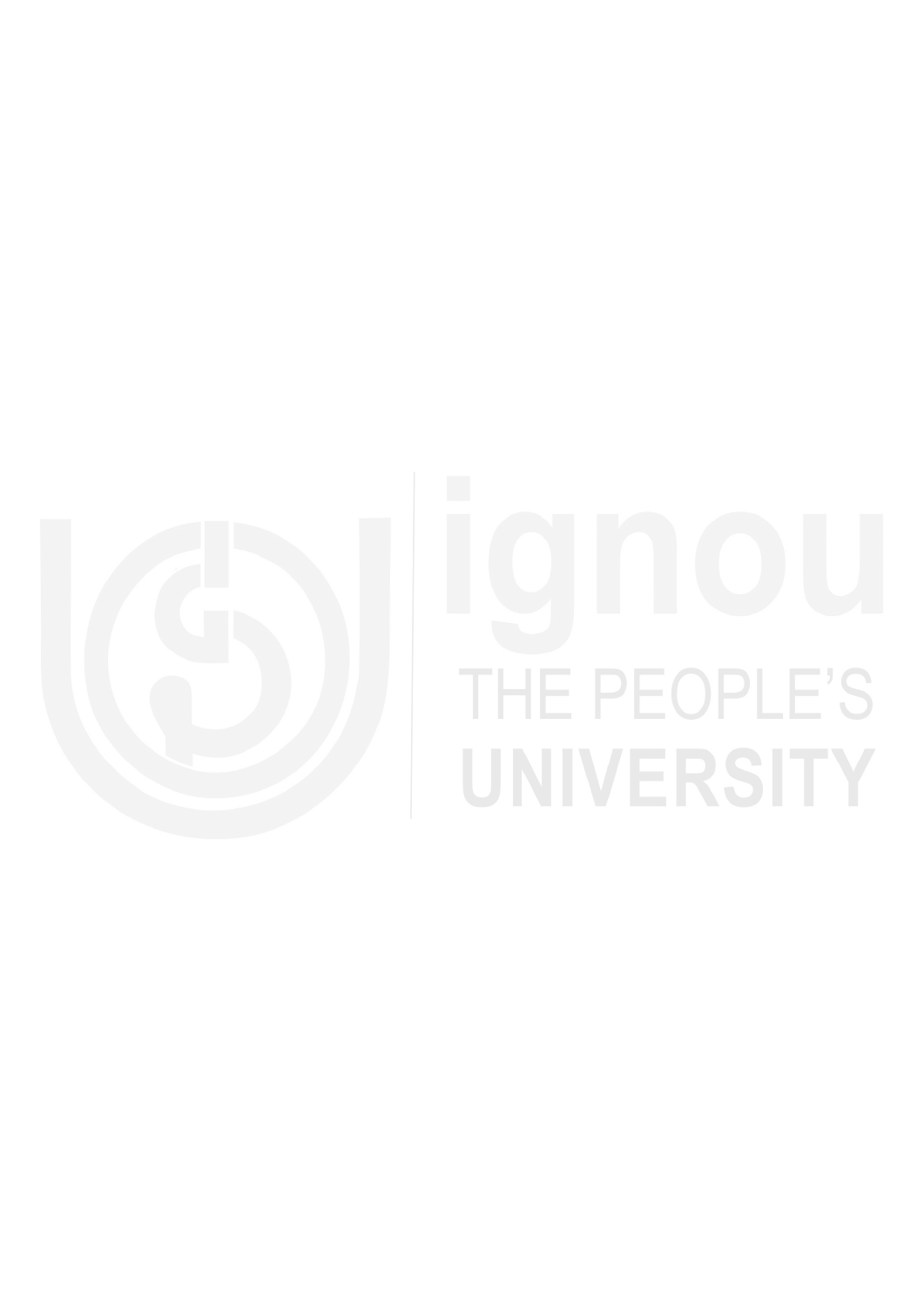

# THE PEOPLE'S UNIVERSITY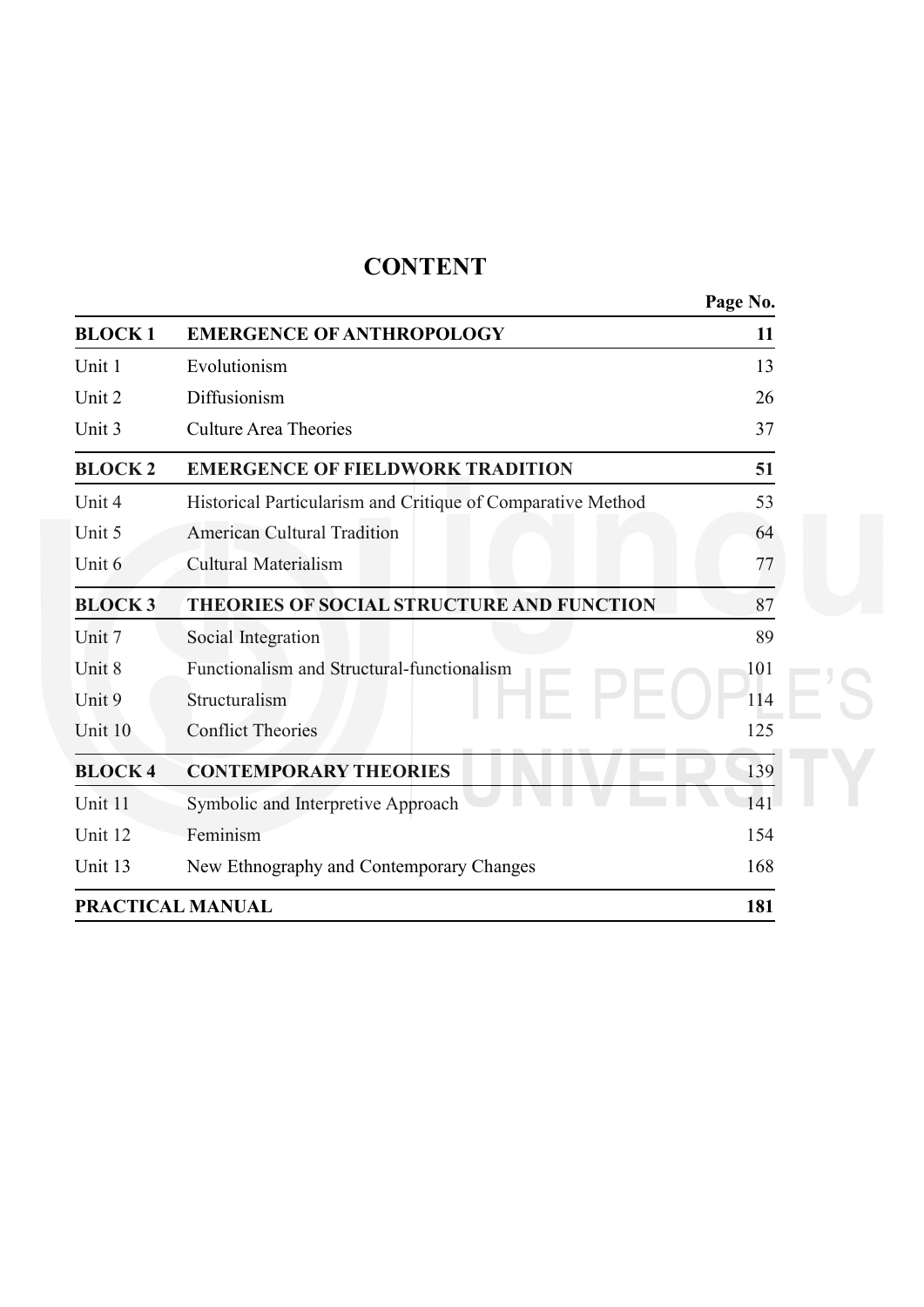## **CONTENT**

|               |                                                             | Page No. |  |
|---------------|-------------------------------------------------------------|----------|--|
| <b>BLOCK1</b> | <b>EMERGENCE OF ANTHROPOLOGY</b>                            | 11       |  |
| Unit 1        | Evolutionism                                                | 13       |  |
| Unit 2        | Diffusionism                                                | 26       |  |
| Unit 3        | <b>Culture Area Theories</b>                                |          |  |
| <b>BLOCK2</b> | <b>EMERGENCE OF FIELDWORK TRADITION</b>                     | 51       |  |
| Unit 4        | Historical Particularism and Critique of Comparative Method | 53       |  |
| Unit 5        | <b>American Cultural Tradition</b>                          | 64       |  |
| Unit 6        | <b>Cultural Materialism</b>                                 | 77       |  |
| <b>BLOCK3</b> | <b>THEORIES OF SOCIAL STRUCTURE AND FUNCTION</b>            | 87       |  |
| Unit 7        | Social Integration                                          | 89       |  |
| Unit 8        | Functionalism and Structural-functionalism                  | 101      |  |
| Unit 9        | Structuralism                                               | 114      |  |
| Unit 10       | <b>Conflict Theories</b>                                    | 125      |  |
| <b>BLOCK4</b> | <b>CONTEMPORARY THEORIES</b>                                | 139      |  |
| Unit 11       | Symbolic and Interpretive Approach                          | 141      |  |
| Unit 12       | Feminism                                                    | 154      |  |
| Unit 13       | New Ethnography and Contemporary Changes                    |          |  |
|               | PRACTICAL MANUAL                                            | 181      |  |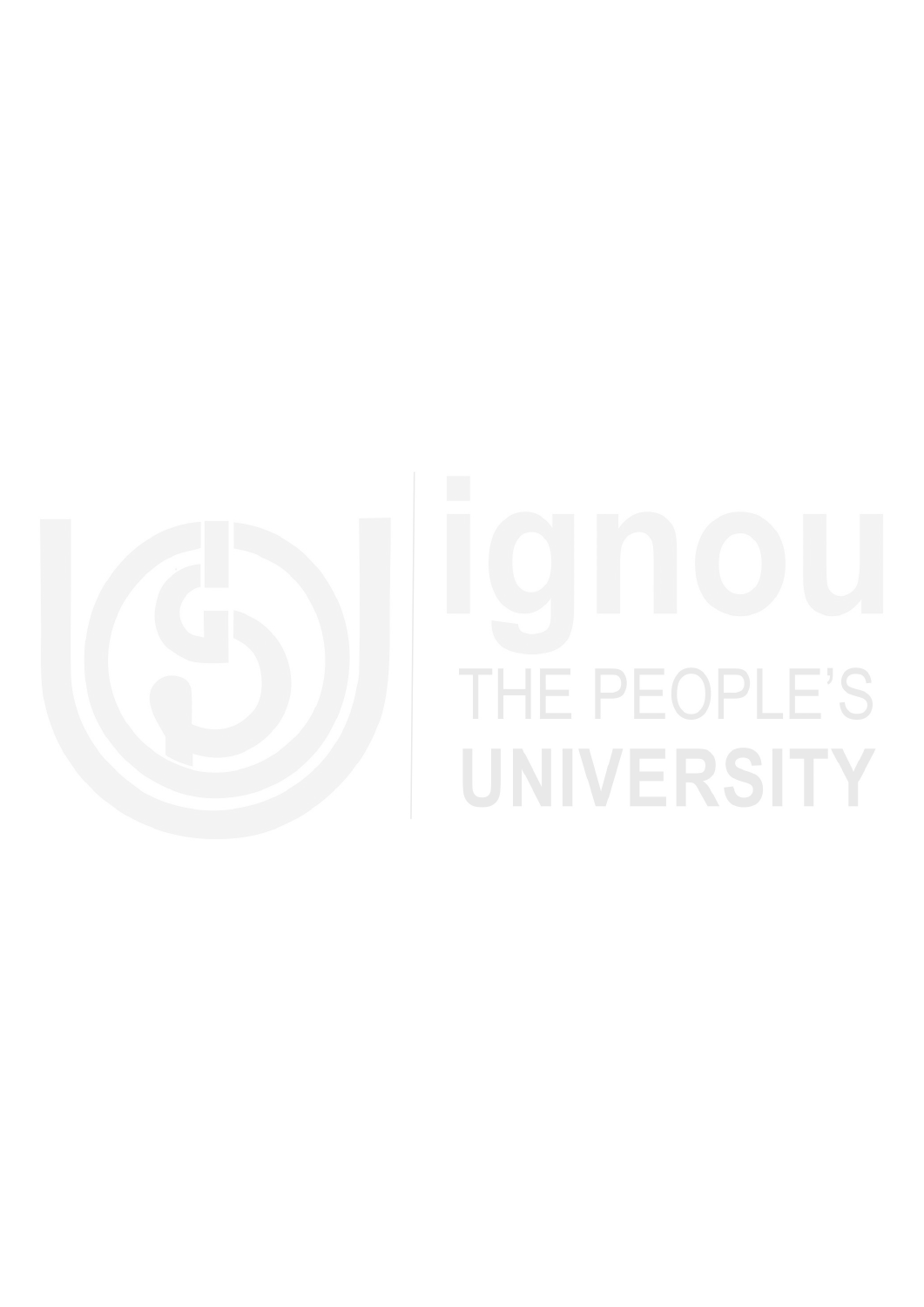

# THE PEOPLE'S UNIVERSITY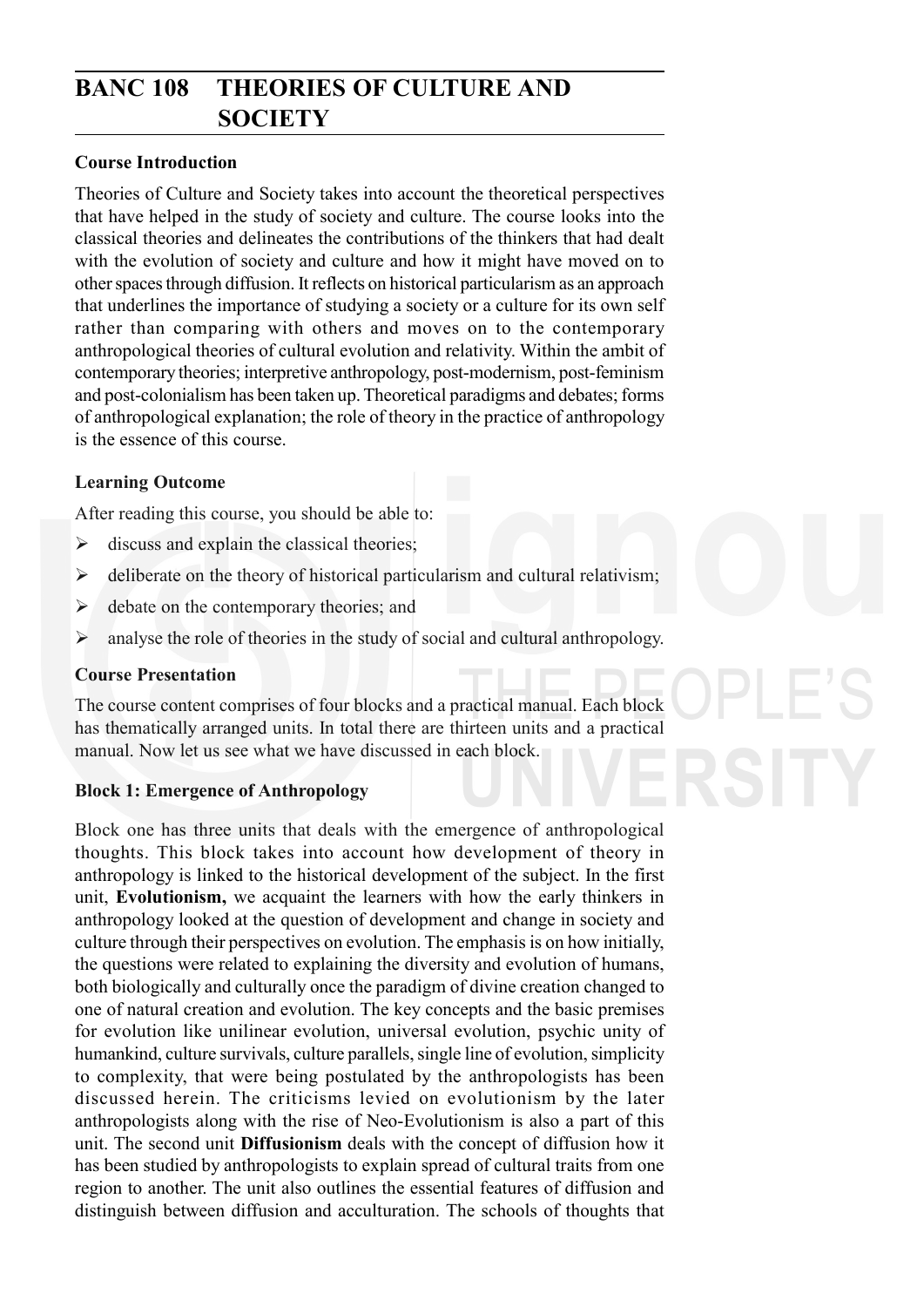## **BANC 108 THEORIES OF CULTURE AND SOCIETY**

## **Course Introduction**

Theories of Culture and Society takes into account the theoretical perspectives that have helped in the study of society and culture. The course looks into the classical theories and delineates the contributions of the thinkers that had dealt with the evolution of society and culture and how it might have moved on to other spaces through diffusion. It reflects on historical particularism as an approach that underlines the importance of studying a society or a culture for its own self rather than comparing with others and moves on to the contemporary anthropological theories of cultural evolution and relativity. Within the ambit of contemporary theories; interpretive anthropology, post-modernism, post-feminism and post-colonialism has been taken up. Theoretical paradigms and debates; forms of anthropological explanation; the role of theory in the practice of anthropology is the essence of this course.

## **Learning Outcome**

After reading this course, you should be able to:

- $\triangleright$  discuss and explain the classical theories;
- $\triangleright$  deliberate on the theory of historical particularism and cultural relativism;
- $\triangleright$  debate on the contemporary theories; and
- $\triangleright$  analyse the role of theories in the study of social and cultural anthropology.

## **Course Presentation**

The course content comprises of four blocks and a practical manual. Each block has thematically arranged units. In total there are thirteen units and a practical manual. Now let us see what we have discussed in each block.

## **Block 1: Emergence of Anthropology**

Block one has three units that deals with the emergence of anthropological thoughts. This block takes into account how development of theory in anthropology is linked to the historical development of the subject. In the first unit, **Evolutionism,** we acquaint the learners with how the early thinkers in anthropology looked at the question of development and change in society and culture through their perspectives on evolution. The emphasis is on how initially, the questions were related to explaining the diversity and evolution of humans, both biologically and culturally once the paradigm of divine creation changed to one of natural creation and evolution. The key concepts and the basic premises for evolution like unilinear evolution, universal evolution, psychic unity of humankind, culture survivals, culture parallels, single line of evolution, simplicity to complexity, that were being postulated by the anthropologists has been discussed herein. The criticisms levied on evolutionism by the later anthropologists along with the rise of Neo-Evolutionism is also a part of this unit. The second unit **Diffusionism** deals with the concept of diffusion how it has been studied by anthropologists to explain spread of cultural traits from one region to another. The unit also outlines the essential features of diffusion and distinguish between diffusion and acculturation. The schools of thoughts that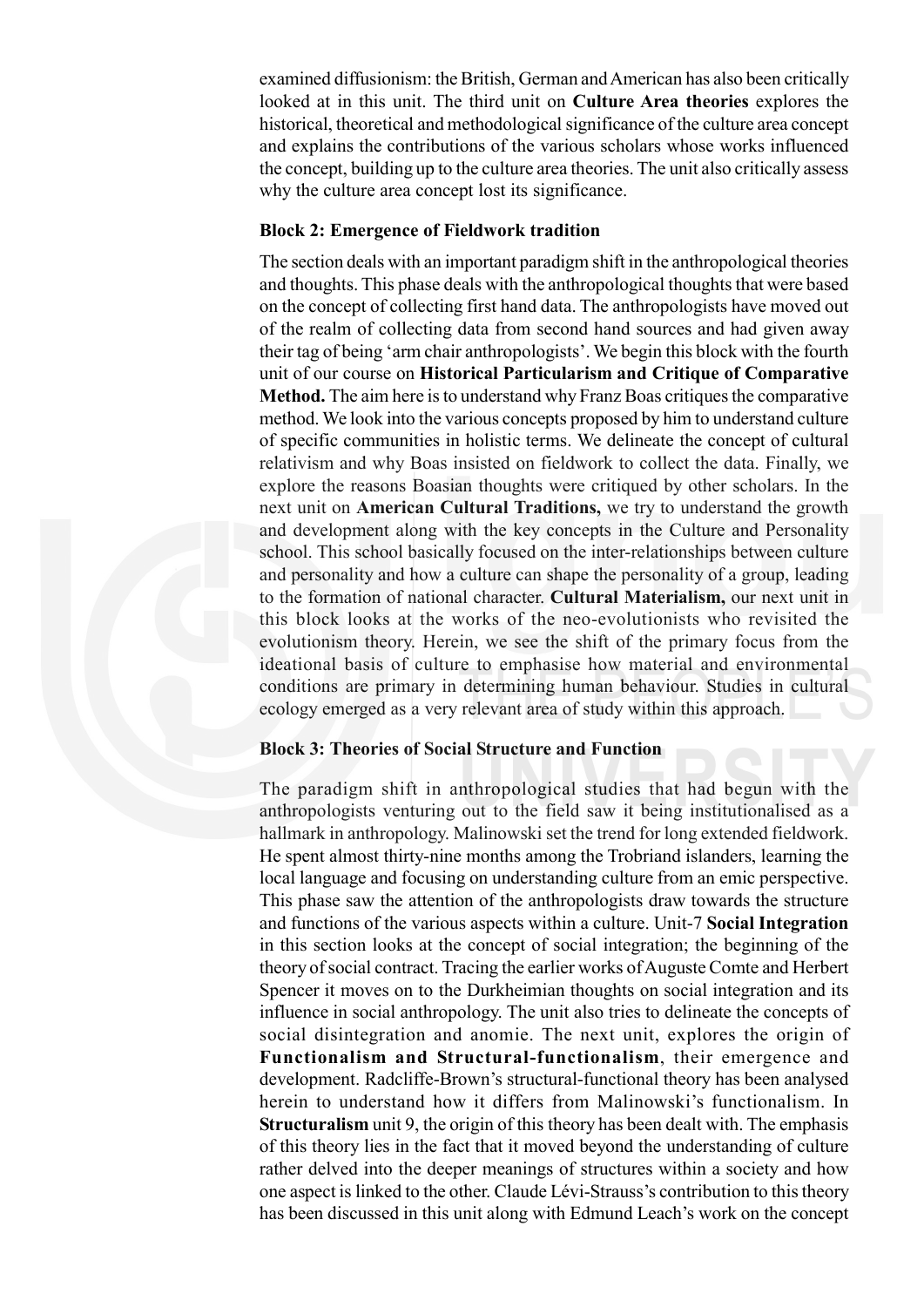examined diffusionism: the British, German and American has also been critically looked at in this unit. The third unit on **Culture Area theories** explores the historical, theoretical and methodological significance of the culture area concept and explains the contributions of the various scholars whose works influenced the concept, building up to the culture area theories. The unit also critically assess why the culture area concept lost its significance.

## **Block 2: Emergence of Fieldwork tradition**

The section deals with an important paradigm shift in the anthropological theories and thoughts. This phase deals with the anthropological thoughts that were based on the concept of collecting first hand data. The anthropologists have moved out of the realm of collecting data from second hand sources and had given away their tag of being 'arm chair anthropologists'. We begin this block with the fourth unit of our course on **Historical Particularism and Critique of Comparative Method.** The aim here is to understand why Franz Boas critiques the comparative method. We look into the various concepts proposed by him to understand culture of specific communities in holistic terms. We delineate the concept of cultural relativism and why Boas insisted on fieldwork to collect the data. Finally, we explore the reasons Boasian thoughts were critiqued by other scholars. In the next unit on **American Cultural Traditions,** we try to understand the growth and development along with the key concepts in the Culture and Personality school. This school basically focused on the inter-relationships between culture and personality and how a culture can shape the personality of a group, leading to the formation of national character. **Cultural Materialism,** our next unit in this block looks at the works of the neo-evolutionists who revisited the evolutionism theory. Herein, we see the shift of the primary focus from the ideational basis of culture to emphasise how material and environmental conditions are primary in determining human behaviour. Studies in cultural ecology emerged as a very relevant area of study within this approach.

## **Block 3: Theories of Social Structure and Function**

The paradigm shift in anthropological studies that had begun with the anthropologists venturing out to the field saw it being institutionalised as a hallmark in anthropology. Malinowski set the trend for long extended fieldwork. He spent almost thirty-nine months among the Trobriand islanders, learning the local language and focusing on understanding culture from an emic perspective. This phase saw the attention of the anthropologists draw towards the structure and functions of the various aspects within a culture. Unit-7 **Social Integration** in this section looks at the concept of social integration; the beginning of the theory of social contract. Tracing the earlier works of Auguste Comte and Herbert Spencer it moves on to the Durkheimian thoughts on social integration and its influence in social anthropology. The unit also tries to delineate the concepts of social disintegration and anomie. The next unit, explores the origin of **Functionalism and Structural-functionalism**, their emergence and development. Radcliffe-Brown's structural-functional theory has been analysed herein to understand how it differs from Malinowski's functionalism. In **Structuralism** unit 9, the origin of this theory has been dealt with. The emphasis of this theory lies in the fact that it moved beyond the understanding of culture rather delved into the deeper meanings of structures within a society and how one aspect is linked to the other. Claude Lévi-Strauss's contribution to this theory has been discussed in this unit along with Edmund Leach's work on the concept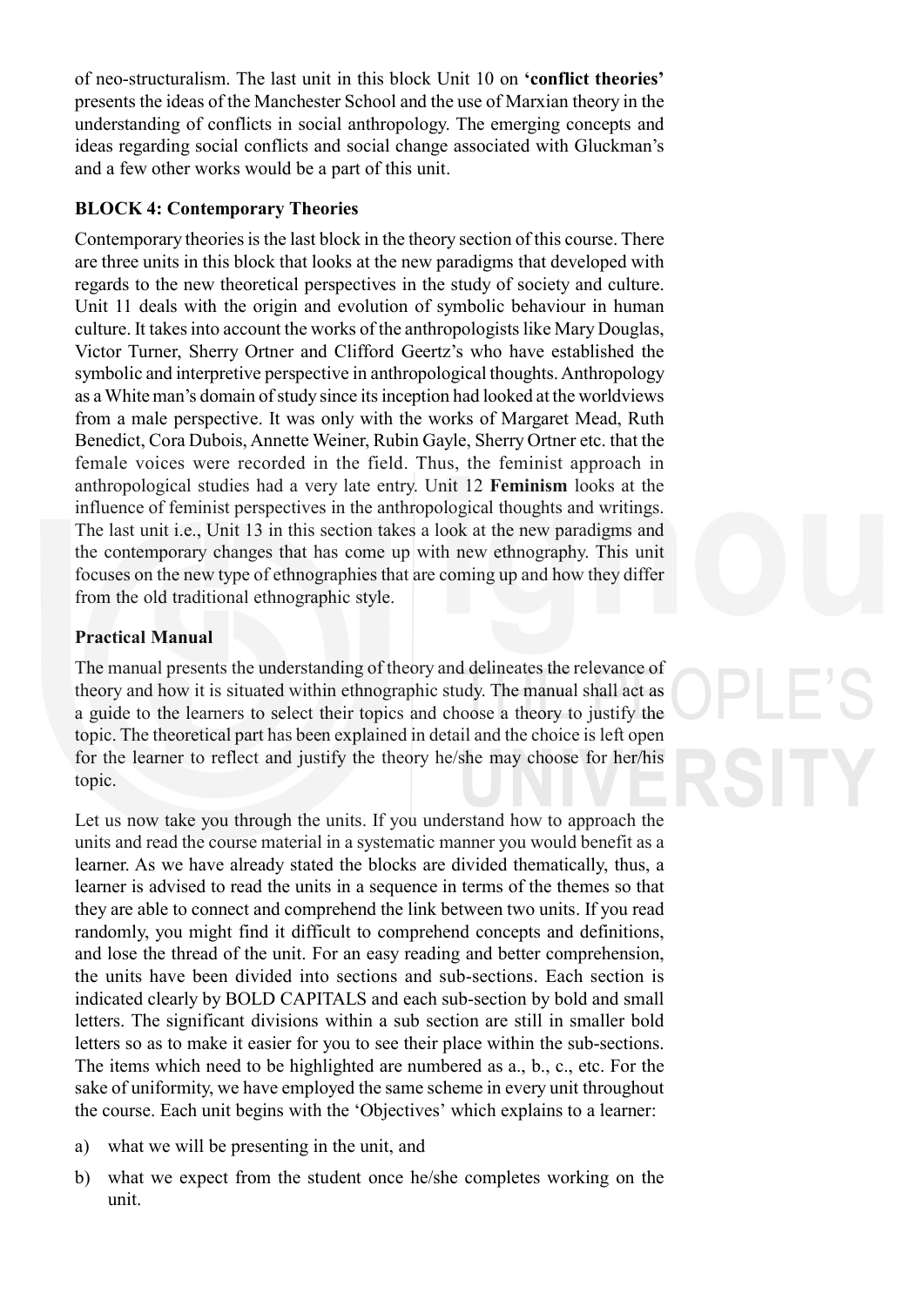of neo-structuralism. The last unit in this block Unit 10 on **'conflict theories'** presents the ideas of the Manchester School and the use of Marxian theory in the understanding of conflicts in social anthropology. The emerging concepts and ideas regarding social conflicts and social change associated with Gluckman's and a few other works would be a part of this unit.

## **BLOCK 4: Contemporary Theories**

Contemporary theories is the last block in the theory section of this course. There are three units in this block that looks at the new paradigms that developed with regards to the new theoretical perspectives in the study of society and culture. Unit 11 deals with the origin and evolution of symbolic behaviour in human culture. It takes into account the works of the anthropologists like Mary Douglas, Victor Turner, Sherry Ortner and Clifford Geertz's who have established the symbolic and interpretive perspective in anthropological thoughts. Anthropology as a White man's domain of study since its inception had looked at the worldviews from a male perspective. It was only with the works of Margaret Mead, Ruth Benedict, Cora Dubois, Annette Weiner, Rubin Gayle, Sherry Ortner etc. that the female voices were recorded in the field. Thus, the feminist approach in anthropological studies had a very late entry. Unit 12 **Feminism** looks at the influence of feminist perspectives in the anthropological thoughts and writings. The last unit i.e., Unit 13 in this section takes a look at the new paradigms and the contemporary changes that has come up with new ethnography. This unit focuses on the new type of ethnographies that are coming up and how they differ from the old traditional ethnographic style.

## **Practical Manual**

The manual presents the understanding of theory and delineates the relevance of theory and how it is situated within ethnographic study. The manual shall act as a guide to the learners to select their topics and choose a theory to justify the topic. The theoretical part has been explained in detail and the choice is left open for the learner to reflect and justify the theory he/she may choose for her/his topic.

Let us now take you through the units. If you understand how to approach the units and read the course material in a systematic manner you would benefit as a learner. As we have already stated the blocks are divided thematically, thus, a learner is advised to read the units in a sequence in terms of the themes so that they are able to connect and comprehend the link between two units. If you read randomly, you might find it difficult to comprehend concepts and definitions, and lose the thread of the unit. For an easy reading and better comprehension, the units have been divided into sections and sub-sections. Each section is indicated clearly by BOLD CAPITALS and each sub-section by bold and small letters. The significant divisions within a sub section are still in smaller bold letters so as to make it easier for you to see their place within the sub-sections. The items which need to be highlighted are numbered as a., b., c., etc. For the sake of uniformity, we have employed the same scheme in every unit throughout the course. Each unit begins with the 'Objectives' which explains to a learner:

- a) what we will be presenting in the unit, and
- b) what we expect from the student once he/she completes working on the unit.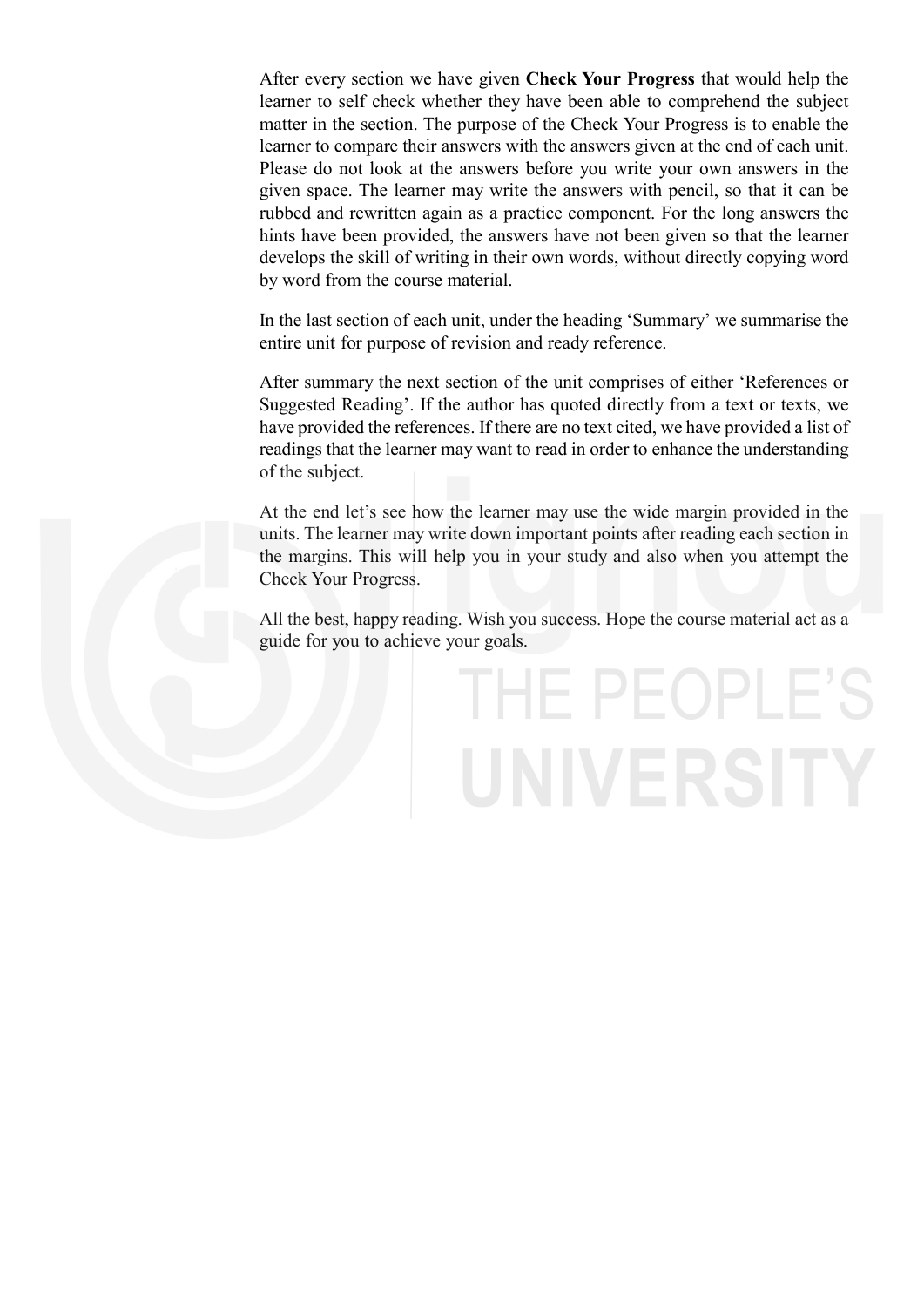After every section we have given **Check Your Progress** that would help the learner to self check whether they have been able to comprehend the subject matter in the section. The purpose of the Check Your Progress is to enable the learner to compare their answers with the answers given at the end of each unit. Please do not look at the answers before you write your own answers in the given space. The learner may write the answers with pencil, so that it can be rubbed and rewritten again as a practice component. For the long answers the hints have been provided, the answers have not been given so that the learner develops the skill of writing in their own words, without directly copying word by word from the course material.

In the last section of each unit, under the heading 'Summary' we summarise the entire unit for purpose of revision and ready reference.

After summary the next section of the unit comprises of either 'References or Suggested Reading'. If the author has quoted directly from a text or texts, we have provided the references. If there are no text cited, we have provided a list of readings that the learner may want to read in order to enhance the understanding of the subject.

At the end let's see how the learner may use the wide margin provided in the units. The learner may write down important points after reading each section in the margins. This will help you in your study and also when you attempt the Check Your Progress.

All the best, happy reading. Wish you success. Hope the course material act as a guide for you to achieve your goals.

## THE PEOPLE'S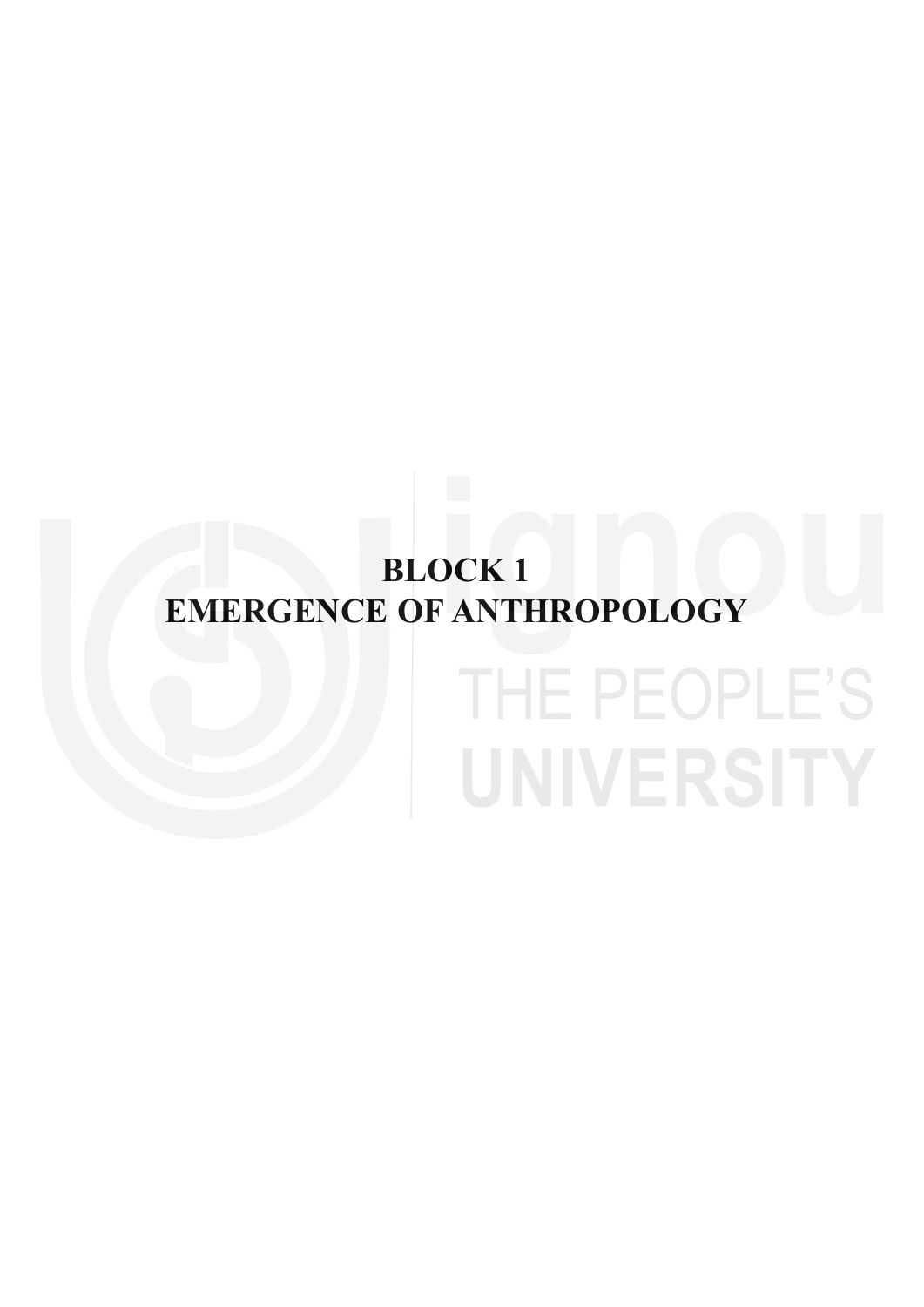## **BLOCK 1 EMERGENCE OF ANTHROPOLOGY**THE PEOPLE'S UNIVERSITY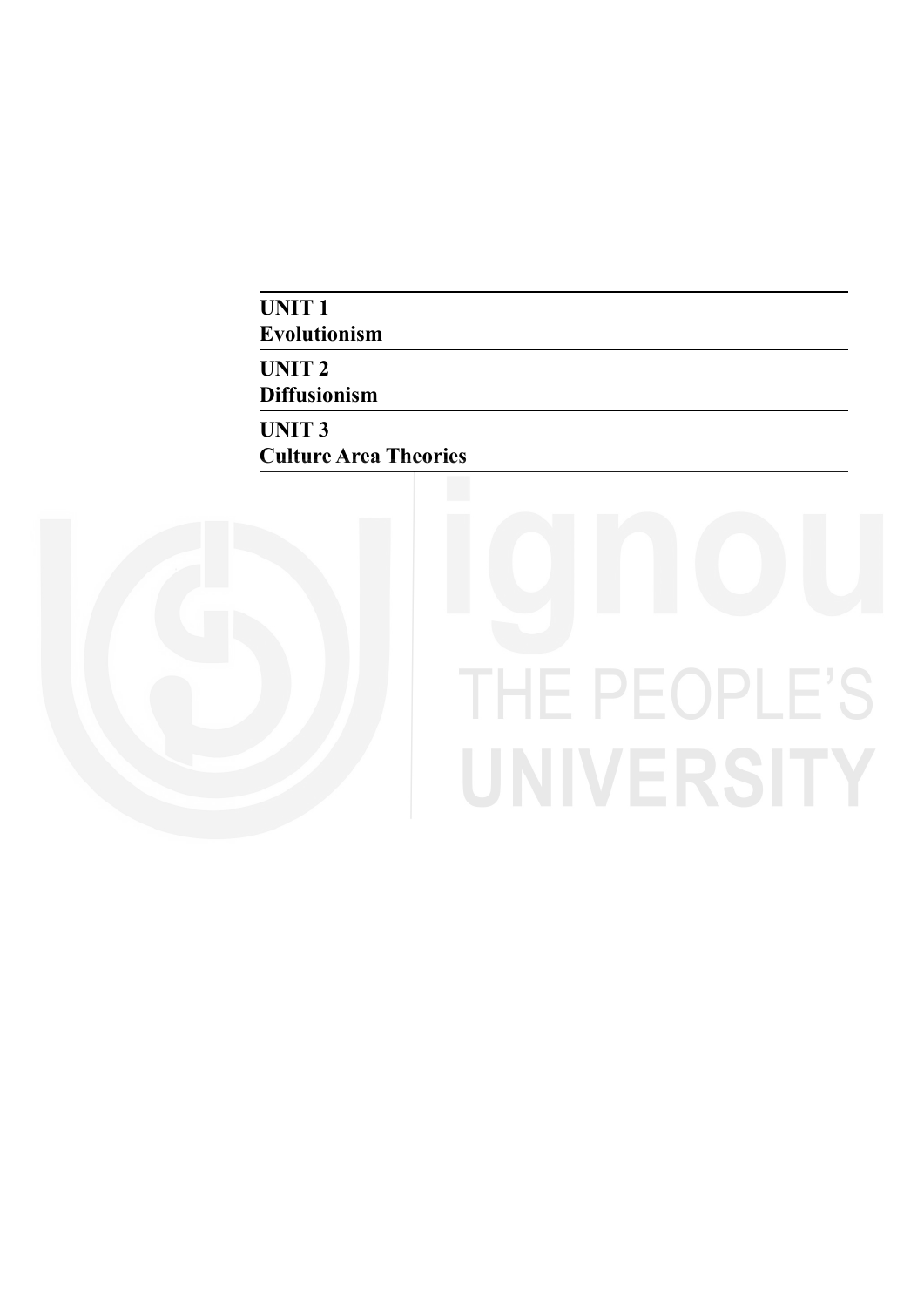**UNIT 1 Evolutionism UNIT 2 Diffusionism UNIT 3 Culture Area Theories**



## THE PEOPLE'S UNIVERSITY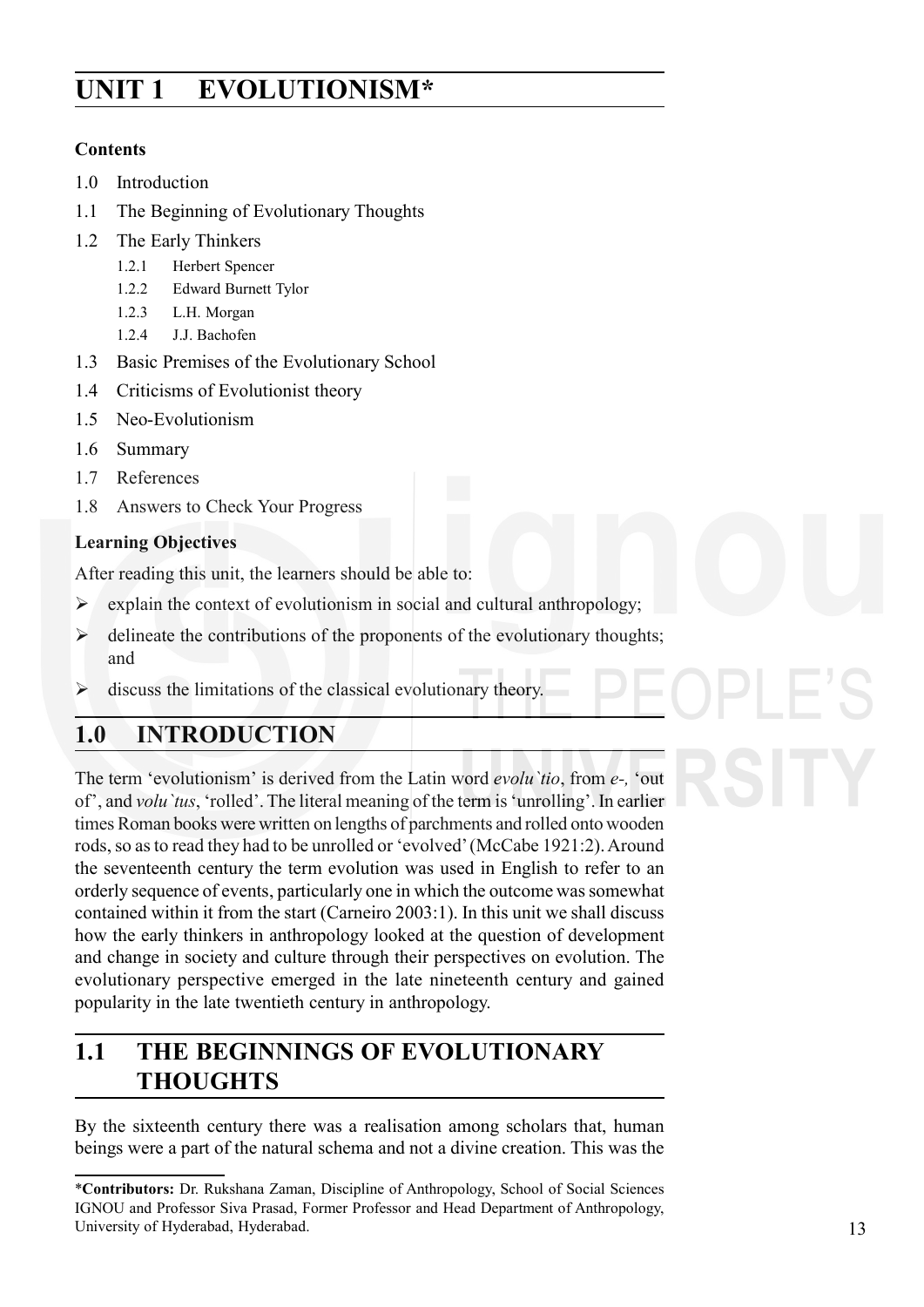## **Evolutionism UNIT 1 EVOLUTIONISM\***

## **Contents**

- 1.0 Introduction
- 1.1 The Beginning of Evolutionary Thoughts
- 1.2 The Early Thinkers
	- 1.2.1 Herbert Spencer
	- 1.2.2 Edward Burnett Tylor
	- 1.2.3 L.H. Morgan
	- 1.2.4 J.J. Bachofen
- 1.3 Basic Premises of the Evolutionary School
- 1.4 Criticisms of Evolutionist theory
- 1.5 Neo-Evolutionism
- 1.6 Summary
- 1.7 References
- 1.8 Answers to Check Your Progress

## **Learning Objectives**

After reading this unit, the learners should be able to:

- $\triangleright$  explain the context of evolutionism in social and cultural anthropology;
- $\triangleright$  delineate the contributions of the proponents of the evolutionary thoughts; and
- $\triangleright$  discuss the limitations of the classical evolutionary theory.

## **1.0 INTRODUCTION**

The term 'evolutionism' is derived from the Latin word *evolu`tio*, from *e-,* 'out of', and *volu`tus*, 'rolled'. The literal meaning of the term is 'unrolling'. In earlier times Roman books were written on lengths of parchments and rolled onto wooden rods, so as to read they had to be unrolled or 'evolved' (McCabe 1921:2). Around the seventeenth century the term evolution was used in English to refer to an orderly sequence of events, particularly one in which the outcome was somewhat contained within it from the start (Carneiro 2003:1). In this unit we shall discuss how the early thinkers in anthropology looked at the question of development and change in society and culture through their perspectives on evolution. The evolutionary perspective emerged in the late nineteenth century and gained popularity in the late twentieth century in anthropology.

## **1.1 THE BEGINNINGS OF EVOLUTIONARY THOUGHTS**

By the sixteenth century there was a realisation among scholars that, human beings were a part of the natural schema and not a divine creation. This was the

<sup>\*</sup>**Contributors:** Dr. Rukshana Zaman, Discipline of Anthropology, School of Social Sciences IGNOU and Professor Siva Prasad, Former Professor and Head Department of Anthropology, University of Hyderabad, Hyderabad.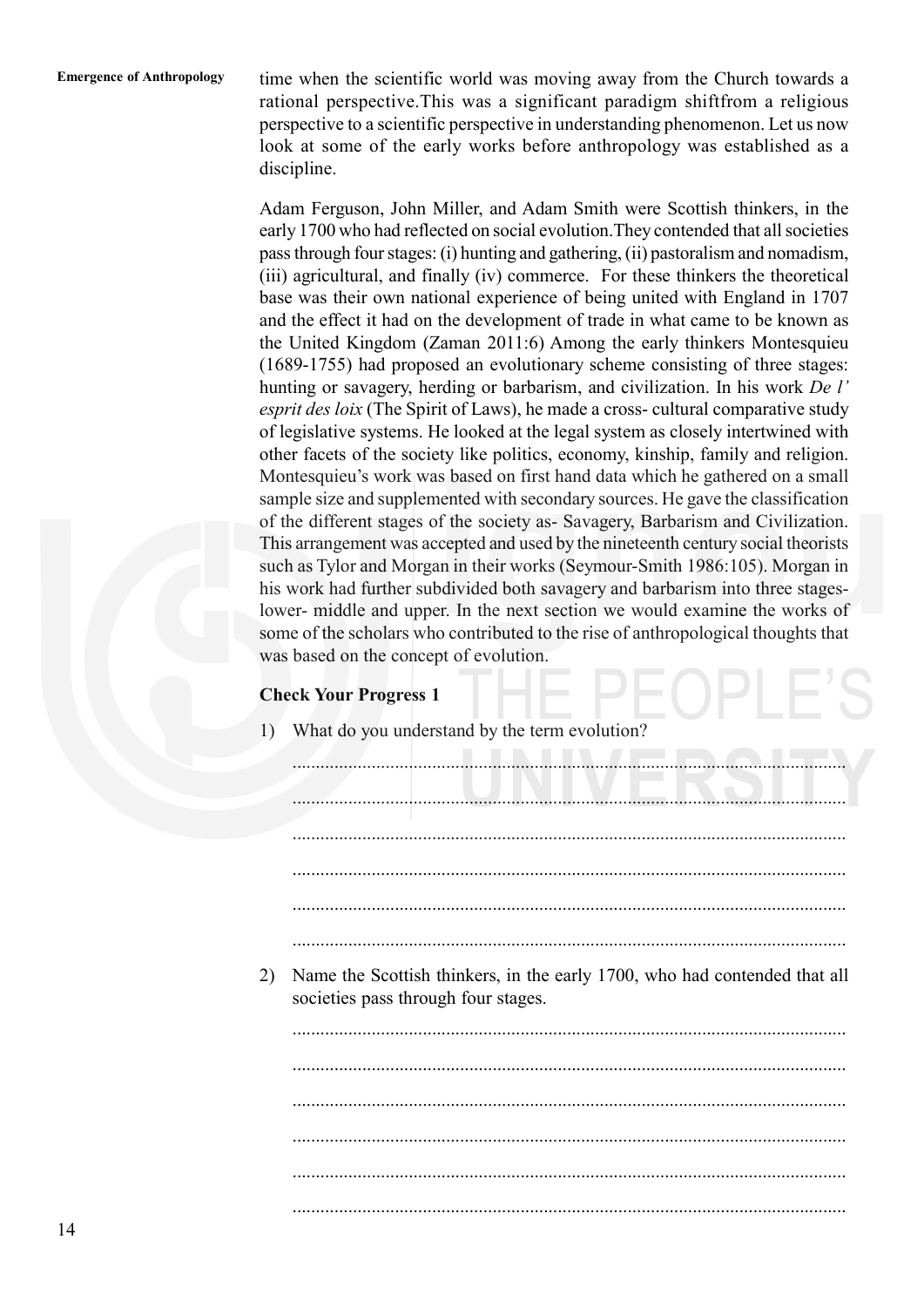**Emergence of Anthropology** time when the scientific world was moving away from the Church towards a rational perspective.This was a significant paradigm shiftfrom a religious perspective to a scientific perspective in understanding phenomenon. Let us now look at some of the early works before anthropology was established as a discipline.

> Adam Ferguson, John Miller, and Adam Smith were Scottish thinkers, in the early 1700 who had reflected on social evolution.They contended that all societies pass through four stages: (i) hunting and gathering, (ii) pastoralism and nomadism, (iii) agricultural, and finally (iv) commerce. For these thinkers the theoretical base was their own national experience of being united with England in 1707 and the effect it had on the development of trade in what came to be known as the United Kingdom (Zaman 2011:6) Among the early thinkers Montesquieu (1689-1755) had proposed an evolutionary scheme consisting of three stages: hunting or savagery, herding or barbarism, and civilization. In his work *De l' esprit des loix* (The Spirit of Laws), he made a cross- cultural comparative study of legislative systems. He looked at the legal system as closely intertwined with other facets of the society like politics, economy, kinship, family and religion. Montesquieu's work was based on first hand data which he gathered on a small sample size and supplemented with secondary sources. He gave the classification of the different stages of the society as- Savagery, Barbarism and Civilization. This arrangement was accepted and used by the nineteenth century social theorists such as Tylor and Morgan in their works (Seymour-Smith 1986:105). Morgan in his work had further subdivided both savagery and barbarism into three stageslower- middle and upper. In the next section we would examine the works of some of the scholars who contributed to the rise of anthropological thoughts that was based on the concept of evolution.

## **Check Your Progress 1**

1) What do you understand by the term evolution? ....................................................................................................................... ....................................................................................................................... ....................................................................................................................... ....................................................................................................................... ....................................................................................................................... ....................................................................................................................... 2) Name the Scottish thinkers, in the early 1700, who had contended that all societies pass through four stages. ....................................................................................................................... ....................................................................................................................... ....................................................................................................................... ....................................................................................................................... ....................................................................................................................... .......................................................................................................................

14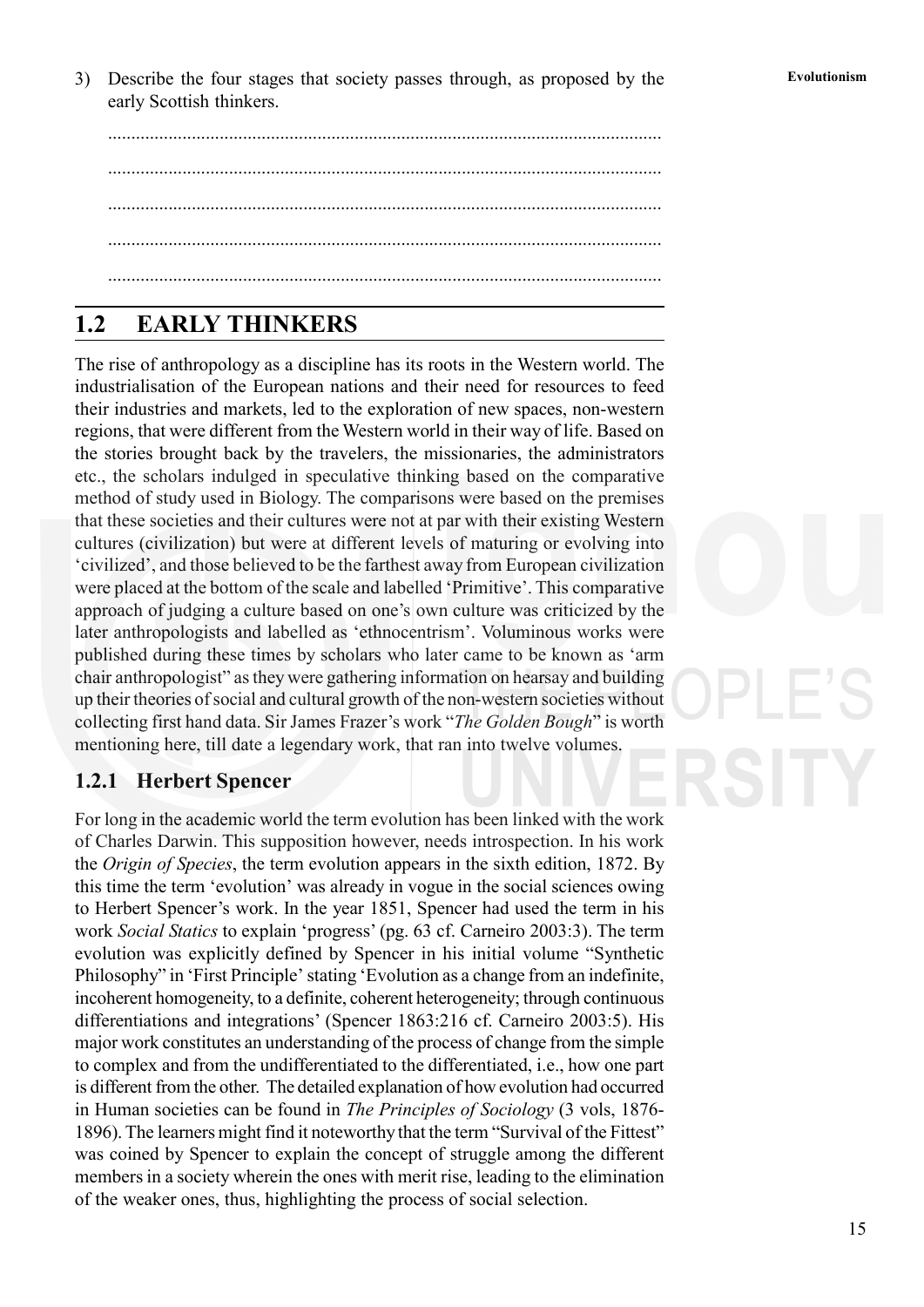....................................................................................................................... ....................................................................................................................... ....................................................................................................................... ....................................................................................................................... .......................................................................................................................

## **1.2 EARLY THINKERS**

early Scottish thinkers.

The rise of anthropology as a discipline has its roots in the Western world. The industrialisation of the European nations and their need for resources to feed their industries and markets, led to the exploration of new spaces, non-western regions, that were different from the Western world in their way of life. Based on the stories brought back by the travelers, the missionaries, the administrators etc., the scholars indulged in speculative thinking based on the comparative method of study used in Biology. The comparisons were based on the premises that these societies and their cultures were not at par with their existing Western cultures (civilization) but were at different levels of maturing or evolving into 'civilized', and those believed to be the farthest away from European civilization were placed at the bottom of the scale and labelled 'Primitive'. This comparative approach of judging a culture based on one's own culture was criticized by the later anthropologists and labelled as 'ethnocentrism'. Voluminous works were published during these times by scholars who later came to be known as 'arm chair anthropologist" as they were gathering information on hearsay and building up their theories of social and cultural growth of the non-western societies without collecting first hand data. Sir James Frazer's work "*The Golden Bough*" is worth mentioning here, till date a legendary work, that ran into twelve volumes.

## **1.2.1 Herbert Spencer**

For long in the academic world the term evolution has been linked with the work of Charles Darwin. This supposition however, needs introspection. In his work the *Origin of Species*, the term evolution appears in the sixth edition, 1872. By this time the term 'evolution' was already in vogue in the social sciences owing to Herbert Spencer's work. In the year 1851, Spencer had used the term in his work *Social Statics* to explain 'progress' (pg. 63 cf. Carneiro 2003:3). The term evolution was explicitly defined by Spencer in his initial volume "Synthetic Philosophy" in 'First Principle' stating 'Evolution as a change from an indefinite, incoherent homogeneity, to a definite, coherent heterogeneity; through continuous differentiations and integrations' (Spencer 1863:216 cf. Carneiro 2003:5). His major work constitutes an understanding of the process of change from the simple to complex and from the undifferentiated to the differentiated, i.e., how one part is different from the other. The detailed explanation of how evolution had occurred in Human societies can be found in *The Principles of Sociology* (3 vols, 1876- 1896). The learners might find it noteworthy that the term "Survival of the Fittest" was coined by Spencer to explain the concept of struggle among the different members in a society wherein the ones with merit rise, leading to the elimination of the weaker ones, thus, highlighting the process of social selection.

## 3) Describe the four stages that society passes through, as proposed by the **Evolutionism**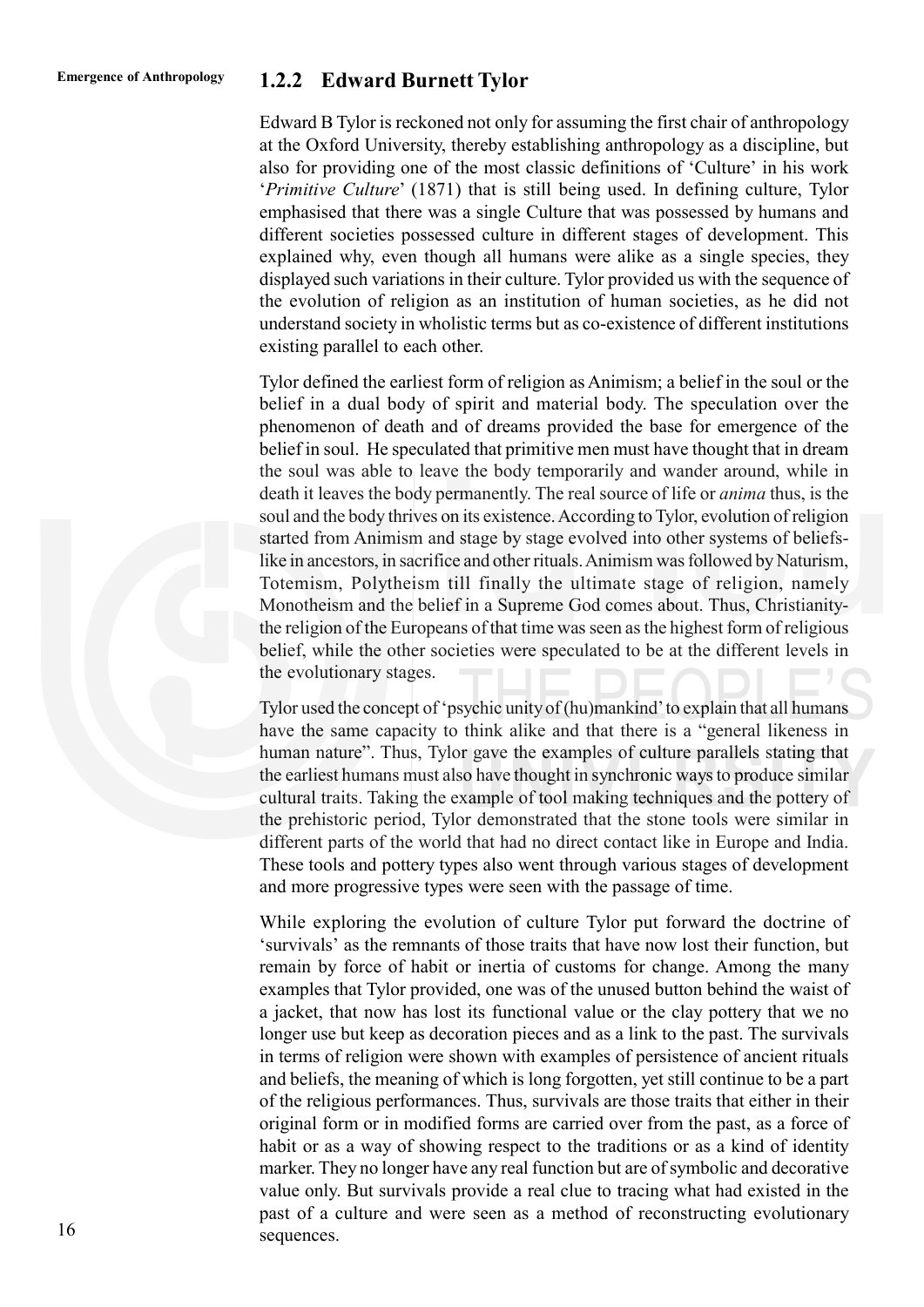## **Emergence of Anthropology 1.2.2 Edward Burnett Tylor**

Edward B Tylor is reckoned not only for assuming the first chair of anthropology at the Oxford University, thereby establishing anthropology as a discipline, but also for providing one of the most classic definitions of 'Culture' in his work '*Primitive Culture*' (1871) that is still being used. In defining culture, Tylor emphasised that there was a single Culture that was possessed by humans and different societies possessed culture in different stages of development. This explained why, even though all humans were alike as a single species, they displayed such variations in their culture. Tylor provided us with the sequence of the evolution of religion as an institution of human societies, as he did not understand society in wholistic terms but as co-existence of different institutions existing parallel to each other.

Tylor defined the earliest form of religion as Animism; a belief in the soul or the belief in a dual body of spirit and material body. The speculation over the phenomenon of death and of dreams provided the base for emergence of the belief in soul. He speculated that primitive men must have thought that in dream the soul was able to leave the body temporarily and wander around, while in death it leaves the body permanently. The real source of life or *anima* thus, is the soul and the body thrives on its existence. According to Tylor, evolution of religion started from Animism and stage by stage evolved into other systems of beliefslike in ancestors, in sacrifice and other rituals. Animism was followed by Naturism, Totemism, Polytheism till finally the ultimate stage of religion, namely Monotheism and the belief in a Supreme God comes about. Thus, Christianitythe religion of the Europeans of that time was seen as the highest form of religious belief, while the other societies were speculated to be at the different levels in the evolutionary stages.

Tylor used the concept of 'psychic unity of (hu)mankind' to explain that all humans have the same capacity to think alike and that there is a "general likeness in human nature". Thus, Tylor gave the examples of culture parallels stating that the earliest humans must also have thought in synchronic ways to produce similar cultural traits. Taking the example of tool making techniques and the pottery of the prehistoric period, Tylor demonstrated that the stone tools were similar in different parts of the world that had no direct contact like in Europe and India. These tools and pottery types also went through various stages of development and more progressive types were seen with the passage of time.

While exploring the evolution of culture Tylor put forward the doctrine of 'survivals' as the remnants of those traits that have now lost their function, but remain by force of habit or inertia of customs for change. Among the many examples that Tylor provided, one was of the unused button behind the waist of a jacket, that now has lost its functional value or the clay pottery that we no longer use but keep as decoration pieces and as a link to the past. The survivals in terms of religion were shown with examples of persistence of ancient rituals and beliefs, the meaning of which is long forgotten, yet still continue to be a part of the religious performances. Thus, survivals are those traits that either in their original form or in modified forms are carried over from the past, as a force of habit or as a way of showing respect to the traditions or as a kind of identity marker. They no longer have any real function but are of symbolic and decorative value only. But survivals provide a real clue to tracing what had existed in the past of a culture and were seen as a method of reconstructing evolutionary sequences.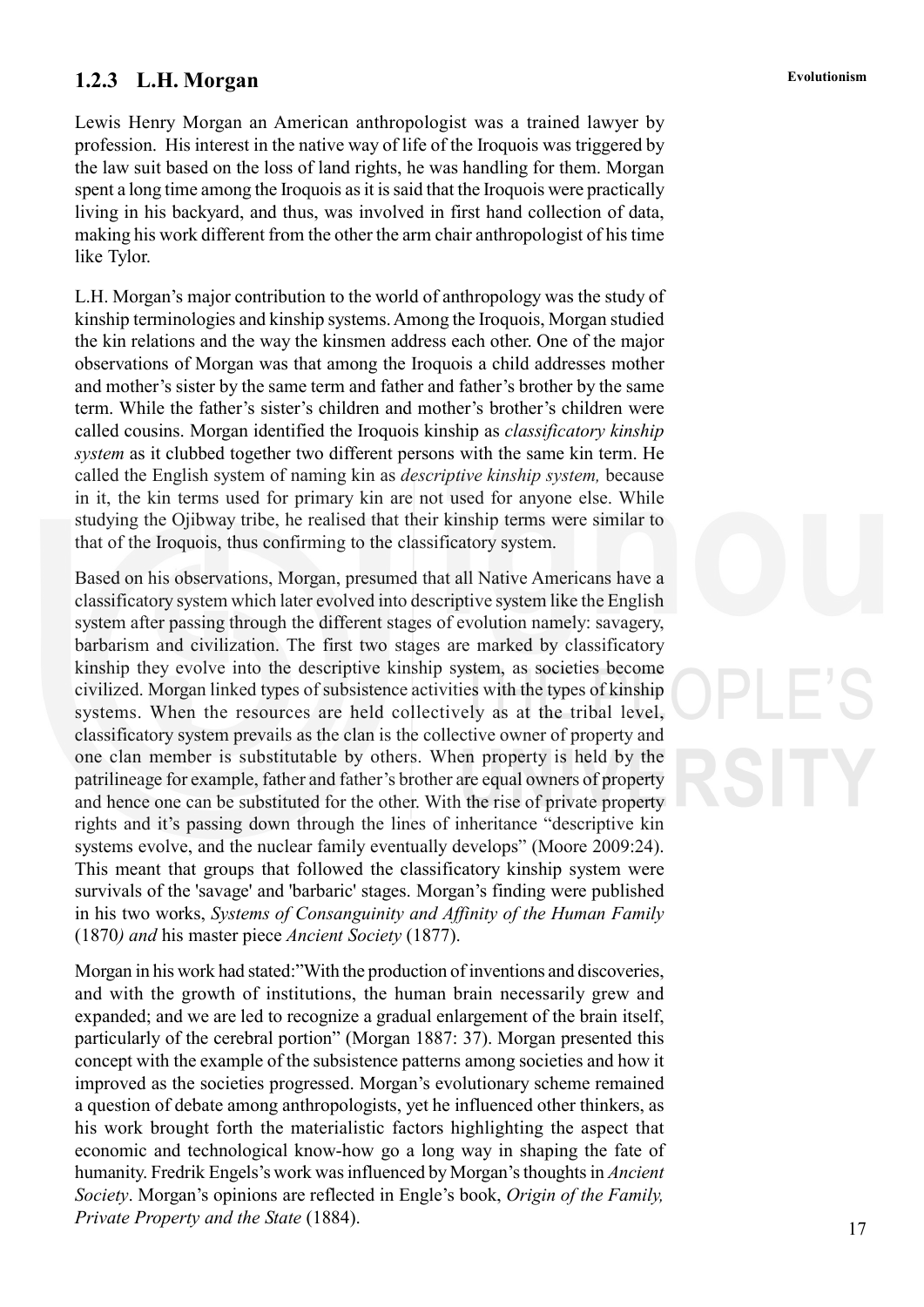## **Evolutionism 1.2.3 L.H. Morgan**

Lewis Henry Morgan an American anthropologist was a trained lawyer by profession. His interest in the native way of life of the Iroquois was triggered by the law suit based on the loss of land rights, he was handling for them. Morgan spent a long time among the Iroquois as it is said that the Iroquois were practically living in his backyard, and thus, was involved in first hand collection of data, making his work different from the other the arm chair anthropologist of his time like Tylor.

L.H. Morgan's major contribution to the world of anthropology was the study of kinship terminologies and kinship systems. Among the Iroquois, Morgan studied the kin relations and the way the kinsmen address each other. One of the major observations of Morgan was that among the Iroquois a child addresses mother and mother's sister by the same term and father and father's brother by the same term. While the father's sister's children and mother's brother's children were called cousins. Morgan identified the Iroquois kinship as *classificatory kinship system* as it clubbed together two different persons with the same kin term. He called the English system of naming kin as *descriptive kinship system,* because in it, the kin terms used for primary kin are not used for anyone else. While studying the Ojibway tribe, he realised that their kinship terms were similar to that of the Iroquois, thus confirming to the classificatory system.

Based on his observations, Morgan, presumed that all Native Americans have a classificatory system which later evolved into descriptive system like the English system after passing through the different stages of evolution namely: savagery, barbarism and civilization. The first two stages are marked by classificatory kinship they evolve into the descriptive kinship system, as societies become civilized. Morgan linked types of subsistence activities with the types of kinship systems. When the resources are held collectively as at the tribal level, classificatory system prevails as the clan is the collective owner of property and one clan member is substitutable by others. When property is held by the patrilineage for example, father and father's brother are equal owners of property and hence one can be substituted for the other. With the rise of private property rights and it's passing down through the lines of inheritance "descriptive kin systems evolve, and the nuclear family eventually develops" (Moore 2009:24). This meant that groups that followed the classificatory kinship system were survivals of the 'savage' and 'barbaric' stages. Morgan's finding were published in his two works, *Systems of Consanguinity and Affinity of the Human Family* (1870*) and* his master piece *Ancient Society* (1877).

Morgan in his work had stated:"With the production of inventions and discoveries, and with the growth of institutions, the human brain necessarily grew and expanded; and we are led to recognize a gradual enlargement of the brain itself, particularly of the cerebral portion" (Morgan 1887: 37). Morgan presented this concept with the example of the subsistence patterns among societies and how it improved as the societies progressed. Morgan's evolutionary scheme remained a question of debate among anthropologists, yet he influenced other thinkers, as his work brought forth the materialistic factors highlighting the aspect that economic and technological know-how go a long way in shaping the fate of humanity. Fredrik Engels's work was influenced by Morgan's thoughts in *Ancient Society*. Morgan's opinions are reflected in Engle's book, *Origin of the Family, Private Property and the State* (1884).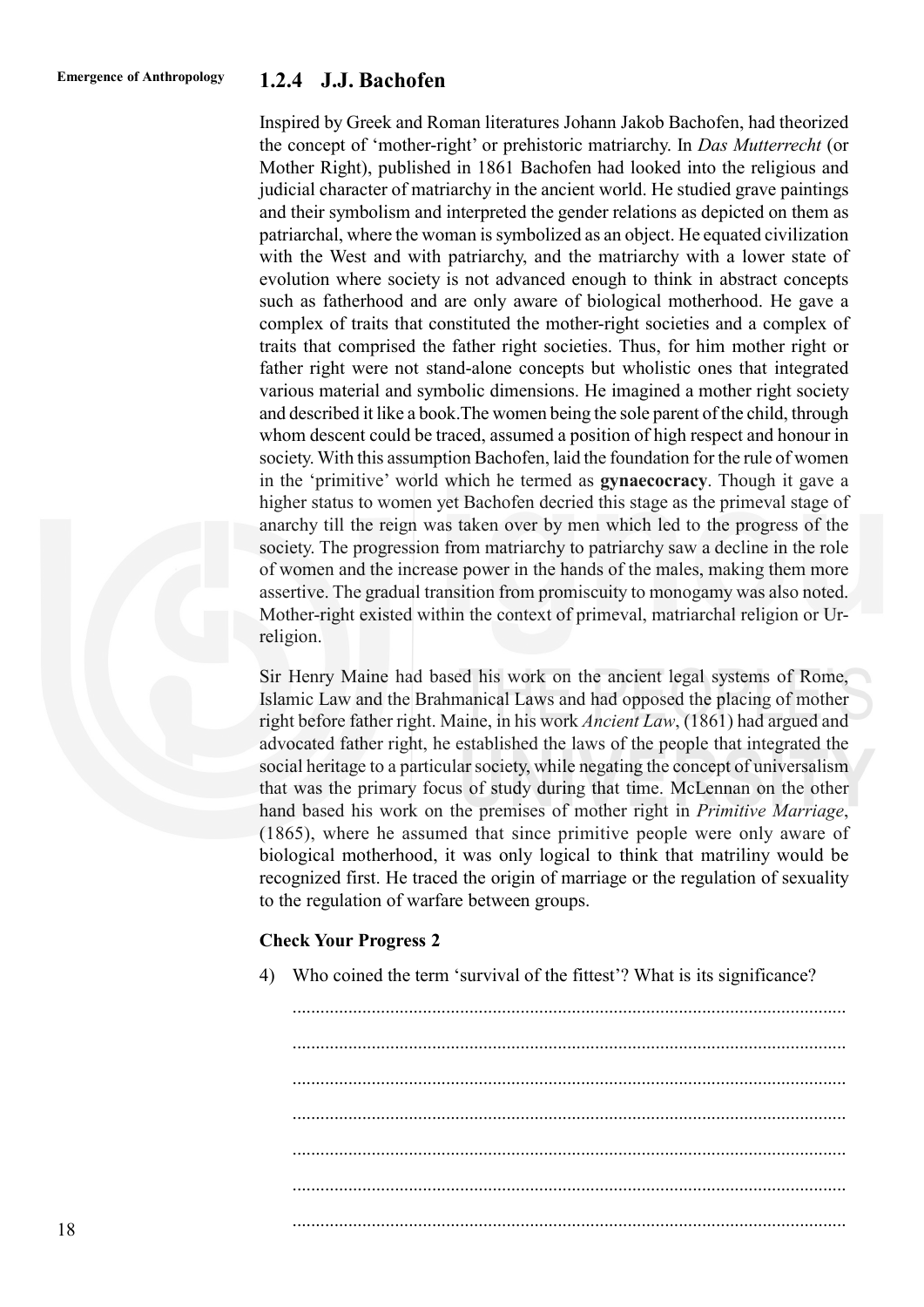## **Emergence of Anthropology 1.2.4 J.J. Bachofen**

Inspired by Greek and Roman literatures Johann Jakob Bachofen, had theorized the concept of 'mother-right' or prehistoric matriarchy. In *Das Mutterrecht* (or Mother Right), published in 1861 Bachofen had looked into the religious and judicial character of matriarchy in the ancient world. He studied grave paintings and their symbolism and interpreted the gender relations as depicted on them as patriarchal, where the woman is symbolized as an object. He equated civilization with the West and with patriarchy, and the matriarchy with a lower state of evolution where society is not advanced enough to think in abstract concepts such as fatherhood and are only aware of biological motherhood. He gave a complex of traits that constituted the mother-right societies and a complex of traits that comprised the father right societies. Thus, for him mother right or father right were not stand-alone concepts but wholistic ones that integrated various material and symbolic dimensions. He imagined a mother right society and described it like a book.The women being the sole parent of the child, through whom descent could be traced, assumed a position of high respect and honour in society. With this assumption Bachofen, laid the foundation for the rule of women in the 'primitive' world which he termed as **gynaecocracy**. Though it gave a higher status to women yet Bachofen decried this stage as the primeval stage of anarchy till the reign was taken over by men which led to the progress of the society. The progression from matriarchy to patriarchy saw a decline in the role of women and the increase power in the hands of the males, making them more assertive. The gradual transition from promiscuity to monogamy was also noted. Mother-right existed within the context of primeval, matriarchal religion or Urreligion.

Sir Henry Maine had based his work on the ancient legal systems of Rome, Islamic Law and the Brahmanical Laws and had opposed the placing of mother right before father right. Maine, in his work *Ancient Law*, (1861) had argued and advocated father right, he established the laws of the people that integrated the social heritage to a particular society, while negating the concept of universalism that was the primary focus of study during that time. McLennan on the other hand based his work on the premises of mother right in *Primitive Marriage*, (1865), where he assumed that since primitive people were only aware of biological motherhood, it was only logical to think that matriliny would be recognized first. He traced the origin of marriage or the regulation of sexuality to the regulation of warfare between groups.

## **Check Your Progress 2**

4) Who coined the term 'survival of the fittest'? What is its significance?

....................................................................................................................... ....................................................................................................................... ....................................................................................................................... ....................................................................................................................... ....................................................................................................................... ....................................................................................................................... .......................................................................................................................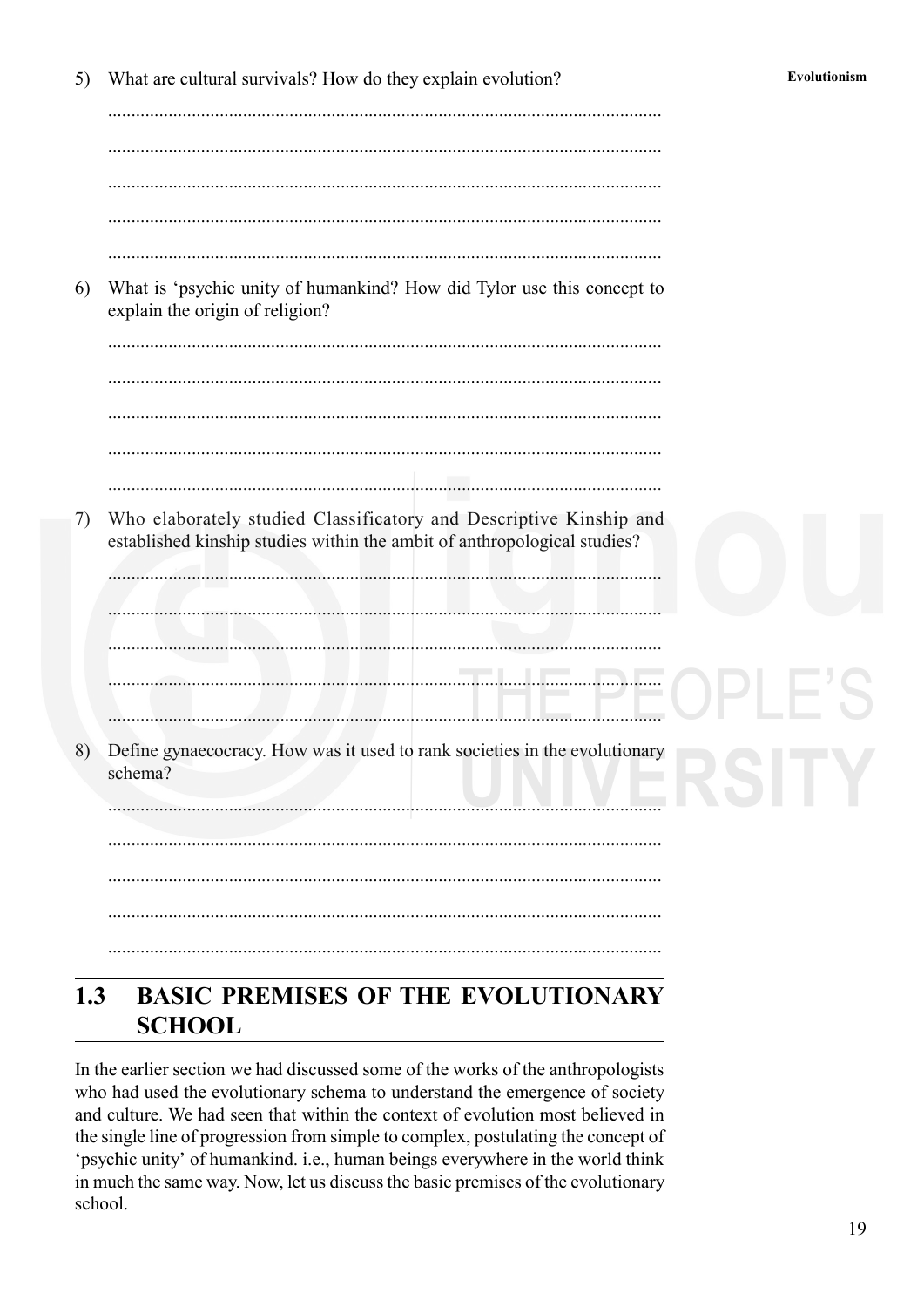

## $1.3$ **BASIC PREMISES OF THE EVOLUTIONARY SCHOOL**

In the earlier section we had discussed some of the works of the anthropologists who had used the evolutionary schema to understand the emergence of society and culture. We had seen that within the context of evolution most believed in the single line of progression from simple to complex, postulating the concept of 'psychic unity' of humankind. i.e., human beings everywhere in the world think in much the same way. Now, let us discuss the basic premises of the evolutionary school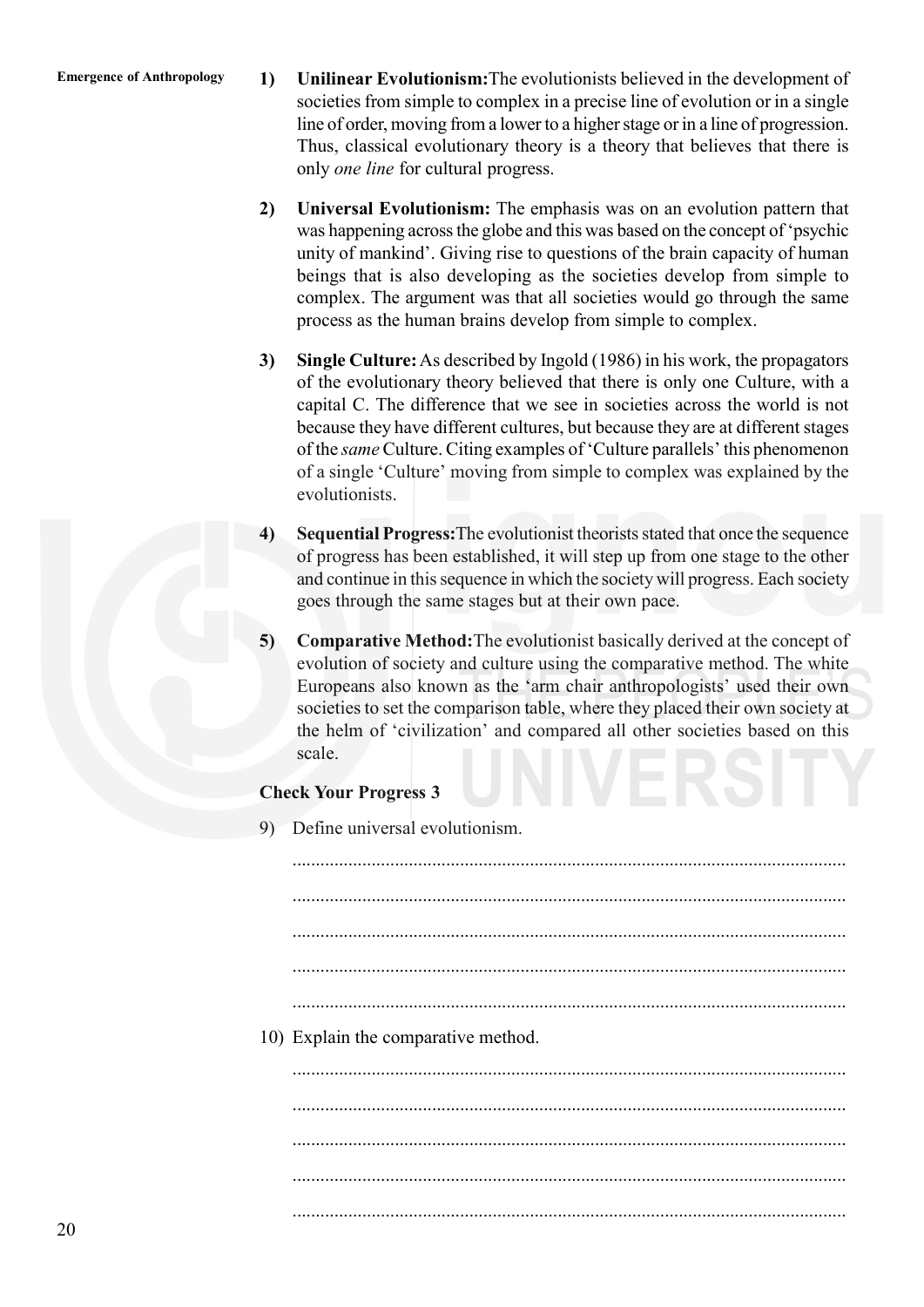- **Emergence of Anthropology 1) Unilinear Evolutionism:**The evolutionists believed in the development of societies from simple to complex in a precise line of evolution or in a single line of order, moving from a lower to a higher stage or in a line of progression. Thus, classical evolutionary theory is a theory that believes that there is only *one line* for cultural progress.
	- **2) Universal Evolutionism:** The emphasis was on an evolution pattern that was happening across the globe and this was based on the concept of 'psychic unity of mankind'. Giving rise to questions of the brain capacity of human beings that is also developing as the societies develop from simple to complex. The argument was that all societies would go through the same process as the human brains develop from simple to complex.
	- **3) Single Culture:** As described by Ingold (1986) in his work, the propagators of the evolutionary theory believed that there is only one Culture, with a capital C. The difference that we see in societies across the world is not because they have different cultures, but because they are at different stages of the *same* Culture. Citing examples of 'Culture parallels' this phenomenon of a single 'Culture' moving from simple to complex was explained by the evolutionists.
	- **4) Sequential Progress:**The evolutionist theorists stated that once the sequence of progress has been established, it will step up from one stage to the other and continue in this sequence in which the society will progress. Each society goes through the same stages but at their own pace.
	- **5) Comparative Method:**The evolutionist basically derived at the concept of evolution of society and culture using the comparative method. The white Europeans also known as the 'arm chair anthropologists' used their own societies to set the comparison table, where they placed their own society at the helm of 'civilization' and compared all other societies based on this scale.

## **Check Your Progress 3**

9) Define universal evolutionism.

....................................................................................................................... ....................................................................................................................... ....................................................................................................................... ....................................................................................................................... ....................................................................................................................... 10) Explain the comparative method. ....................................................................................................................... ....................................................................................................................... ....................................................................................................................... ....................................................................................................................... .......................................................................................................................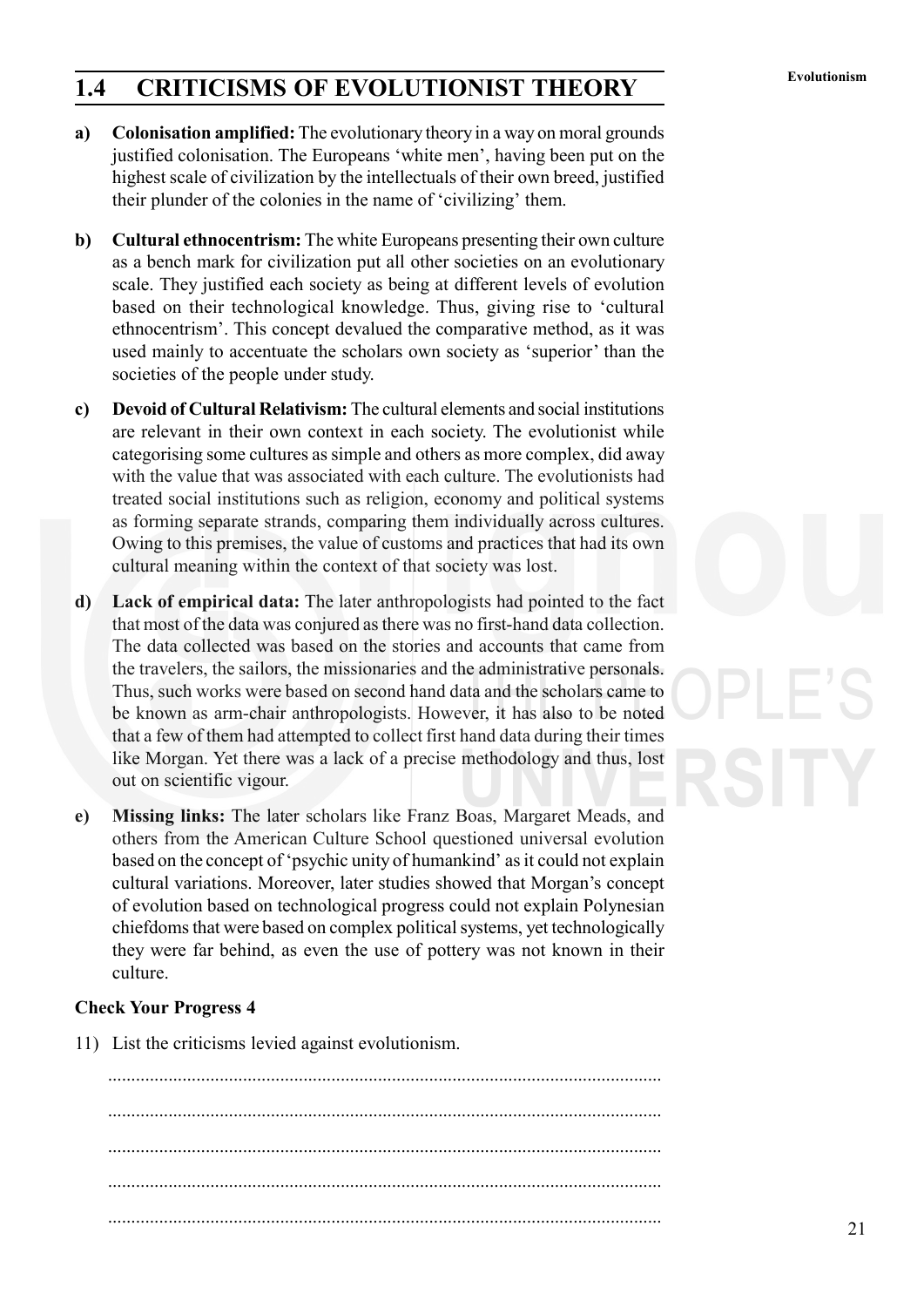## **1.4 CRITICISMS OF EVOLUTIONIST THEORY** Evolutionism

- **a) Colonisation amplified:** The evolutionary theory in a way on moral grounds justified colonisation. The Europeans 'white men', having been put on the highest scale of civilization by the intellectuals of their own breed, justified their plunder of the colonies in the name of 'civilizing' them.
- **b) Cultural ethnocentrism:** The white Europeans presenting their own culture as a bench mark for civilization put all other societies on an evolutionary scale. They justified each society as being at different levels of evolution based on their technological knowledge. Thus, giving rise to 'cultural ethnocentrism'. This concept devalued the comparative method, as it was used mainly to accentuate the scholars own society as 'superior' than the societies of the people under study.
- **c) Devoid of Cultural Relativism:** The cultural elements and social institutions are relevant in their own context in each society. The evolutionist while categorising some cultures as simple and others as more complex, did away with the value that was associated with each culture. The evolutionists had treated social institutions such as religion, economy and political systems as forming separate strands, comparing them individually across cultures. Owing to this premises, the value of customs and practices that had its own cultural meaning within the context of that society was lost.
- **d) Lack of empirical data:** The later anthropologists had pointed to the fact that most of the data was conjured as there was no first-hand data collection. The data collected was based on the stories and accounts that came from the travelers, the sailors, the missionaries and the administrative personals. Thus, such works were based on second hand data and the scholars came to be known as arm-chair anthropologists. However, it has also to be noted that a few of them had attempted to collect first hand data during their times like Morgan. Yet there was a lack of a precise methodology and thus, lost out on scientific vigour.
- **e) Missing links:** The later scholars like Franz Boas, Margaret Meads, and others from the American Culture School questioned universal evolution based on the concept of 'psychic unity of humankind' as it could not explain cultural variations. Moreover, later studies showed that Morgan's concept of evolution based on technological progress could not explain Polynesian chiefdoms that were based on complex political systems, yet technologically they were far behind, as even the use of pottery was not known in their culture.

## **Check Your Progress 4**

11) List the criticisms levied against evolutionism.

....................................................................................................................... ....................................................................................................................... ....................................................................................................................... .......................................................................................................................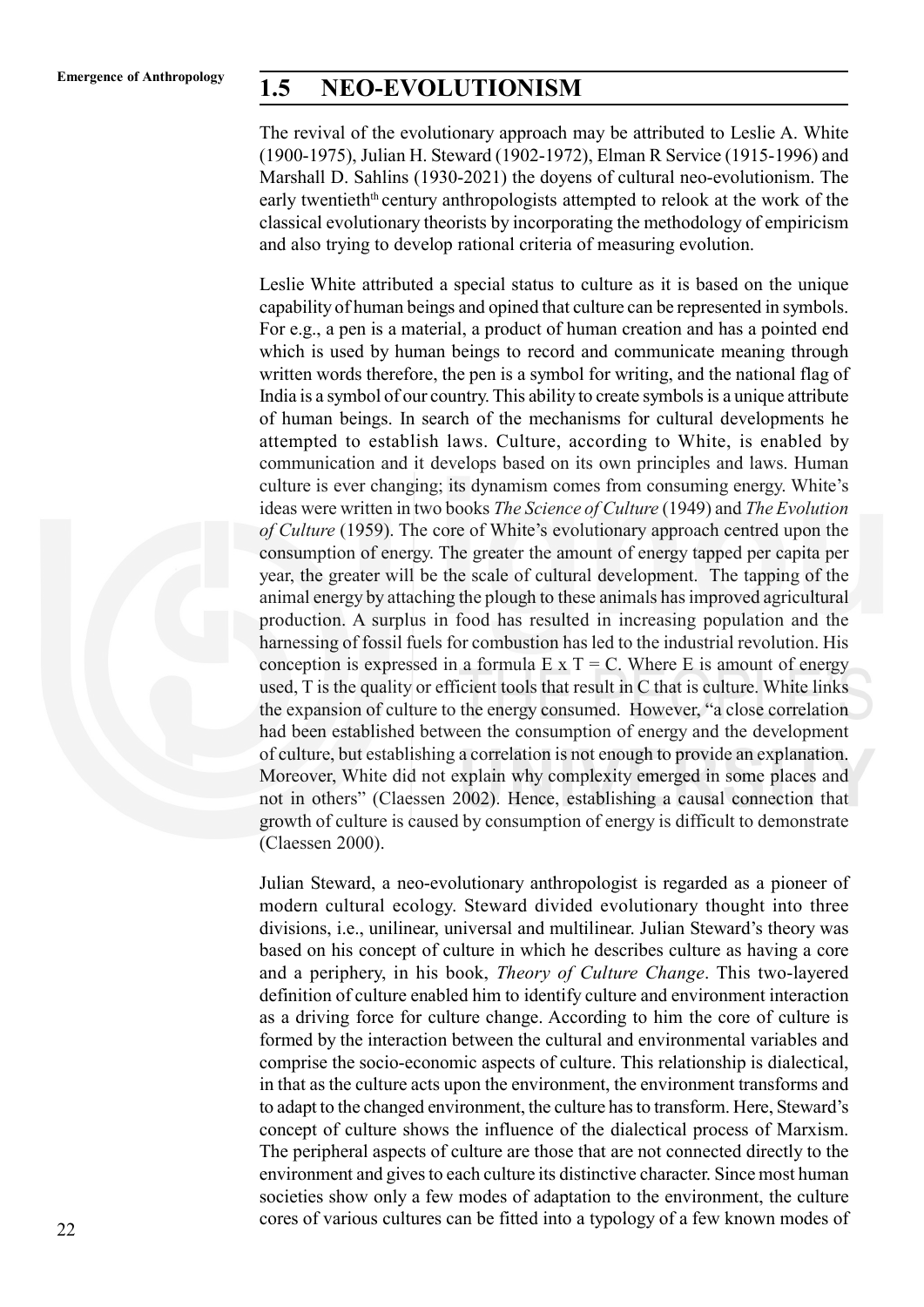## **Emergence of Anthropology 1.5 NEO-EVOLUTIONISM**

The revival of the evolutionary approach may be attributed to Leslie A. White (1900-1975), Julian H. Steward (1902-1972), Elman R Service (1915-1996) and Marshall D. Sahlins (1930-2021) the doyens of cultural neo-evolutionism. The early twentieth<sup>th</sup> century anthropologists attempted to relook at the work of the classical evolutionary theorists by incorporating the methodology of empiricism and also trying to develop rational criteria of measuring evolution.

Leslie White attributed a special status to culture as it is based on the unique capability of human beings and opined that culture can be represented in symbols. For e.g., a pen is a material, a product of human creation and has a pointed end which is used by human beings to record and communicate meaning through written words therefore, the pen is a symbol for writing, and the national flag of India is a symbol of our country. This ability to create symbols is a unique attribute of human beings. In search of the mechanisms for cultural developments he attempted to establish laws. Culture, according to White, is enabled by communication and it develops based on its own principles and laws. Human culture is ever changing; its dynamism comes from consuming energy. White's ideas were written in two books *The Science of Culture* (1949) and *The Evolution of Culture* (1959). The core of White's evolutionary approach centred upon the consumption of energy. The greater the amount of energy tapped per capita per year, the greater will be the scale of cultural development. The tapping of the animal energy by attaching the plough to these animals has improved agricultural production. A surplus in food has resulted in increasing population and the harnessing of fossil fuels for combustion has led to the industrial revolution. His conception is expressed in a formula  $E \times T = C$ . Where E is amount of energy used, T is the quality or efficient tools that result in C that is culture. White links the expansion of culture to the energy consumed. However, "a close correlation had been established between the consumption of energy and the development of culture, but establishing a correlation is not enough to provide an explanation. Moreover, White did not explain why complexity emerged in some places and not in others" (Claessen 2002). Hence, establishing a causal connection that growth of culture is caused by consumption of energy is difficult to demonstrate (Claessen 2000).

Julian Steward, a neo-evolutionary anthropologist is regarded as a pioneer of modern cultural ecology. Steward divided evolutionary thought into three divisions, i.e., unilinear, universal and multilinear. Julian Steward's theory was based on his concept of culture in which he describes culture as having a core and a periphery, in his book, *Theory of Culture Change*. This two-layered definition of culture enabled him to identify culture and environment interaction as a driving force for culture change. According to him the core of culture is formed by the interaction between the cultural and environmental variables and comprise the socio-economic aspects of culture. This relationship is dialectical, in that as the culture acts upon the environment, the environment transforms and to adapt to the changed environment, the culture has to transform. Here, Steward's concept of culture shows the influence of the dialectical process of Marxism. The peripheral aspects of culture are those that are not connected directly to the environment and gives to each culture its distinctive character. Since most human societies show only a few modes of adaptation to the environment, the culture cores of various cultures can be fitted into a typology of a few known modes of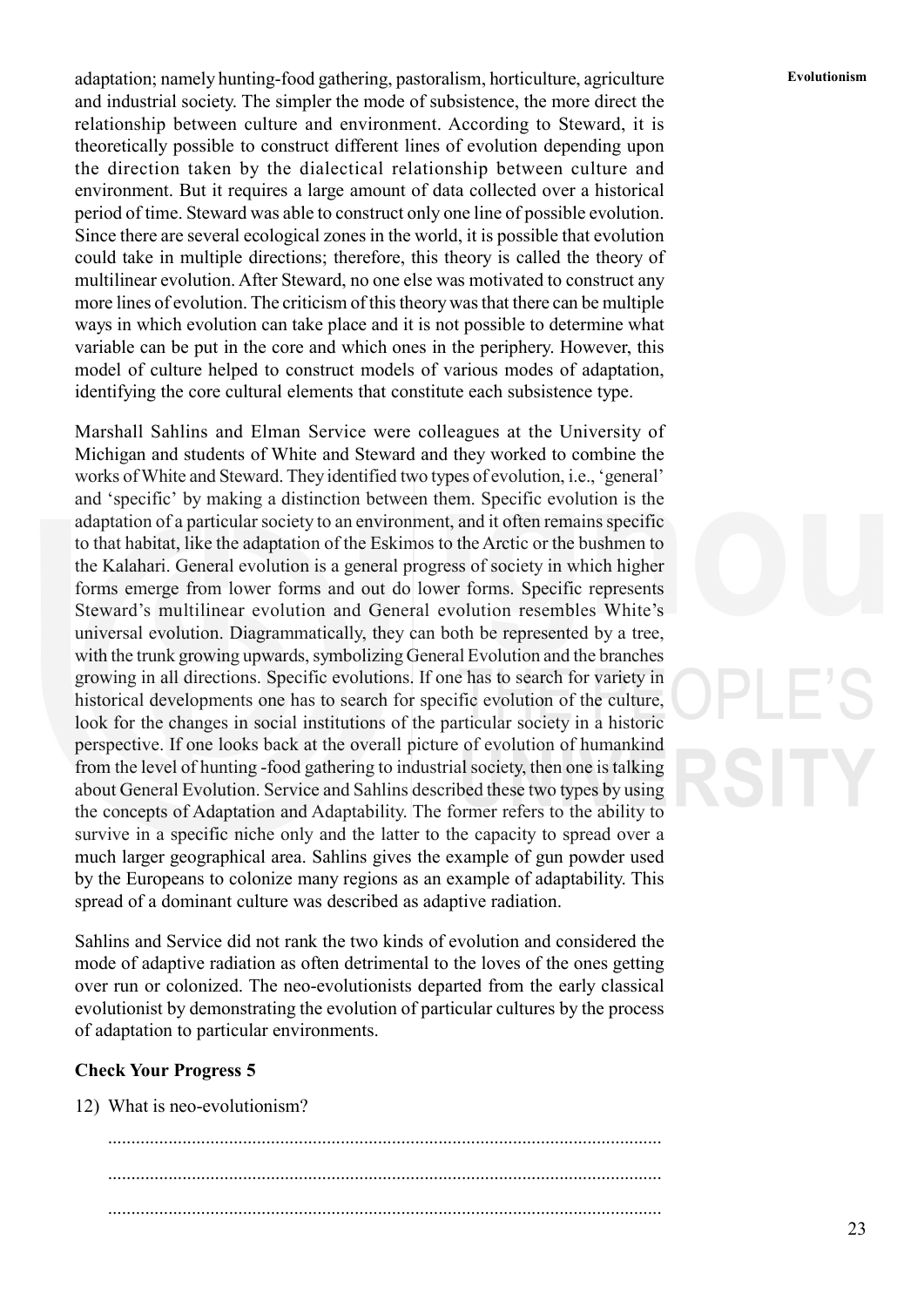adaptation; namely hunting-food gathering, pastoralism, horticulture, agriculture **Evolutionism** and industrial society. The simpler the mode of subsistence, the more direct the relationship between culture and environment. According to Steward, it is theoretically possible to construct different lines of evolution depending upon the direction taken by the dialectical relationship between culture and environment. But it requires a large amount of data collected over a historical period of time. Steward was able to construct only one line of possible evolution. Since there are several ecological zones in the world, it is possible that evolution could take in multiple directions; therefore, this theory is called the theory of multilinear evolution. After Steward, no one else was motivated to construct any more lines of evolution. The criticism of this theory was that there can be multiple ways in which evolution can take place and it is not possible to determine what variable can be put in the core and which ones in the periphery. However, this model of culture helped to construct models of various modes of adaptation, identifying the core cultural elements that constitute each subsistence type.

Marshall Sahlins and Elman Service were colleagues at the University of Michigan and students of White and Steward and they worked to combine the works of White and Steward. They identified two types of evolution, i.e., 'general' and 'specific' by making a distinction between them. Specific evolution is the adaptation of a particular society to an environment, and it often remains specific to that habitat, like the adaptation of the Eskimos to the Arctic or the bushmen to the Kalahari. General evolution is a general progress of society in which higher forms emerge from lower forms and out do lower forms. Specific represents Steward's multilinear evolution and General evolution resembles White's universal evolution. Diagrammatically, they can both be represented by a tree, with the trunk growing upwards, symbolizing General Evolution and the branches growing in all directions. Specific evolutions. If one has to search for variety in historical developments one has to search for specific evolution of the culture, look for the changes in social institutions of the particular society in a historic perspective. If one looks back at the overall picture of evolution of humankind from the level of hunting -food gathering to industrial society, then one is talking about General Evolution. Service and Sahlins described these two types by using the concepts of Adaptation and Adaptability. The former refers to the ability to survive in a specific niche only and the latter to the capacity to spread over a much larger geographical area. Sahlins gives the example of gun powder used by the Europeans to colonize many regions as an example of adaptability. This spread of a dominant culture was described as adaptive radiation.

Sahlins and Service did not rank the two kinds of evolution and considered the mode of adaptive radiation as often detrimental to the loves of the ones getting over run or colonized. The neo-evolutionists departed from the early classical evolutionist by demonstrating the evolution of particular cultures by the process of adaptation to particular environments.

## **Check Your Progress 5**

12) What is neo-evolutionism?

....................................................................................................................... ....................................................................................................................... .......................................................................................................................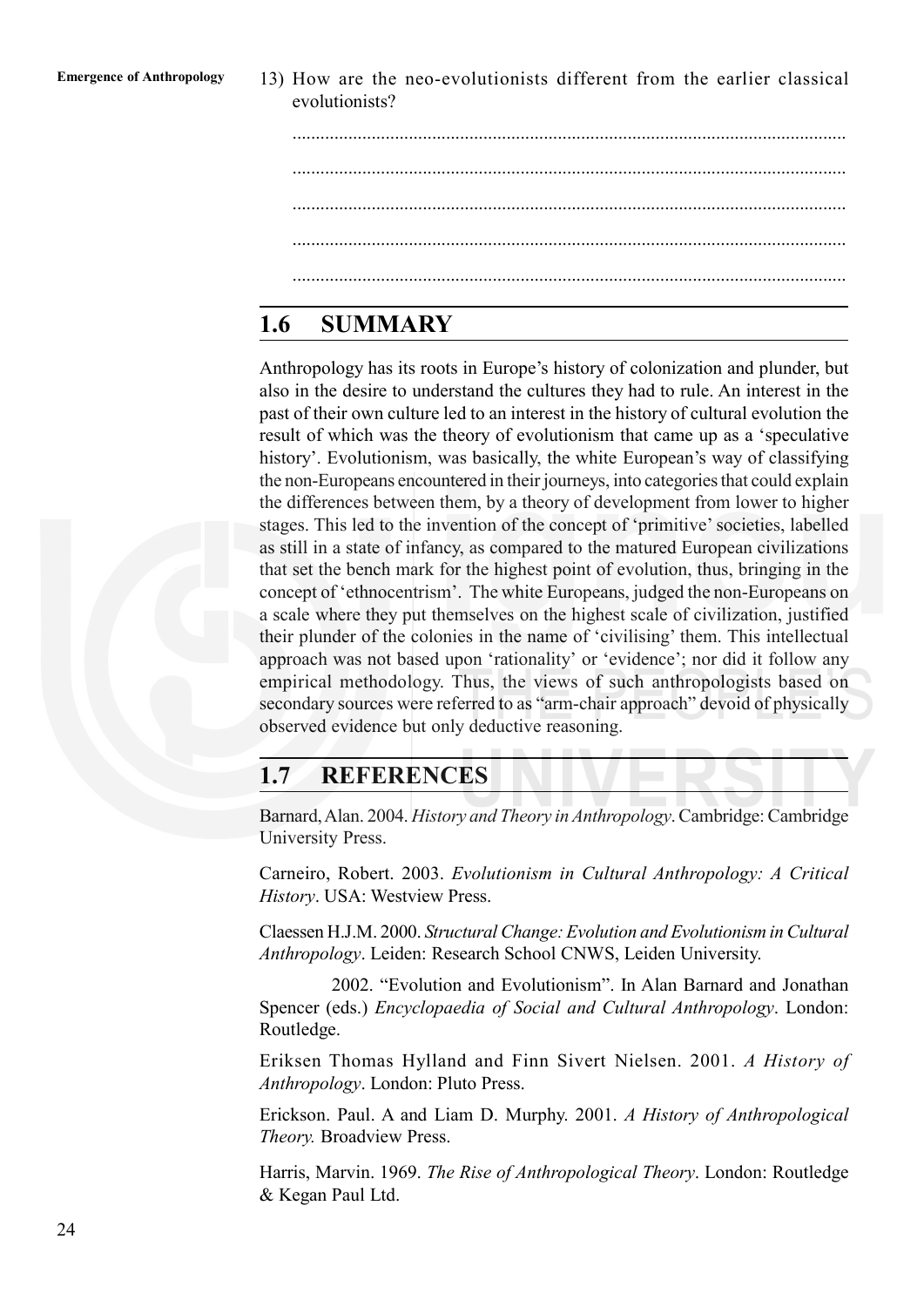**Emergence of Anthropology** 13) How are the neo-evolutionists different from the earlier classical evolutionists?

> ....................................................................................................................... ....................................................................................................................... ....................................................................................................................... ....................................................................................................................... .......................................................................................................................

## **1.6 SUMMARY**

Anthropology has its roots in Europe's history of colonization and plunder, but also in the desire to understand the cultures they had to rule. An interest in the past of their own culture led to an interest in the history of cultural evolution the result of which was the theory of evolutionism that came up as a 'speculative history'. Evolutionism, was basically, the white European's way of classifying the non-Europeans encountered in their journeys, into categories that could explain the differences between them, by a theory of development from lower to higher stages. This led to the invention of the concept of 'primitive' societies, labelled as still in a state of infancy, as compared to the matured European civilizations that set the bench mark for the highest point of evolution, thus, bringing in the concept of 'ethnocentrism'. The white Europeans, judged the non-Europeans on a scale where they put themselves on the highest scale of civilization, justified their plunder of the colonies in the name of 'civilising' them. This intellectual approach was not based upon 'rationality' or 'evidence'; nor did it follow any empirical methodology. Thus, the views of such anthropologists based on secondary sources were referred to as "arm-chair approach" devoid of physically observed evidence but only deductive reasoning.

## **1.7 REFERENCES**

Barnard, Alan. 2004. *History and Theory in Anthropology*. Cambridge: Cambridge University Press.

Carneiro, Robert. 2003. *Evolutionism in Cultural Anthropology: A Critical History*. USA: Westview Press.

Claessen H.J.M. 2000. *Structural Change: Evolution and Evolutionism in Cultural Anthropology*. Leiden: Research School CNWS, Leiden University.

2002. "Evolution and Evolutionism". In Alan Barnard and Jonathan Spencer (eds.) *Encyclopaedia of Social and Cultural Anthropology*. London: Routledge.

Eriksen Thomas Hylland and Finn Sivert Nielsen. 2001. *A History of Anthropology*. London: Pluto Press.

Erickson. Paul. A and Liam D. Murphy. 2001. *A History of Anthropological Theory.* Broadview Press.

Harris, Marvin. 1969. *The Rise of Anthropological Theory*. London: Routledge & Kegan Paul Ltd.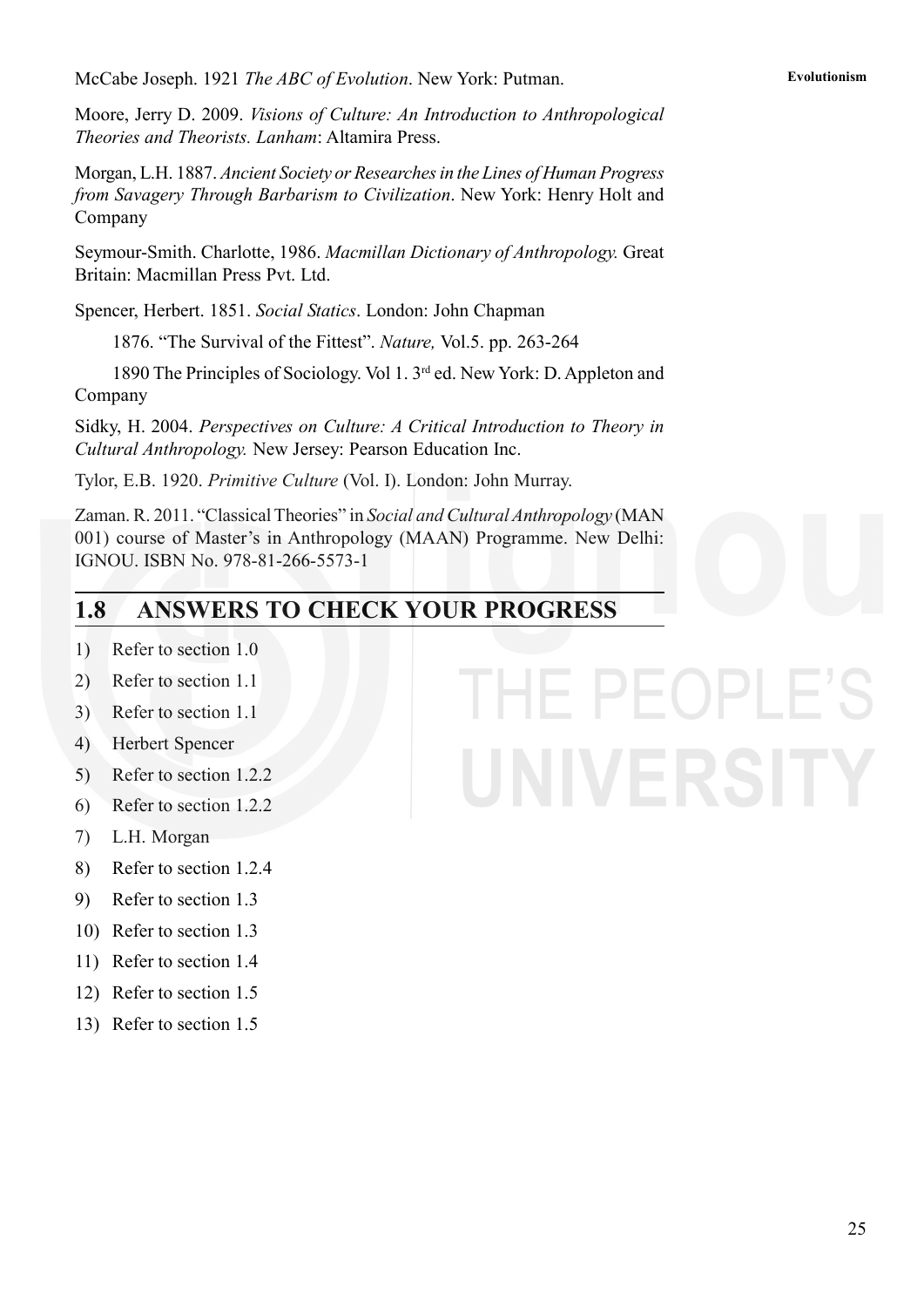McCabe Joseph. 1921 *The ABC of Evolution*. New York: Putman. **Evolutionism**

Moore, Jerry D. 2009. *Visions of Culture: An Introduction to Anthropological Theories and Theorists. Lanham*: Altamira Press.

Morgan, L.H. 1887. *Ancient Society or Researches in the Lines of Human Progress from Savagery Through Barbarism to Civilization*. New York: Henry Holt and Company

Seymour-Smith. Charlotte, 1986. *Macmillan Dictionary of Anthropology.* Great Britain: Macmillan Press Pvt. Ltd.

Spencer, Herbert. 1851. *Social Statics*. London: John Chapman

1876. "The Survival of the Fittest". *Nature,* Vol.5. pp. 263-264

1890 The Principles of Sociology. Vol 1. 3rd ed. New York: D. Appleton and Company

Sidky, H. 2004. *Perspectives on Culture: A Critical Introduction to Theory in Cultural Anthropology.* New Jersey: Pearson Education Inc.

Tylor, E.B. 1920. *Primitive Culture* (Vol. I). London: John Murray.

Zaman. R. 2011. "Classical Theories" in *Social and Cultural Anthropology* (MAN 001) course of Master's in Anthropology (MAAN) Programme. New Delhi: IGNOU. ISBN No. 978-81-266-5573-1

## **1.8 ANSWERS TO CHECK YOUR PROGRESS**

- 1) Refer to section 1.0
- 2) Refer to section 1.1
- 3) Refer to section 1.1
- 4) Herbert Spencer
- 5) Refer to section 1.2.2
- 6) Refer to section 1.2.2
- 7) L.H. Morgan
- 8) Refer to section 1.2.4
- 9) Refer to section 1.3
- 10) Refer to section 1.3
- 11) Refer to section 1.4
- 12) Refer to section 1.5
- 13) Refer to section 1.5

# -I- PFOPLF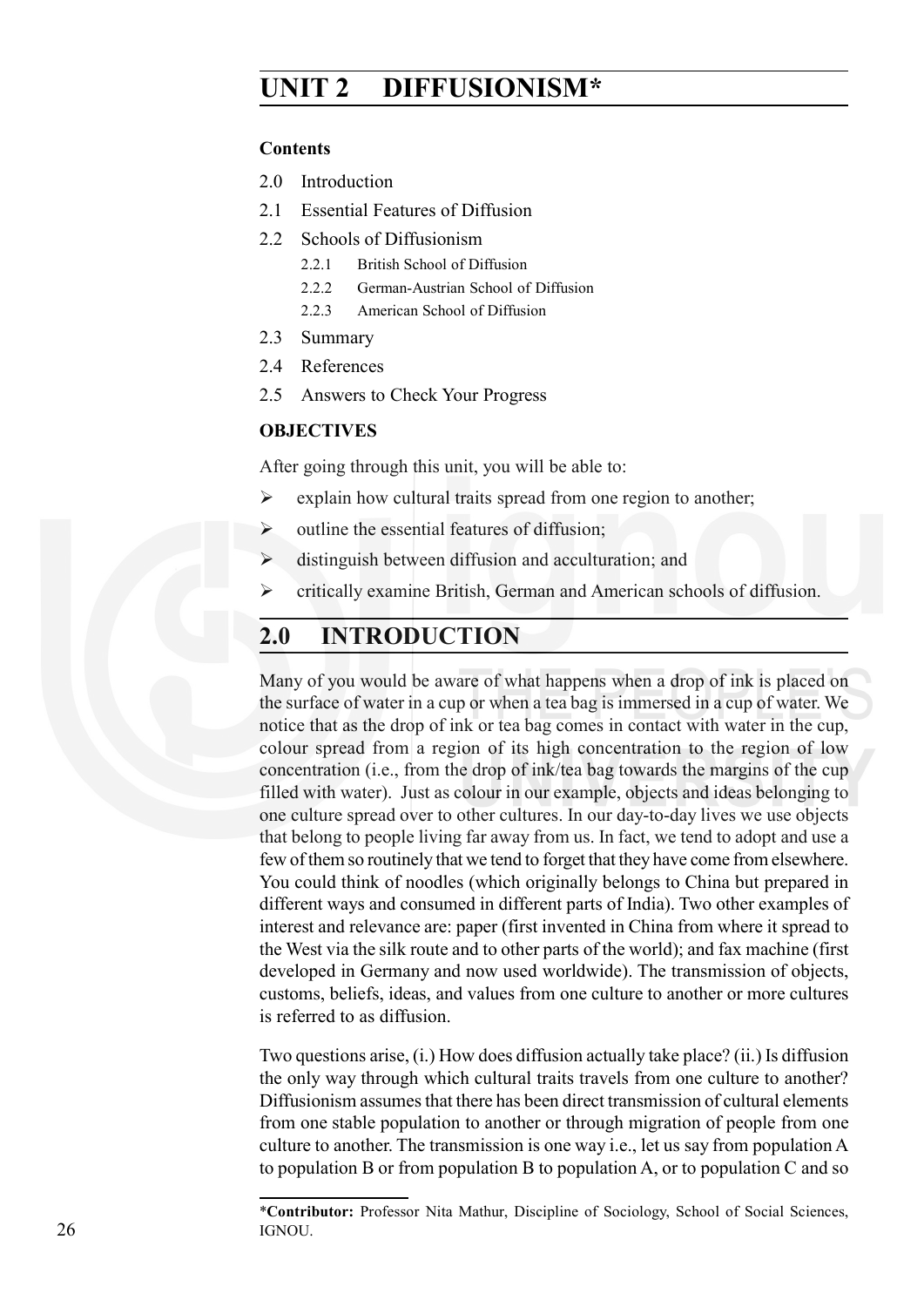## **UNIT 2 DIFFUSIONISM\***

## **Contents**

- 2.0 Introduction
- 2.1 Essential Features of Diffusion
- 2.2 Schools of Diffusionism
	- 2.2.1 British School of Diffusion
	- 2.2.2 German-Austrian School of Diffusion
	- 2.2.3 American School of Diffusion
- 2.3 Summary
- 2.4 References
- 2.5 Answers to Check Your Progress

## **OBJECTIVES**

After going through this unit, you will be able to:

- $\triangleright$  explain how cultural traits spread from one region to another;
- $\triangleright$  outline the essential features of diffusion;
- $\triangleright$  distinguish between diffusion and acculturation; and
- critically examine British, German and American schools of diffusion.

## **2.0 INTRODUCTION**

Many of you would be aware of what happens when a drop of ink is placed on the surface of water in a cup or when a tea bag is immersed in a cup of water. We notice that as the drop of ink or tea bag comes in contact with water in the cup, colour spread from a region of its high concentration to the region of low concentration (i.e., from the drop of ink/tea bag towards the margins of the cup filled with water). Just as colour in our example, objects and ideas belonging to one culture spread over to other cultures. In our day-to-day lives we use objects that belong to people living far away from us. In fact, we tend to adopt and use a few of them so routinely that we tend to forget that they have come from elsewhere. You could think of noodles (which originally belongs to China but prepared in different ways and consumed in different parts of India). Two other examples of interest and relevance are: paper (first invented in China from where it spread to the West via the silk route and to other parts of the world); and fax machine (first developed in Germany and now used worldwide). The transmission of objects, customs, beliefs, ideas, and values from one culture to another or more cultures is referred to as diffusion.

Two questions arise, (i.) How does diffusion actually take place? (ii.) Is diffusion the only way through which cultural traits travels from one culture to another? Diffusionism assumes that there has been direct transmission of cultural elements from one stable population to another or through migration of people from one culture to another. The transmission is one way i.e., let us say from population A to population B or from population B to population A, or to population C and so

<sup>\*</sup>**Contributor:** Professor Nita Mathur, Discipline of Sociology, School of Social Sciences, IGNOU.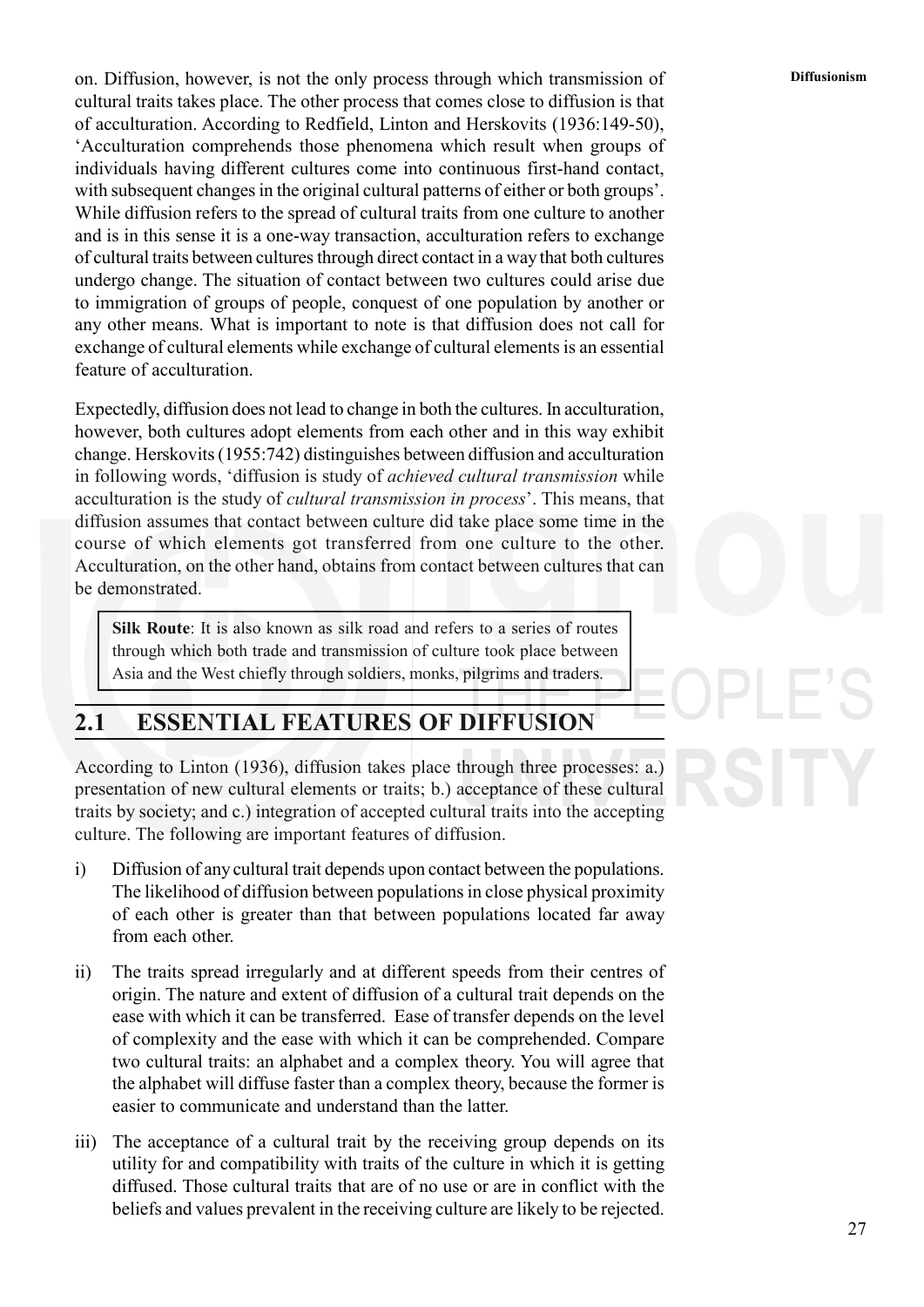on. Diffusion, however, is not the only process through which transmission of **Diffusionism** cultural traits takes place. The other process that comes close to diffusion is that of acculturation. According to Redfield, Linton and Herskovits (1936:149-50), 'Acculturation comprehends those phenomena which result when groups of individuals having different cultures come into continuous first-hand contact, with subsequent changes in the original cultural patterns of either or both groups'. While diffusion refers to the spread of cultural traits from one culture to another and is in this sense it is a one-way transaction, acculturation refers to exchange of cultural traits between cultures through direct contact in a way that both cultures undergo change. The situation of contact between two cultures could arise due to immigration of groups of people, conquest of one population by another or any other means. What is important to note is that diffusion does not call for exchange of cultural elements while exchange of cultural elements is an essential feature of acculturation.

Expectedly, diffusion does not lead to change in both the cultures. In acculturation, however, both cultures adopt elements from each other and in this way exhibit change. Herskovits (1955:742) distinguishes between diffusion and acculturation in following words, 'diffusion is study of *achieved cultural transmission* while acculturation is the study of *cultural transmission in process*'. This means, that diffusion assumes that contact between culture did take place some time in the course of which elements got transferred from one culture to the other. Acculturation, on the other hand, obtains from contact between cultures that can be demonstrated.

**Silk Route**: It is also known as silk road and refers to a series of routes through which both trade and transmission of culture took place between Asia and the West chiefly through soldiers, monks, pilgrims and traders.

## **2.1 ESSENTIAL FEATURES OF DIFFUSION**

According to Linton (1936), diffusion takes place through three processes: a.) presentation of new cultural elements or traits; b.) acceptance of these cultural traits by society; and c.) integration of accepted cultural traits into the accepting culture. The following are important features of diffusion.

- i) Diffusion of any cultural trait depends upon contact between the populations. The likelihood of diffusion between populations in close physical proximity of each other is greater than that between populations located far away from each other.
- ii) The traits spread irregularly and at different speeds from their centres of origin. The nature and extent of diffusion of a cultural trait depends on the ease with which it can be transferred. Ease of transfer depends on the level of complexity and the ease with which it can be comprehended. Compare two cultural traits: an alphabet and a complex theory. You will agree that the alphabet will diffuse faster than a complex theory, because the former is easier to communicate and understand than the latter.
- iii) The acceptance of a cultural trait by the receiving group depends on its utility for and compatibility with traits of the culture in which it is getting diffused. Those cultural traits that are of no use or are in conflict with the beliefs and values prevalent in the receiving culture are likely to be rejected.

27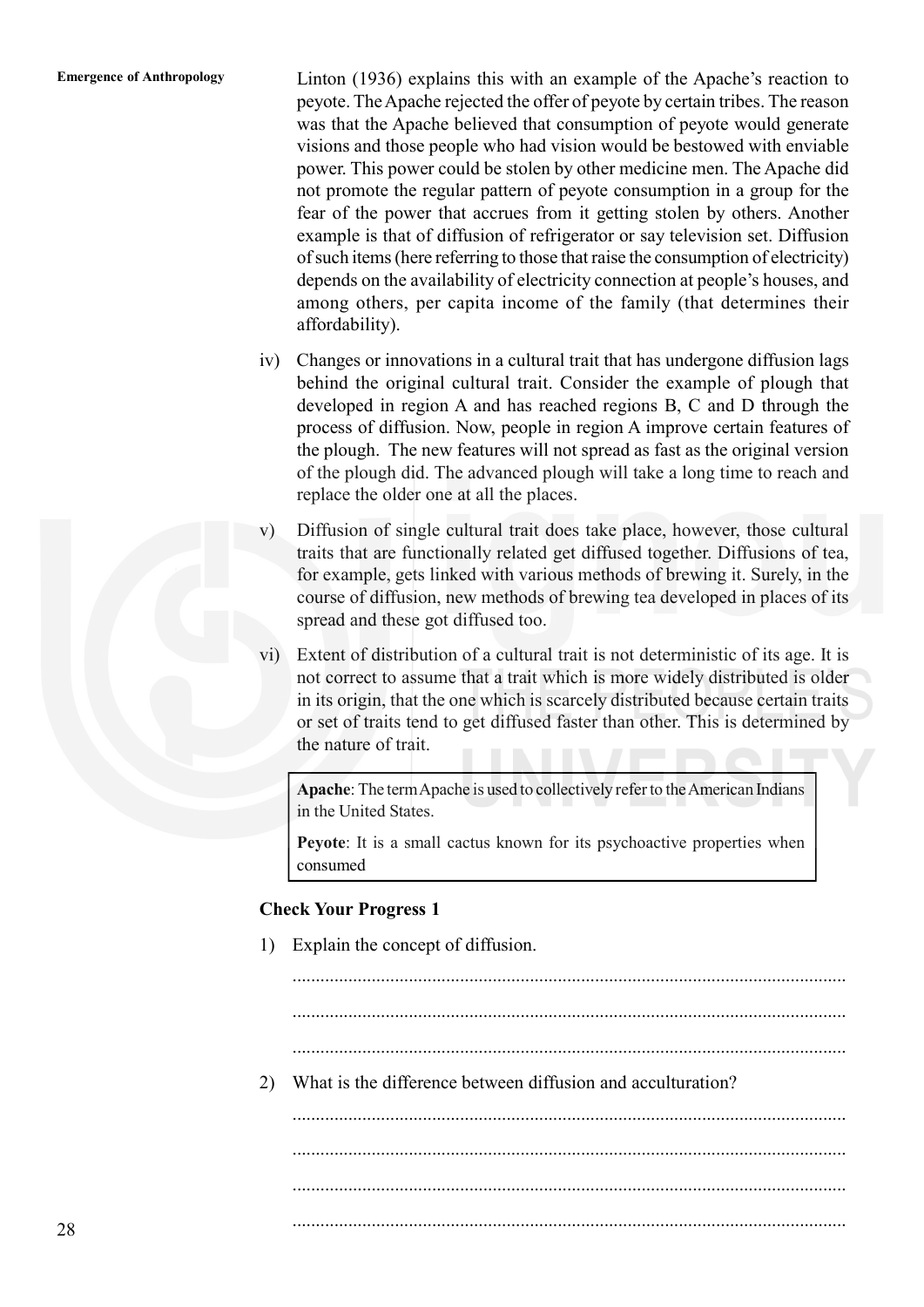**Emergence of Anthropology** Linton (1936) explains this with an example of the Apache's reaction to peyote. The Apache rejected the offer of peyote by certain tribes. The reason was that the Apache believed that consumption of peyote would generate visions and those people who had vision would be bestowed with enviable power. This power could be stolen by other medicine men. The Apache did not promote the regular pattern of peyote consumption in a group for the fear of the power that accrues from it getting stolen by others. Another example is that of diffusion of refrigerator or say television set. Diffusion of such items (here referring to those that raise the consumption of electricity) depends on the availability of electricity connection at people's houses, and among others, per capita income of the family (that determines their affordability).

- iv) Changes or innovations in a cultural trait that has undergone diffusion lags behind the original cultural trait. Consider the example of plough that developed in region A and has reached regions B, C and D through the process of diffusion. Now, people in region A improve certain features of the plough. The new features will not spread as fast as the original version of the plough did. The advanced plough will take a long time to reach and replace the older one at all the places.
- v) Diffusion of single cultural trait does take place, however, those cultural traits that are functionally related get diffused together. Diffusions of tea, for example, gets linked with various methods of brewing it. Surely, in the course of diffusion, new methods of brewing tea developed in places of its spread and these got diffused too.
- vi) Extent of distribution of a cultural trait is not deterministic of its age. It is not correct to assume that a trait which is more widely distributed is older in its origin, that the one which is scarcely distributed because certain traits or set of traits tend to get diffused faster than other. This is determined by the nature of trait.

**Apache**: The term Apache is used to collectively refer to the American Indians in the United States.

Peyote: It is a small cactus known for its psychoactive properties when consumed

## **Check Your Progress 1**

1) Explain the concept of diffusion.

....................................................................................................................... .......................................................................................................................

- .......................................................................................................................
- 2) What is the difference between diffusion and acculturation?

....................................................................................................................... ....................................................................................................................... ....................................................................................................................... .......................................................................................................................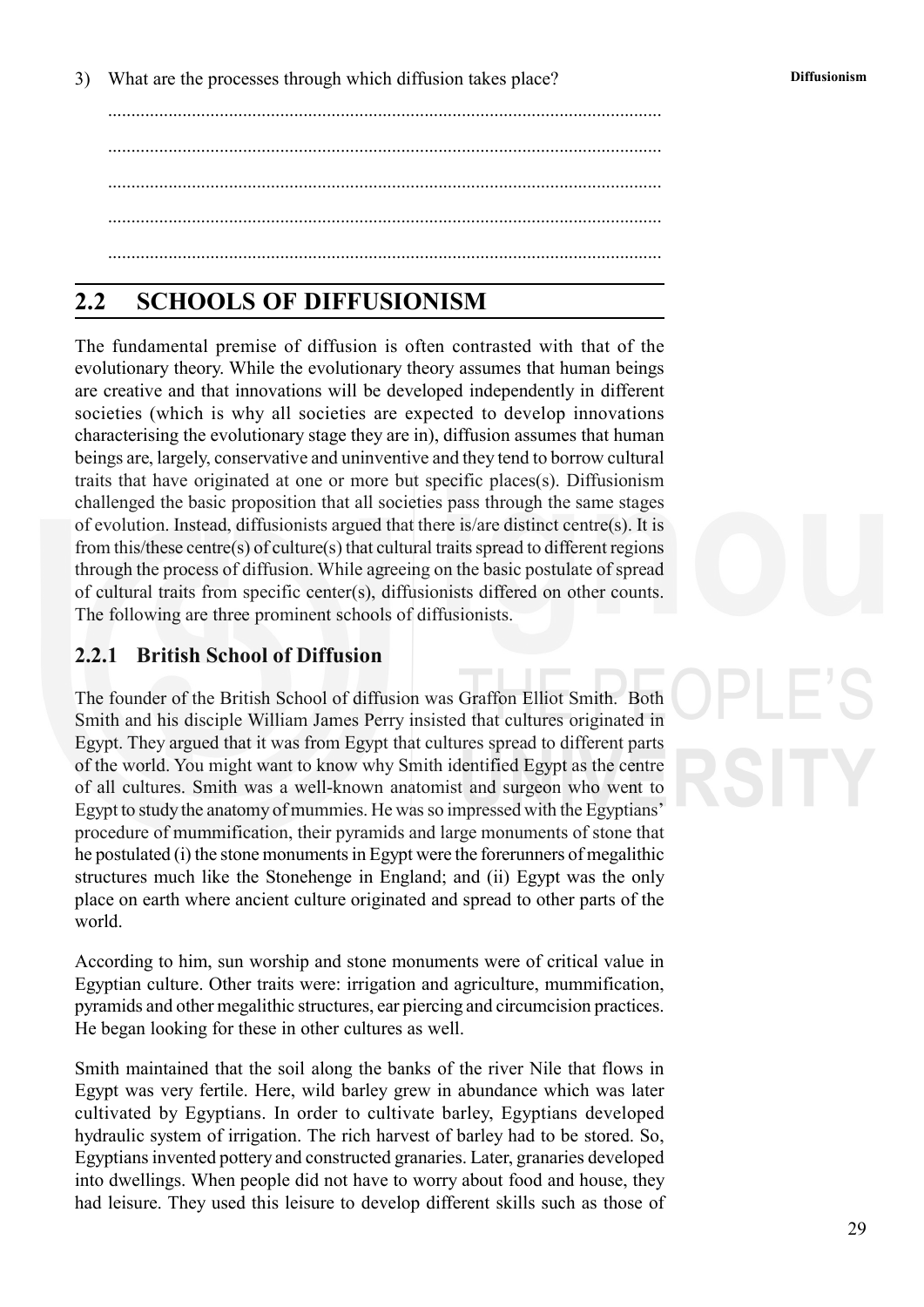3) What are the processes through which diffusion takes place? **Diffusionism**

....................................................................................................................... ....................................................................................................................... ....................................................................................................................... ....................................................................................................................... .......................................................................................................................

## **2.2 SCHOOLS OF DIFFUSIONISM**

The fundamental premise of diffusion is often contrasted with that of the evolutionary theory. While the evolutionary theory assumes that human beings are creative and that innovations will be developed independently in different societies (which is why all societies are expected to develop innovations characterising the evolutionary stage they are in), diffusion assumes that human beings are, largely, conservative and uninventive and they tend to borrow cultural traits that have originated at one or more but specific places(s). Diffusionism challenged the basic proposition that all societies pass through the same stages of evolution. Instead, diffusionists argued that there is/are distinct centre(s). It is from this/these centre(s) of culture(s) that cultural traits spread to different regions through the process of diffusion. While agreeing on the basic postulate of spread of cultural traits from specific center(s), diffusionists differed on other counts. The following are three prominent schools of diffusionists.

## **2.2.1 British School of Diffusion**

The founder of the British School of diffusion was Graffon Elliot Smith. Both Smith and his disciple William James Perry insisted that cultures originated in Egypt. They argued that it was from Egypt that cultures spread to different parts of the world. You might want to know why Smith identified Egypt as the centre of all cultures. Smith was a well-known anatomist and surgeon who went to Egypt to study the anatomy of mummies. He was so impressed with the Egyptians' procedure of mummification, their pyramids and large monuments of stone that he postulated (i) the stone monuments in Egypt were the forerunners of megalithic structures much like the Stonehenge in England; and (ii) Egypt was the only place on earth where ancient culture originated and spread to other parts of the world.

According to him, sun worship and stone monuments were of critical value in Egyptian culture. Other traits were: irrigation and agriculture, mummification, pyramids and other megalithic structures, ear piercing and circumcision practices. He began looking for these in other cultures as well.

Smith maintained that the soil along the banks of the river Nile that flows in Egypt was very fertile. Here, wild barley grew in abundance which was later cultivated by Egyptians. In order to cultivate barley, Egyptians developed hydraulic system of irrigation. The rich harvest of barley had to be stored. So, Egyptians invented pottery and constructed granaries. Later, granaries developed into dwellings. When people did not have to worry about food and house, they had leisure. They used this leisure to develop different skills such as those of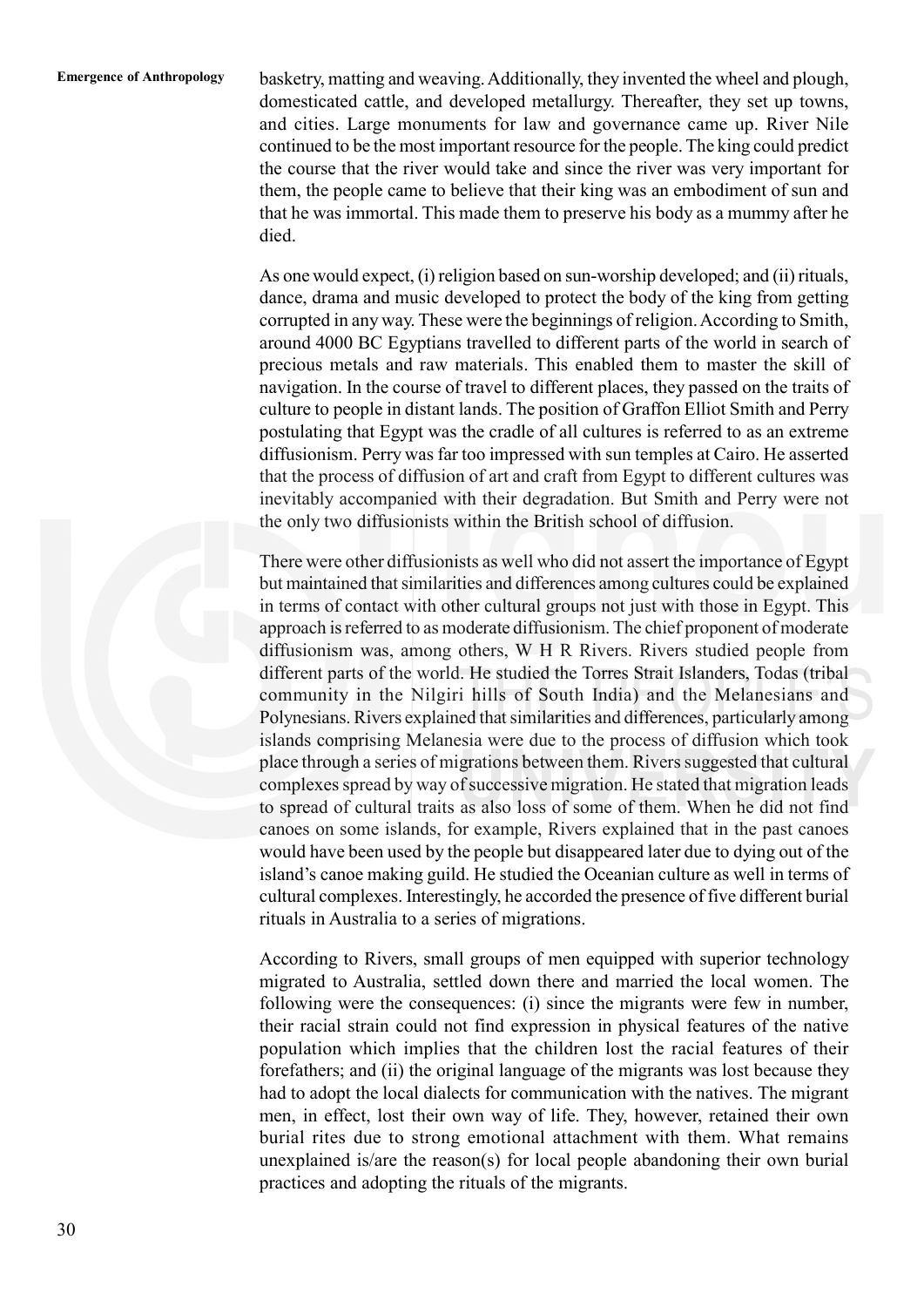**Emergence of Anthropology** basketry, matting and weaving. Additionally, they invented the wheel and plough, domesticated cattle, and developed metallurgy. Thereafter, they set up towns, and cities. Large monuments for law and governance came up. River Nile continued to be the most important resource for the people. The king could predict the course that the river would take and since the river was very important for them, the people came to believe that their king was an embodiment of sun and that he was immortal. This made them to preserve his body as a mummy after he died.

> As one would expect, (i) religion based on sun-worship developed; and (ii) rituals, dance, drama and music developed to protect the body of the king from getting corrupted in any way. These were the beginnings of religion. According to Smith, around 4000 BC Egyptians travelled to different parts of the world in search of precious metals and raw materials. This enabled them to master the skill of navigation. In the course of travel to different places, they passed on the traits of culture to people in distant lands. The position of Graffon Elliot Smith and Perry postulating that Egypt was the cradle of all cultures is referred to as an extreme diffusionism. Perry was far too impressed with sun temples at Cairo. He asserted that the process of diffusion of art and craft from Egypt to different cultures was inevitably accompanied with their degradation. But Smith and Perry were not the only two diffusionists within the British school of diffusion.

> There were other diffusionists as well who did not assert the importance of Egypt but maintained that similarities and differences among cultures could be explained in terms of contact with other cultural groups not just with those in Egypt. This approach is referred to as moderate diffusionism. The chief proponent of moderate diffusionism was, among others, W H R Rivers. Rivers studied people from different parts of the world. He studied the Torres Strait Islanders, Todas (tribal community in the Nilgiri hills of South India) and the Melanesians and Polynesians. Rivers explained that similarities and differences, particularly among islands comprising Melanesia were due to the process of diffusion which took place through a series of migrations between them. Rivers suggested that cultural complexes spread by way of successive migration. He stated that migration leads to spread of cultural traits as also loss of some of them. When he did not find canoes on some islands, for example, Rivers explained that in the past canoes would have been used by the people but disappeared later due to dying out of the island's canoe making guild. He studied the Oceanian culture as well in terms of cultural complexes. Interestingly, he accorded the presence of five different burial rituals in Australia to a series of migrations.

> According to Rivers, small groups of men equipped with superior technology migrated to Australia, settled down there and married the local women. The following were the consequences: (i) since the migrants were few in number, their racial strain could not find expression in physical features of the native population which implies that the children lost the racial features of their forefathers; and (ii) the original language of the migrants was lost because they had to adopt the local dialects for communication with the natives. The migrant men, in effect, lost their own way of life. They, however, retained their own burial rites due to strong emotional attachment with them. What remains unexplained is/are the reason(s) for local people abandoning their own burial practices and adopting the rituals of the migrants.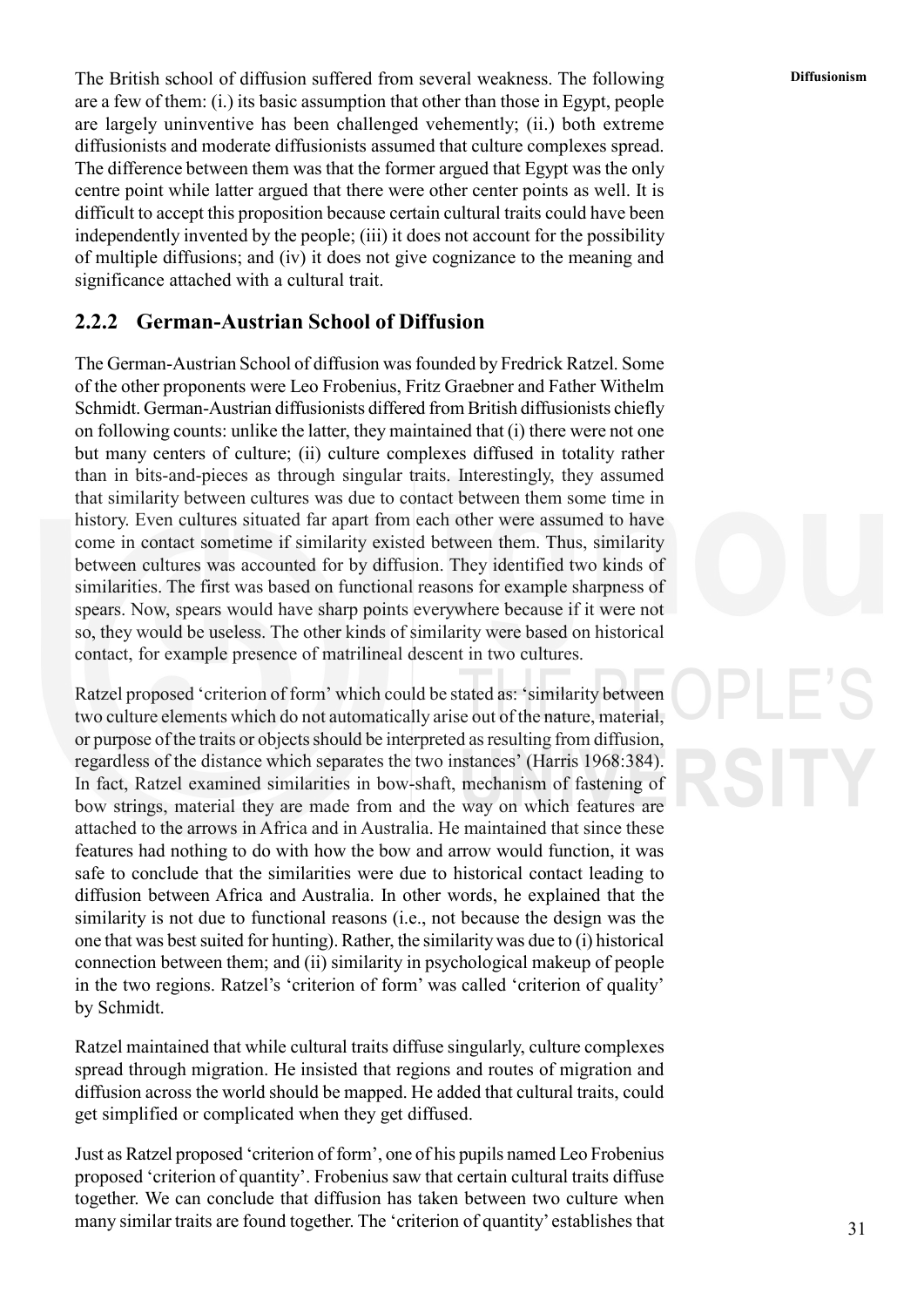The British school of diffusion suffered from several weakness. The following **Diffusionism** are a few of them: (i.) its basic assumption that other than those in Egypt, people are largely uninventive has been challenged vehemently; (ii.) both extreme diffusionists and moderate diffusionists assumed that culture complexes spread. The difference between them was that the former argued that Egypt was the only centre point while latter argued that there were other center points as well. It is difficult to accept this proposition because certain cultural traits could have been independently invented by the people; (iii) it does not account for the possibility of multiple diffusions; and (iv) it does not give cognizance to the meaning and significance attached with a cultural trait.

## **2.2.2 German-Austrian School of Diffusion**

The German-Austrian School of diffusion was founded by Fredrick Ratzel. Some of the other proponents were Leo Frobenius, Fritz Graebner and Father Withelm Schmidt. German-Austrian diffusionists differed from British diffusionists chiefly on following counts: unlike the latter, they maintained that (i) there were not one but many centers of culture; (ii) culture complexes diffused in totality rather than in bits-and-pieces as through singular traits. Interestingly, they assumed that similarity between cultures was due to contact between them some time in history. Even cultures situated far apart from each other were assumed to have come in contact sometime if similarity existed between them. Thus, similarity between cultures was accounted for by diffusion. They identified two kinds of similarities. The first was based on functional reasons for example sharpness of spears. Now, spears would have sharp points everywhere because if it were not so, they would be useless. The other kinds of similarity were based on historical contact, for example presence of matrilineal descent in two cultures.

Ratzel proposed 'criterion of form' which could be stated as: 'similarity between two culture elements which do not automatically arise out of the nature, material, or purpose of the traits or objects should be interpreted as resulting from diffusion, regardless of the distance which separates the two instances' (Harris 1968:384). In fact, Ratzel examined similarities in bow-shaft, mechanism of fastening of bow strings, material they are made from and the way on which features are attached to the arrows in Africa and in Australia. He maintained that since these features had nothing to do with how the bow and arrow would function, it was safe to conclude that the similarities were due to historical contact leading to diffusion between Africa and Australia. In other words, he explained that the similarity is not due to functional reasons (i.e., not because the design was the one that was best suited for hunting). Rather, the similarity was due to (i) historical connection between them; and (ii) similarity in psychological makeup of people in the two regions. Ratzel's 'criterion of form' was called 'criterion of quality' by Schmidt.

Ratzel maintained that while cultural traits diffuse singularly, culture complexes spread through migration. He insisted that regions and routes of migration and diffusion across the world should be mapped. He added that cultural traits, could get simplified or complicated when they get diffused.

Just as Ratzel proposed 'criterion of form', one of his pupils named Leo Frobenius proposed 'criterion of quantity'. Frobenius saw that certain cultural traits diffuse together. We can conclude that diffusion has taken between two culture when many similar traits are found together. The 'criterion of quantity' establishes that

31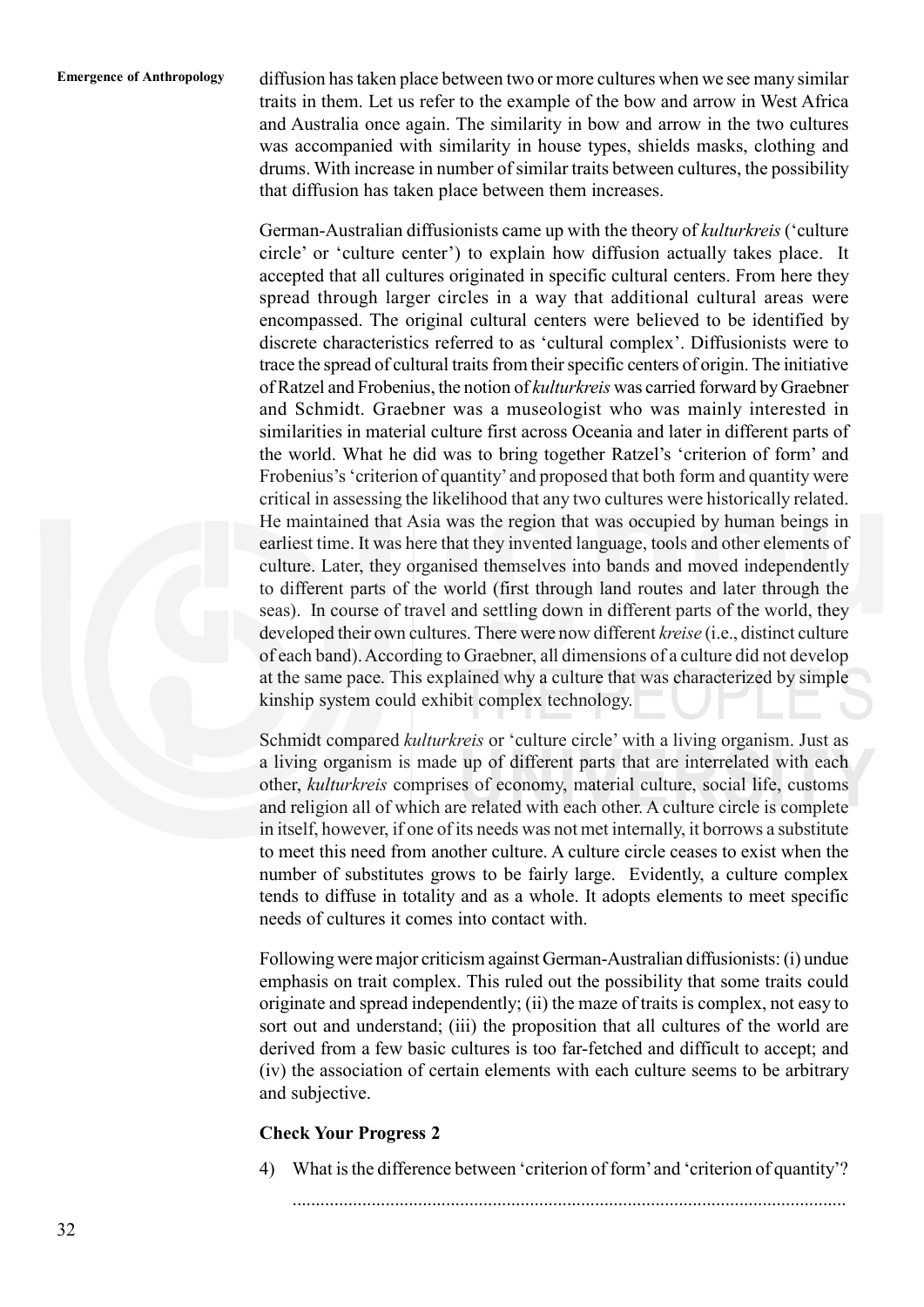**Emergence of Anthropology** diffusion has taken place between two or more cultures when we see many similar traits in them. Let us refer to the example of the bow and arrow in West Africa and Australia once again. The similarity in bow and arrow in the two cultures was accompanied with similarity in house types, shields masks, clothing and drums. With increase in number of similar traits between cultures, the possibility that diffusion has taken place between them increases.

> German-Australian diffusionists came up with the theory of *kulturkreis* ('culture circle' or 'culture center') to explain how diffusion actually takes place. It accepted that all cultures originated in specific cultural centers. From here they spread through larger circles in a way that additional cultural areas were encompassed. The original cultural centers were believed to be identified by discrete characteristics referred to as 'cultural complex'. Diffusionists were to trace the spread of cultural traits from their specific centers of origin. The initiative of Ratzel and Frobenius, the notion of *kulturkreis* was carried forward by Graebner and Schmidt. Graebner was a museologist who was mainly interested in similarities in material culture first across Oceania and later in different parts of the world. What he did was to bring together Ratzel's 'criterion of form' and Frobenius's 'criterion of quantity' and proposed that both form and quantity were critical in assessing the likelihood that any two cultures were historically related. He maintained that Asia was the region that was occupied by human beings in earliest time. It was here that they invented language, tools and other elements of culture. Later, they organised themselves into bands and moved independently to different parts of the world (first through land routes and later through the seas). In course of travel and settling down in different parts of the world, they developed their own cultures. There were now different *kreise* (i.e., distinct culture of each band). According to Graebner, all dimensions of a culture did not develop at the same pace. This explained why a culture that was characterized by simple kinship system could exhibit complex technology.

> Schmidt compared *kulturkreis* or 'culture circle' with a living organism. Just as a living organism is made up of different parts that are interrelated with each other, *kulturkreis* comprises of economy, material culture, social life, customs and religion all of which are related with each other. A culture circle is complete in itself, however, if one of its needs was not met internally, it borrows a substitute to meet this need from another culture. A culture circle ceases to exist when the number of substitutes grows to be fairly large. Evidently, a culture complex tends to diffuse in totality and as a whole. It adopts elements to meet specific needs of cultures it comes into contact with.

> Following were major criticism against German-Australian diffusionists: (i) undue emphasis on trait complex. This ruled out the possibility that some traits could originate and spread independently; (ii) the maze of traits is complex, not easy to sort out and understand; (iii) the proposition that all cultures of the world are derived from a few basic cultures is too far-fetched and difficult to accept; and (iv) the association of certain elements with each culture seems to be arbitrary and subjective.

## **Check Your Progress 2**

4) What is the difference between 'criterion of form' and 'criterion of quantity'?

.......................................................................................................................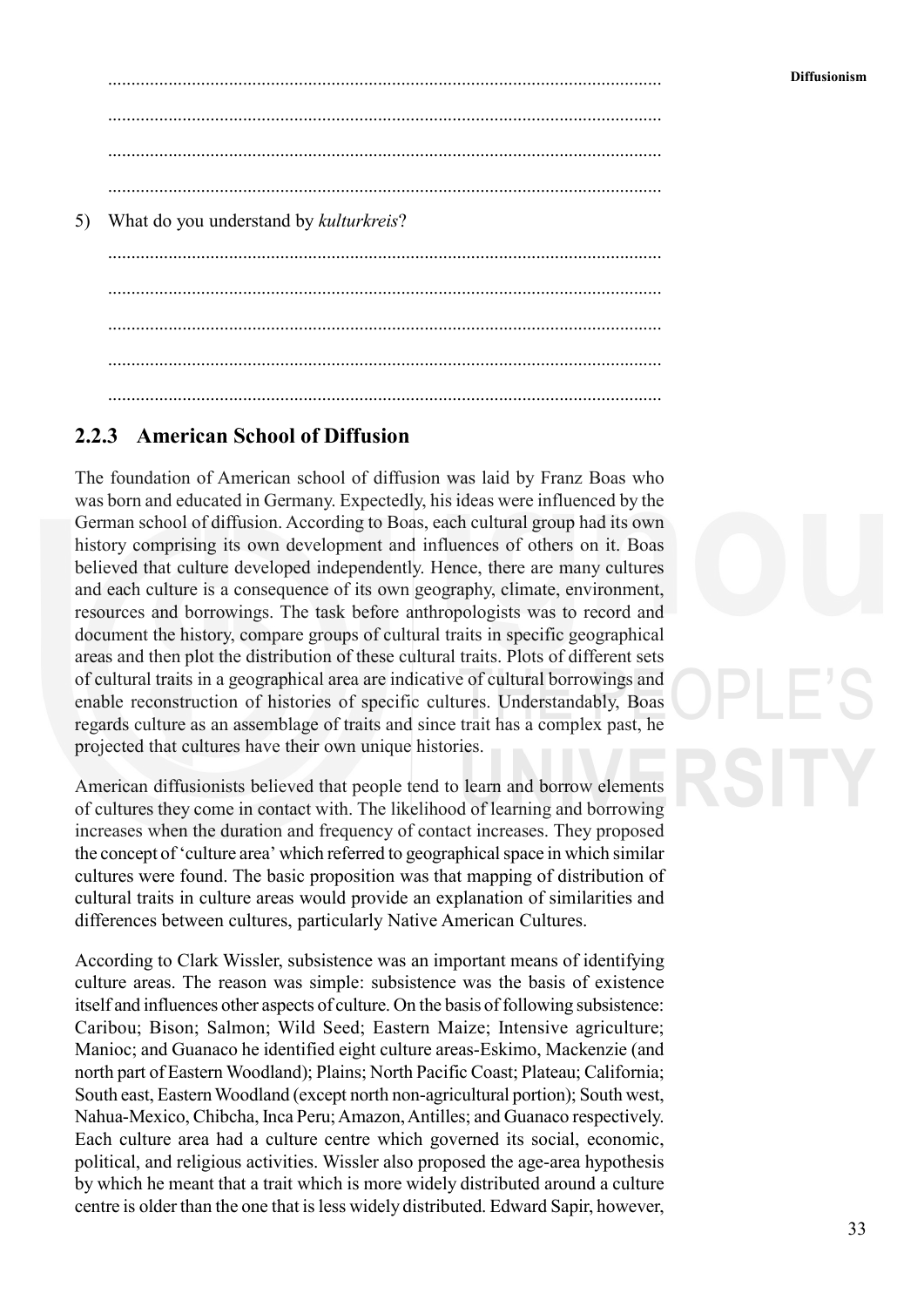....................................................................................................................... **Diffusionism** ....................................................................................................................... ....................................................................................................................... ....................................................................................................................... 5) What do you understand by *kulturkreis*? ....................................................................................................................... ....................................................................................................................... ....................................................................................................................... ....................................................................................................................... .......................................................................................................................

## **2.2.3 American School of Diffusion**

The foundation of American school of diffusion was laid by Franz Boas who was born and educated in Germany. Expectedly, his ideas were influenced by the German school of diffusion. According to Boas, each cultural group had its own history comprising its own development and influences of others on it. Boas believed that culture developed independently. Hence, there are many cultures and each culture is a consequence of its own geography, climate, environment, resources and borrowings. The task before anthropologists was to record and document the history, compare groups of cultural traits in specific geographical areas and then plot the distribution of these cultural traits. Plots of different sets of cultural traits in a geographical area are indicative of cultural borrowings and enable reconstruction of histories of specific cultures. Understandably, Boas regards culture as an assemblage of traits and since trait has a complex past, he projected that cultures have their own unique histories.

American diffusionists believed that people tend to learn and borrow elements of cultures they come in contact with. The likelihood of learning and borrowing increases when the duration and frequency of contact increases. They proposed the concept of 'culture area' which referred to geographical space in which similar cultures were found. The basic proposition was that mapping of distribution of cultural traits in culture areas would provide an explanation of similarities and differences between cultures, particularly Native American Cultures.

According to Clark Wissler, subsistence was an important means of identifying culture areas. The reason was simple: subsistence was the basis of existence itself and influences other aspects of culture. On the basis of following subsistence: Caribou; Bison; Salmon; Wild Seed; Eastern Maize; Intensive agriculture; Manioc; and Guanaco he identified eight culture areas-Eskimo, Mackenzie (and north part of Eastern Woodland); Plains; North Pacific Coast; Plateau; California; South east, Eastern Woodland (except north non-agricultural portion); South west, Nahua-Mexico, Chibcha, Inca Peru; Amazon, Antilles; and Guanaco respectively. Each culture area had a culture centre which governed its social, economic, political, and religious activities. Wissler also proposed the age-area hypothesis by which he meant that a trait which is more widely distributed around a culture centre is older than the one that is less widely distributed. Edward Sapir, however,

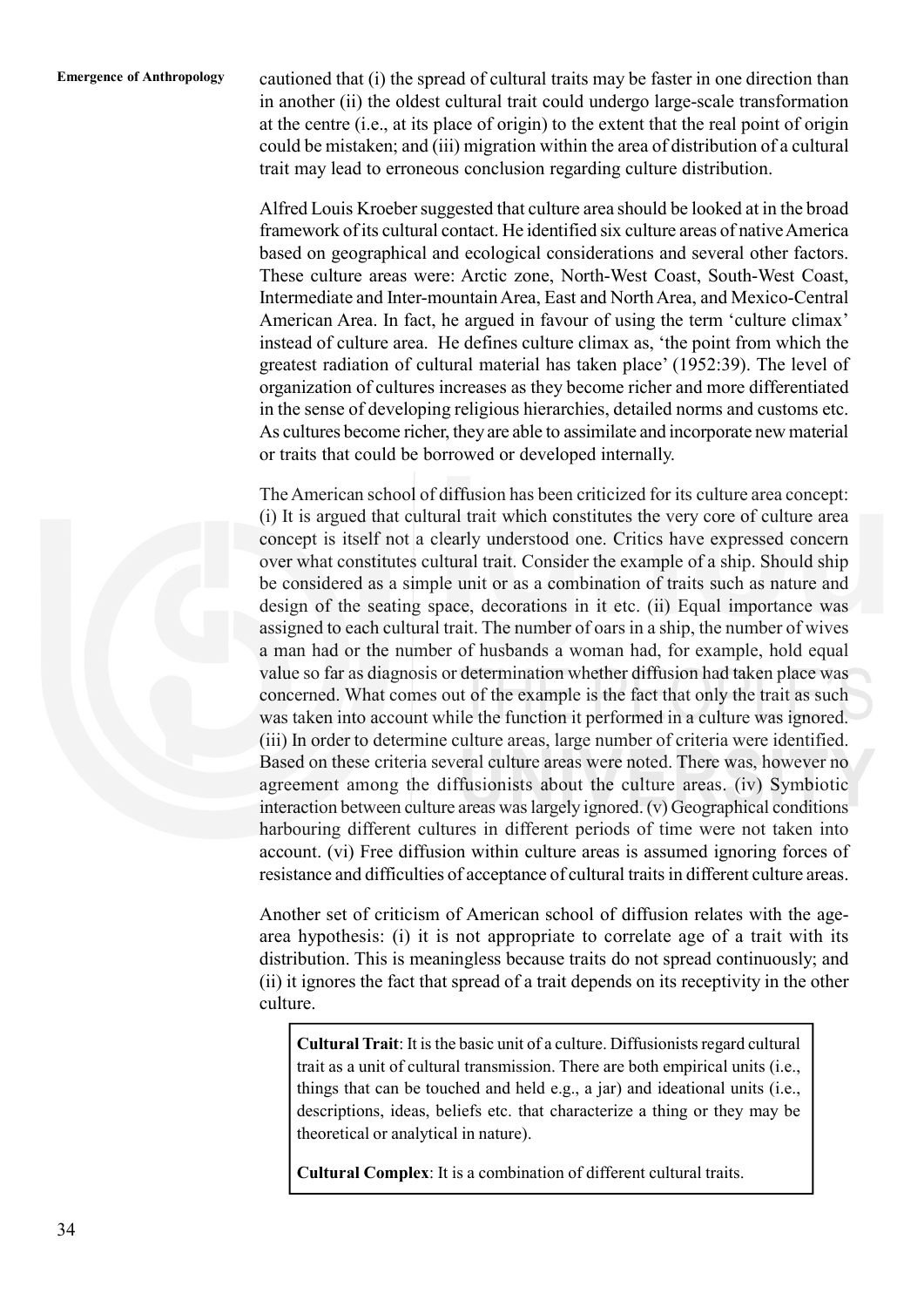**Emergence of Anthropology** cautioned that (i) the spread of cultural traits may be faster in one direction than in another (ii) the oldest cultural trait could undergo large-scale transformation at the centre (i.e., at its place of origin) to the extent that the real point of origin could be mistaken; and (iii) migration within the area of distribution of a cultural trait may lead to erroneous conclusion regarding culture distribution.

> Alfred Louis Kroeber suggested that culture area should be looked at in the broad framework of its cultural contact. He identified six culture areas of native America based on geographical and ecological considerations and several other factors. These culture areas were: Arctic zone, North-West Coast, South-West Coast, Intermediate and Inter-mountain Area, East and North Area, and Mexico-Central American Area. In fact, he argued in favour of using the term 'culture climax' instead of culture area. He defines culture climax as, 'the point from which the greatest radiation of cultural material has taken place' (1952:39). The level of organization of cultures increases as they become richer and more differentiated in the sense of developing religious hierarchies, detailed norms and customs etc. As cultures become richer, they are able to assimilate and incorporate new material or traits that could be borrowed or developed internally.

> The American school of diffusion has been criticized for its culture area concept: (i) It is argued that cultural trait which constitutes the very core of culture area concept is itself not a clearly understood one. Critics have expressed concern over what constitutes cultural trait. Consider the example of a ship. Should ship be considered as a simple unit or as a combination of traits such as nature and design of the seating space, decorations in it etc. (ii) Equal importance was assigned to each cultural trait. The number of oars in a ship, the number of wives a man had or the number of husbands a woman had, for example, hold equal value so far as diagnosis or determination whether diffusion had taken place was concerned. What comes out of the example is the fact that only the trait as such was taken into account while the function it performed in a culture was ignored. (iii) In order to determine culture areas, large number of criteria were identified. Based on these criteria several culture areas were noted. There was, however no agreement among the diffusionists about the culture areas. (iv) Symbiotic interaction between culture areas was largely ignored. (v) Geographical conditions harbouring different cultures in different periods of time were not taken into account. (vi) Free diffusion within culture areas is assumed ignoring forces of resistance and difficulties of acceptance of cultural traits in different culture areas.

> Another set of criticism of American school of diffusion relates with the agearea hypothesis: (i) it is not appropriate to correlate age of a trait with its distribution. This is meaningless because traits do not spread continuously; and (ii) it ignores the fact that spread of a trait depends on its receptivity in the other culture.

**Cultural Trait**: It is the basic unit of a culture. Diffusionists regard cultural trait as a unit of cultural transmission. There are both empirical units (i.e., things that can be touched and held e.g., a jar) and ideational units (i.e., descriptions, ideas, beliefs etc. that characterize a thing or they may be theoretical or analytical in nature).

**Cultural Complex**: It is a combination of different cultural traits.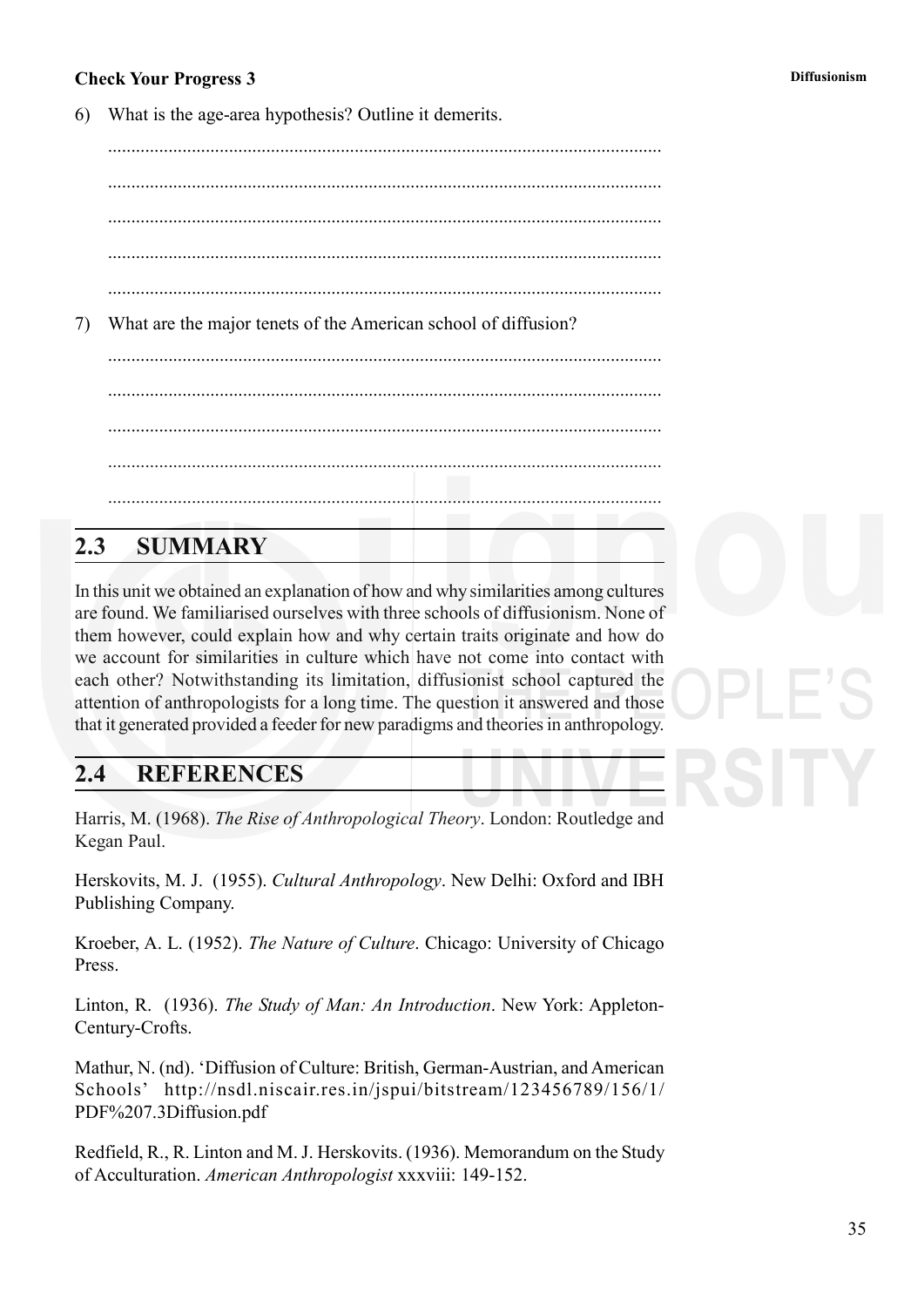## **Check Your Progress 3 Diffusionism**

6) What is the age-area hypothesis? Outline it demerits.

....................................................................................................................... ....................................................................................................................... 7) What are the major tenets of the American school of diffusion? .......................................................................................................................

.......................................................................................................................

.......................................................................................................................

**2.3 SUMMARY** In this unit we obtained an explanation of how and why similarities among cultures are found. We familiarised ourselves with three schools of diffusionism. None of them however, could explain how and why certain traits originate and how do we account for similarities in culture which have not come into contact with each other? Notwithstanding its limitation, diffusionist school captured the attention of anthropologists for a long time. The question it answered and those that it generated provided a feeder for new paradigms and theories in anthropology.

## **2.4 REFERENCES**

Harris, M. (1968). *The Rise of Anthropological Theory*. London: Routledge and Kegan Paul.

Herskovits, M. J. (1955). *Cultural Anthropology*. New Delhi: Oxford and IBH Publishing Company.

Kroeber, A. L. (1952). *The Nature of Culture*. Chicago: University of Chicago Press.

Linton, R. (1936). *The Study of Man: An Introduction*. New York: Appleton-Century-Crofts.

Mathur, N. (nd). 'Diffusion of Culture: British, German-Austrian, and American Schools' http://nsdl.niscair.res.in/jspui/bitstream/123456789/156/1/ PDF%207.3Diffusion.pdf

Redfield, R., R. Linton and M. J. Herskovits. (1936). Memorandum on the Study of Acculturation. *American Anthropologist* xxxviii: 149-152.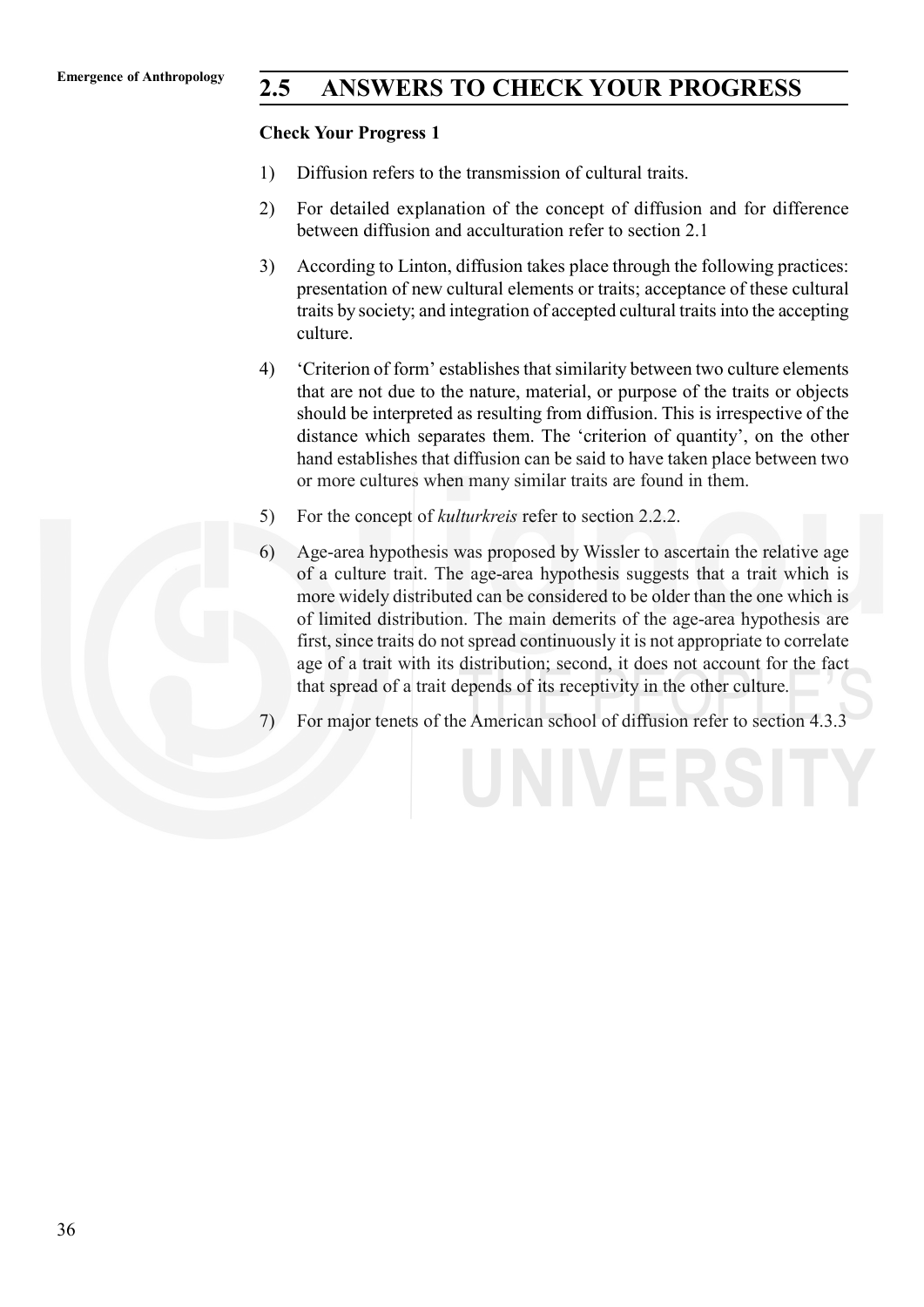## **Emergence of Anthropology 2.5 ANSWERS TO CHECK YOUR PROGRESS**

## **Check Your Progress 1**

- 1) Diffusion refers to the transmission of cultural traits.
- 2) For detailed explanation of the concept of diffusion and for difference between diffusion and acculturation refer to section 2.1
- 3) According to Linton, diffusion takes place through the following practices: presentation of new cultural elements or traits; acceptance of these cultural traits by society; and integration of accepted cultural traits into the accepting culture.
- 4) 'Criterion of form' establishes that similarity between two culture elements that are not due to the nature, material, or purpose of the traits or objects should be interpreted as resulting from diffusion. This is irrespective of the distance which separates them. The 'criterion of quantity', on the other hand establishes that diffusion can be said to have taken place between two or more cultures when many similar traits are found in them.
- 5) For the concept of *kulturkreis* refer to section 2.2.2.
- 6) Age-area hypothesis was proposed by Wissler to ascertain the relative age of a culture trait. The age-area hypothesis suggests that a trait which is more widely distributed can be considered to be older than the one which is of limited distribution. The main demerits of the age-area hypothesis are first, since traits do not spread continuously it is not appropriate to correlate age of a trait with its distribution; second, it does not account for the fact that spread of a trait depends of its receptivity in the other culture.
- 7) For major tenets of the American school of diffusion refer to section 4.3.3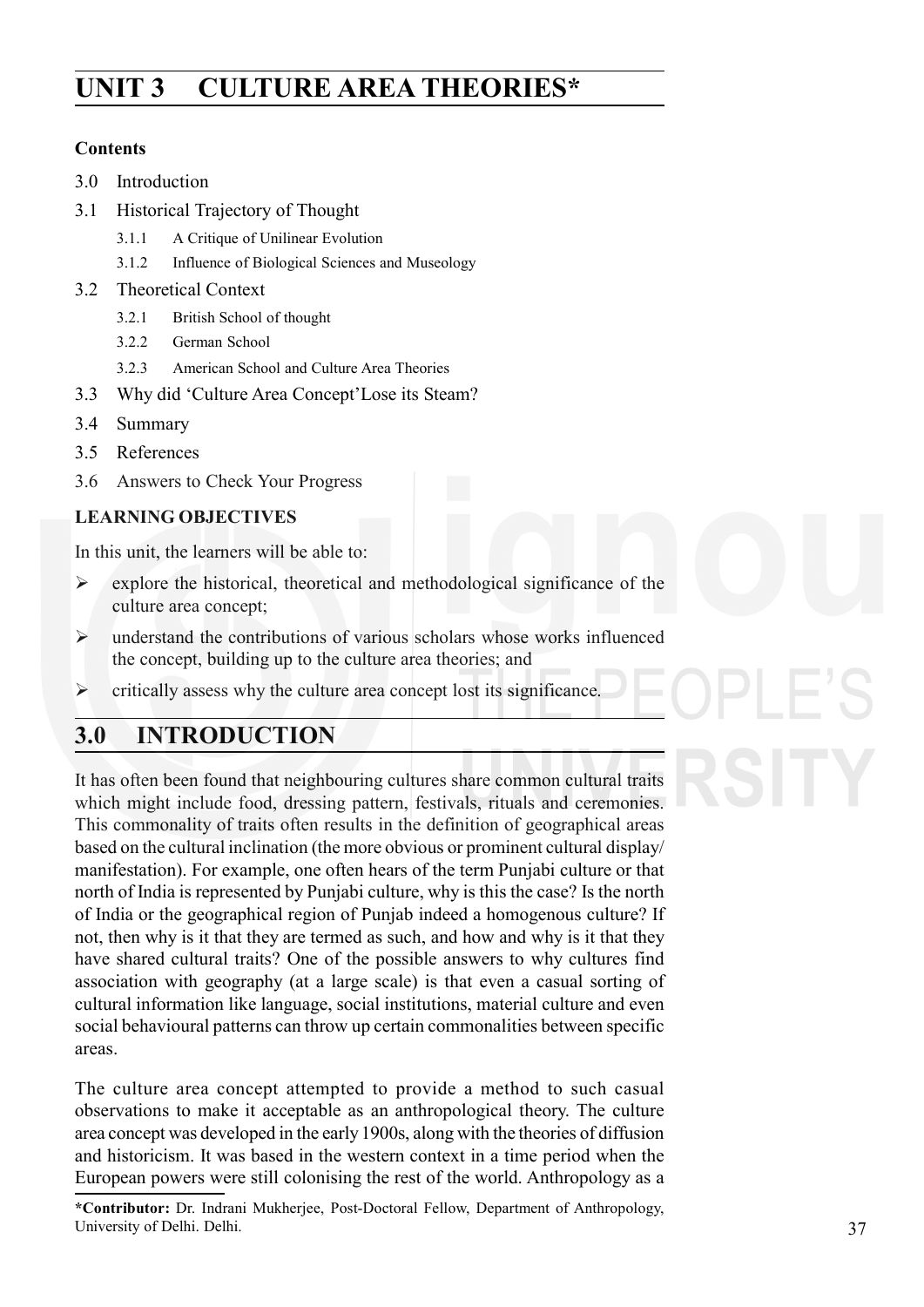## **UNIT 3 CULTURE AREA THEORIES\***

## **Contents**

- 3.0 Introduction
- 3.1 Historical Trajectory of Thought
	- 3.1.1 A Critique of Unilinear Evolution
	- 3.1.2 Influence of Biological Sciences and Museology
- 3.2 Theoretical Context
	- 3.2.1 British School of thought
	- 3.2.2 German School
	- 3.2.3 American School and Culture Area Theories
- 3.3 Why did 'Culture Area Concept'Lose its Steam?
- 3.4 Summary
- 3.5 References
- 3.6 Answers to Check Your Progress

## **LEARNING OBJECTIVES**

In this unit, the learners will be able to:

- $\triangleright$  explore the historical, theoretical and methodological significance of the culture area concept;
- $\triangleright$  understand the contributions of various scholars whose works influenced the concept, building up to the culture area theories; and
- $\triangleright$  critically assess why the culture area concept lost its significance.

## **3.0 INTRODUCTION**

It has often been found that neighbouring cultures share common cultural traits which might include food, dressing pattern, festivals, rituals and ceremonies. This commonality of traits often results in the definition of geographical areas based on the cultural inclination (the more obvious or prominent cultural display/ manifestation). For example, one often hears of the term Punjabi culture or that north of India is represented by Punjabi culture, why is this the case? Is the north of India or the geographical region of Punjab indeed a homogenous culture? If not, then why is it that they are termed as such, and how and why is it that they have shared cultural traits? One of the possible answers to why cultures find association with geography (at a large scale) is that even a casual sorting of cultural information like language, social institutions, material culture and even social behavioural patterns can throw up certain commonalities between specific areas.

The culture area concept attempted to provide a method to such casual observations to make it acceptable as an anthropological theory. The culture area concept was developed in the early 1900s, along with the theories of diffusion and historicism. It was based in the western context in a time period when the European powers were still colonising the rest of the world. Anthropology as a

**<sup>\*</sup>Contributor:** Dr. Indrani Mukherjee, Post-Doctoral Fellow, Department of Anthropology, University of Delhi. Delhi.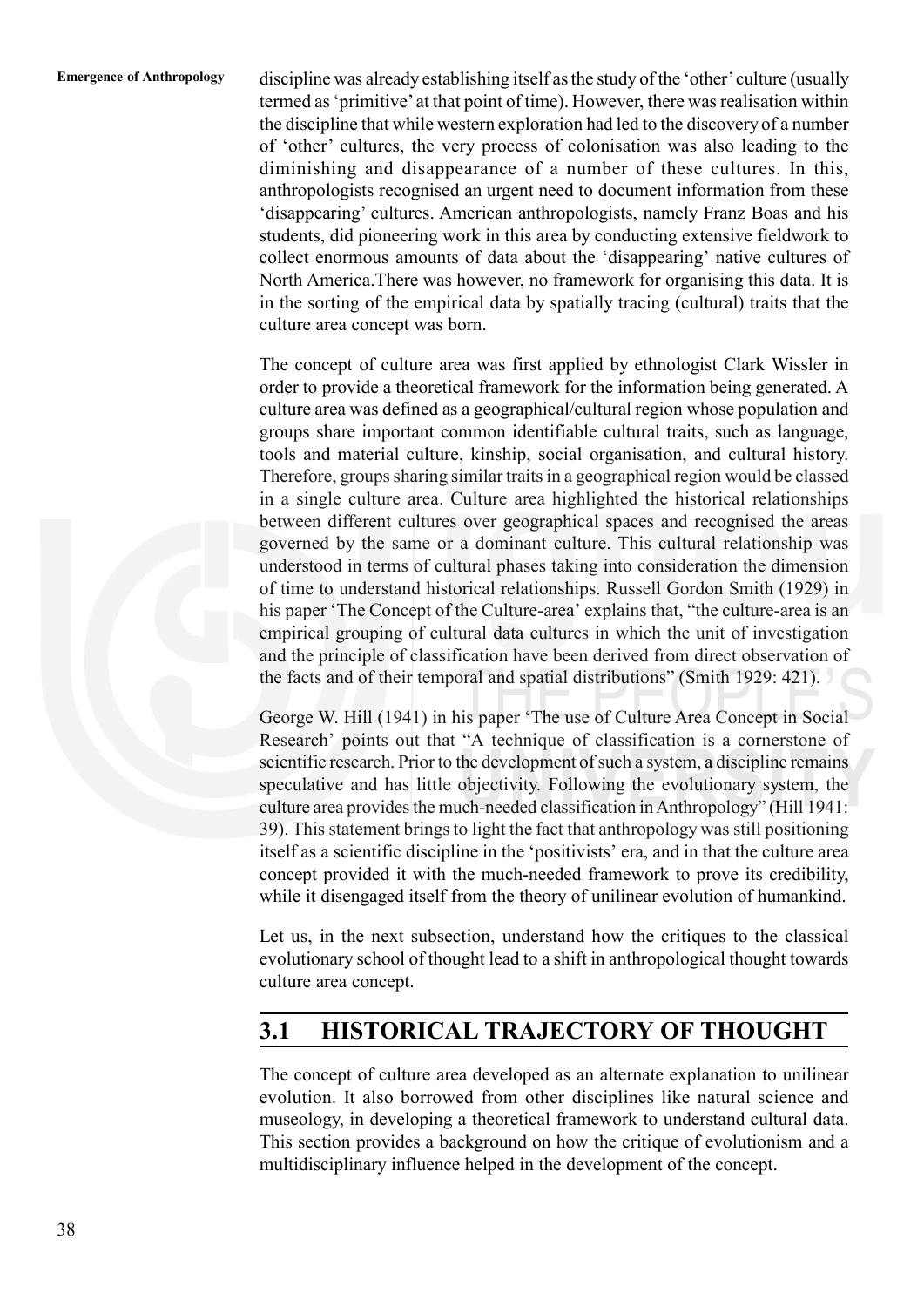**Emergence of Anthropology** discipline was already establishing itself as the study of the 'other' culture (usually termed as 'primitive' at that point of time). However, there was realisation within the discipline that while western exploration had led to the discovery of a number of 'other' cultures, the very process of colonisation was also leading to the diminishing and disappearance of a number of these cultures. In this, anthropologists recognised an urgent need to document information from these 'disappearing' cultures. American anthropologists, namely Franz Boas and his students, did pioneering work in this area by conducting extensive fieldwork to collect enormous amounts of data about the 'disappearing' native cultures of North America.There was however, no framework for organising this data. It is in the sorting of the empirical data by spatially tracing (cultural) traits that the culture area concept was born.

> The concept of culture area was first applied by ethnologist Clark Wissler in order to provide a theoretical framework for the information being generated. A culture area was defined as a geographical/cultural region whose population and groups share important common identifiable cultural traits, such as language, tools and material culture, kinship, social organisation, and cultural history. Therefore, groups sharing similar traits in a geographical region would be classed in a single culture area. Culture area highlighted the historical relationships between different cultures over geographical spaces and recognised the areas governed by the same or a dominant culture. This cultural relationship was understood in terms of cultural phases taking into consideration the dimension of time to understand historical relationships. Russell Gordon Smith (1929) in his paper 'The Concept of the Culture-area' explains that, "the culture-area is an empirical grouping of cultural data cultures in which the unit of investigation and the principle of classification have been derived from direct observation of the facts and of their temporal and spatial distributions" (Smith 1929: 421).

> George W. Hill (1941) in his paper 'The use of Culture Area Concept in Social Research' points out that "A technique of classification is a cornerstone of scientific research. Prior to the development of such a system, a discipline remains speculative and has little objectivity. Following the evolutionary system, the culture area provides the much-needed classification in Anthropology" (Hill 1941: 39). This statement brings to light the fact that anthropology was still positioning itself as a scientific discipline in the 'positivists' era, and in that the culture area concept provided it with the much-needed framework to prove its credibility, while it disengaged itself from the theory of unilinear evolution of humankind.

> Let us, in the next subsection, understand how the critiques to the classical evolutionary school of thought lead to a shift in anthropological thought towards culture area concept.

## **3.1 HISTORICAL TRAJECTORY OF THOUGHT**

The concept of culture area developed as an alternate explanation to unilinear evolution. It also borrowed from other disciplines like natural science and museology, in developing a theoretical framework to understand cultural data. This section provides a background on how the critique of evolutionism and a multidisciplinary influence helped in the development of the concept.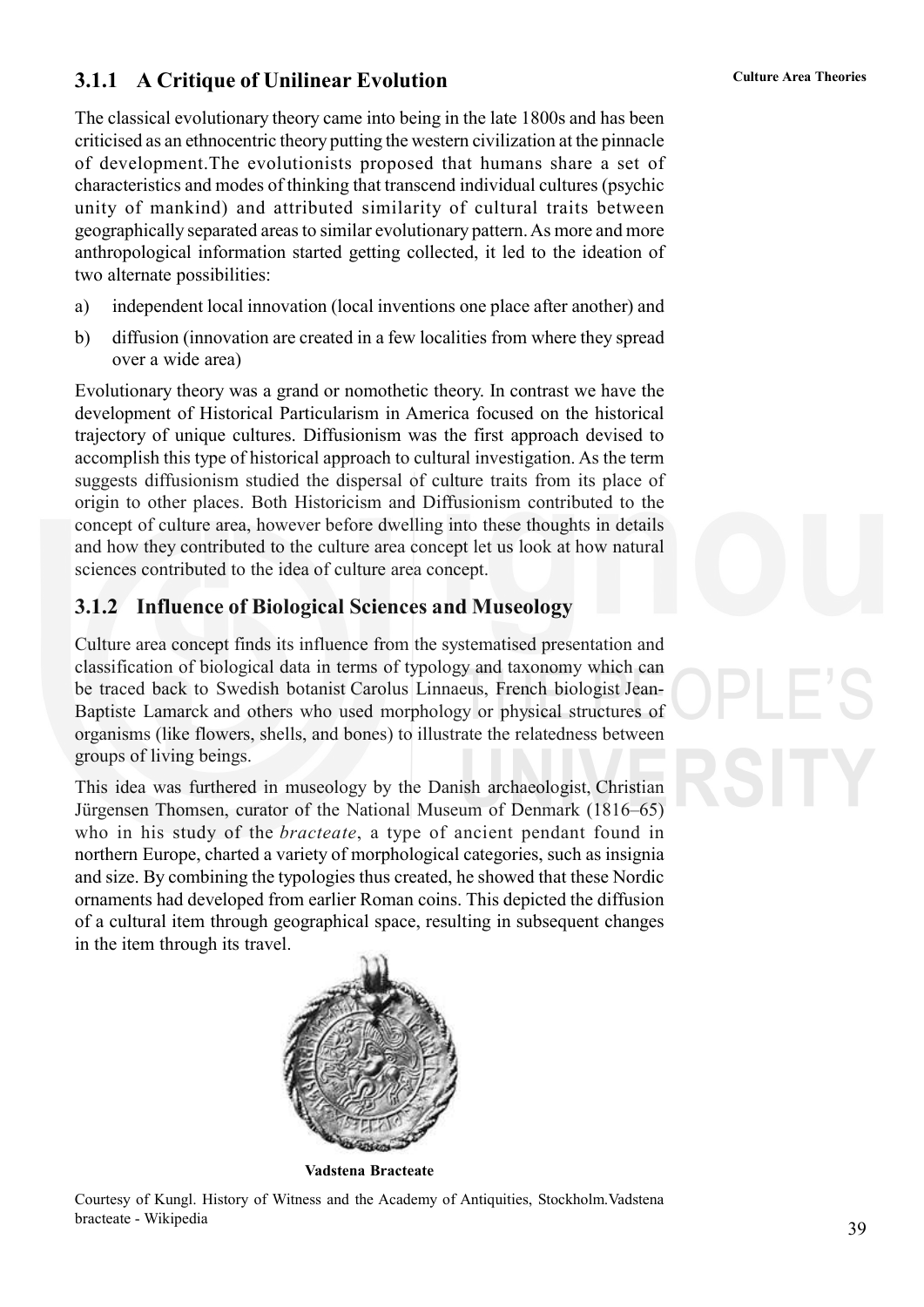## **Culture Area Theories 3.1.1 A Critique of Unilinear Evolution**

The classical evolutionary theory came into being in the late 1800s and has been criticised as an ethnocentric theory putting the western civilization at the pinnacle of development.The evolutionists proposed that humans share a set of characteristics and modes of thinking that transcend individual cultures (psychic unity of mankind) and attributed similarity of cultural traits between geographically separated areas to similar evolutionary pattern. As more and more anthropological information started getting collected, it led to the ideation of two alternate possibilities:

- a) independent local innovation (local inventions one place after another) and
- b) diffusion (innovation are created in a few localities from where they spread over a wide area)

Evolutionary theory was a grand or nomothetic theory. In contrast we have the development of Historical Particularism in America focused on the historical trajectory of unique cultures. Diffusionism was the first approach devised to accomplish this type of historical approach to cultural investigation. As the term suggests diffusionism studied the dispersal of culture traits from its place of origin to other places. Both Historicism and Diffusionism contributed to the concept of culture area, however before dwelling into these thoughts in details and how they contributed to the culture area concept let us look at how natural sciences contributed to the idea of culture area concept.

## **3.1.2 Influence of Biological Sciences and Museology**

Culture area concept finds its influence from the systematised presentation and classification of biological data in terms of typology and taxonomy which can be traced back to Swedish botanist Carolus Linnaeus, French biologist Jean-Baptiste Lamarck and others who used morphology or physical structures of organisms (like flowers, shells, and bones) to illustrate the relatedness between groups of living beings.

This idea was furthered in museology by the Danish archaeologist, Christian Jürgensen Thomsen, curator of the National Museum of Denmark (1816–65) who in his study of the *bracteate*, a type of ancient pendant found in northern Europe, charted a variety of morphological categories, such as insignia and size. By combining the typologies thus created, he showed that these Nordic ornaments had developed from earlier Roman coins. This depicted the diffusion of a cultural item through geographical space, resulting in subsequent changes in the item through its travel.



**Vadstena Bracteate**

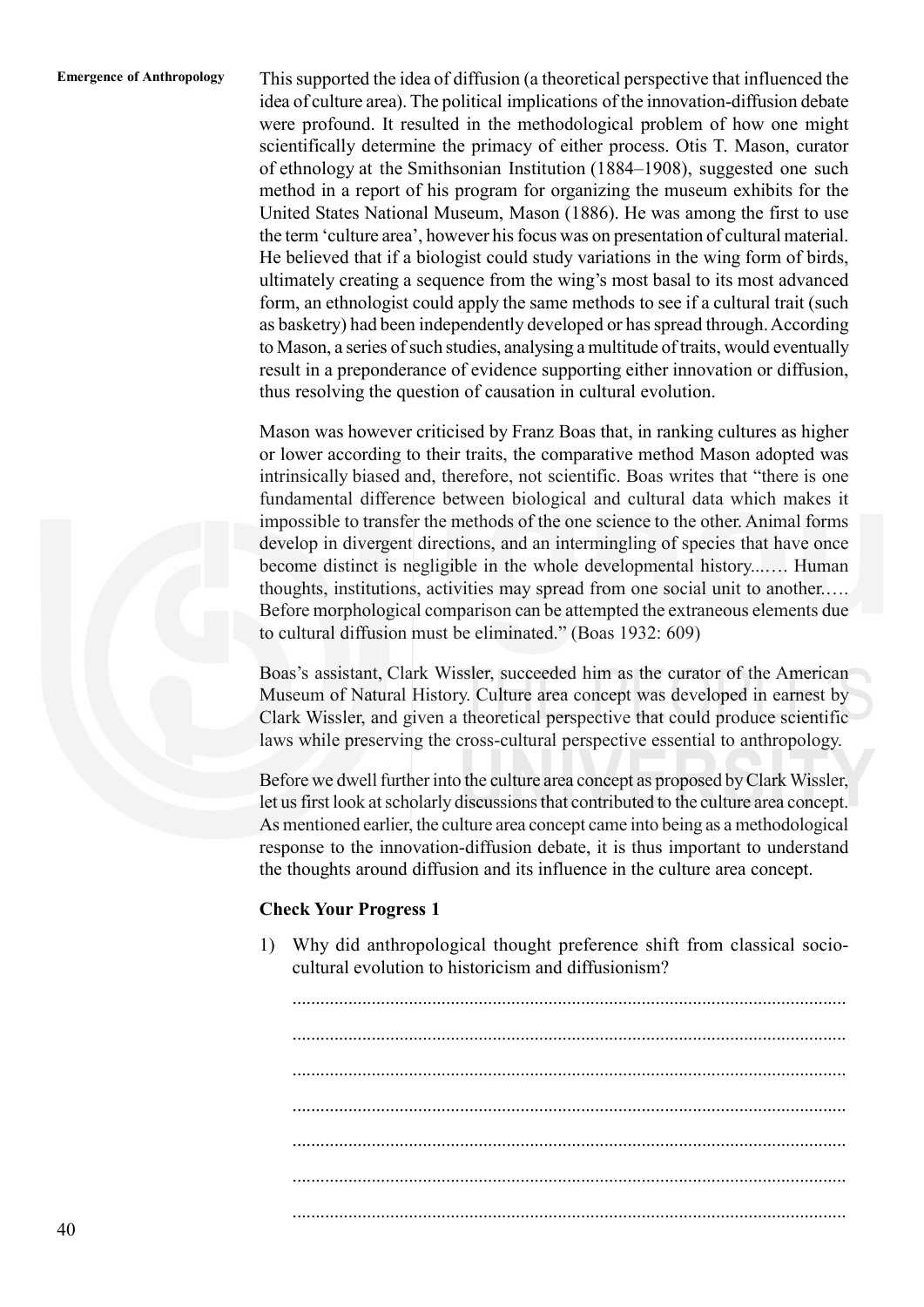**Emergence of Anthropology** This supported the idea of diffusion (a theoretical perspective that influenced the idea of culture area). The political implications of the innovation-diffusion debate were profound. It resulted in the methodological problem of how one might scientifically determine the primacy of either process. Otis T. Mason, curator of ethnology at the Smithsonian Institution (1884–1908), suggested one such method in a report of his program for organizing the museum exhibits for the United States National Museum, Mason (1886). He was among the first to use the term 'culture area', however his focus was on presentation of cultural material. He believed that if a biologist could study variations in the wing form of birds, ultimately creating a sequence from the wing's most basal to its most advanced form, an ethnologist could apply the same methods to see if a cultural trait (such as basketry) had been independently developed or has spread through. According to Mason, a series of such studies, analysing a multitude of traits, would eventually result in a preponderance of evidence supporting either innovation or diffusion, thus resolving the question of causation in cultural evolution.

> Mason was however criticised by Franz Boas that, in ranking cultures as higher or lower according to their traits, the comparative method Mason adopted was intrinsically biased and, therefore, not scientific. Boas writes that "there is one fundamental difference between biological and cultural data which makes it impossible to transfer the methods of the one science to the other. Animal forms develop in divergent directions, and an intermingling of species that have once become distinct is negligible in the whole developmental history...…. Human thoughts, institutions, activities may spread from one social unit to another.…. Before morphological comparison can be attempted the extraneous elements due to cultural diffusion must be eliminated." (Boas 1932: 609)

> Boas's assistant, Clark Wissler, succeeded him as the curator of the American Museum of Natural History. Culture area concept was developed in earnest by Clark Wissler, and given a theoretical perspective that could produce scientific laws while preserving the cross-cultural perspective essential to anthropology.

> Before we dwell further into the culture area concept as proposed by Clark Wissler, let us first look at scholarly discussions that contributed to the culture area concept. As mentioned earlier, the culture area concept came into being as a methodological response to the innovation-diffusion debate, it is thus important to understand the thoughts around diffusion and its influence in the culture area concept.

## **Check Your Progress 1**

1) Why did anthropological thought preference shift from classical sociocultural evolution to historicism and diffusionism?

....................................................................................................................... ....................................................................................................................... ....................................................................................................................... ....................................................................................................................... ....................................................................................................................... ....................................................................................................................... .......................................................................................................................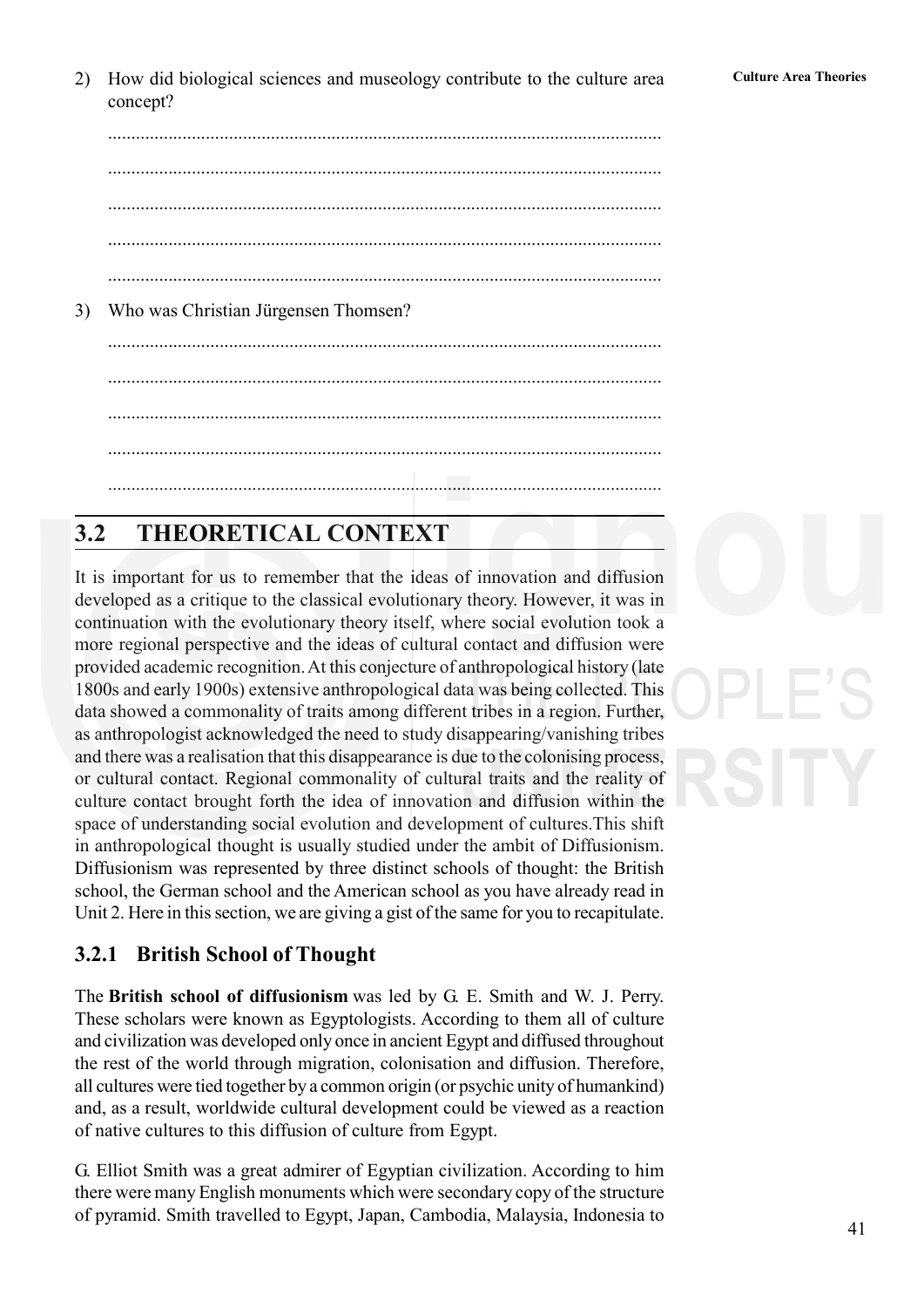2) How did biological sciences and museology contribute to the culture area **Culture Area Theories** concept?

....................................................................................................................... ....................................................................................................................... ....................................................................................................................... ....................................................................................................................... ....................................................................................................................... 3) Who was Christian Jürgensen Thomsen? ....................................................................................................................... ....................................................................................................................... ....................................................................................................................... .......................................................................................................................

.......................................................................................................................

## **3.2 THEORETICAL CONTEXT**

It is important for us to remember that the ideas of innovation and diffusion developed as a critique to the classical evolutionary theory. However, it was in continuation with the evolutionary theory itself, where social evolution took a more regional perspective and the ideas of cultural contact and diffusion were provided academic recognition. At this conjecture of anthropological history (late 1800s and early 1900s) extensive anthropological data was being collected. This data showed a commonality of traits among different tribes in a region. Further, as anthropologist acknowledged the need to study disappearing/vanishing tribes and there was a realisation that this disappearance is due to the colonising process, or cultural contact. Regional commonality of cultural traits and the reality of culture contact brought forth the idea of innovation and diffusion within the space of understanding social evolution and development of cultures.This shift in anthropological thought is usually studied under the ambit of Diffusionism. Diffusionism was represented by three distinct schools of thought: the British school, the German school and the American school as you have already read in Unit 2. Here in this section, we are giving a gist of the same for you to recapitulate.

## **3.2.1 British School of Thought**

The **British school of diffusionism** was led by G. E. Smith and W. J. Perry. These scholars were known as Egyptologists. According to them all of culture and civilization was developed only once in ancient Egypt and diffused throughout the rest of the world through migration, colonisation and diffusion. Therefore, all cultures were tied together by a common origin (or psychic unity of humankind) and, as a result, worldwide cultural development could be viewed as a reaction of native cultures to this diffusion of culture from Egypt.

G. Elliot Smith was a great admirer of Egyptian civilization. According to him there were many English monuments which were secondary copy of the structure of pyramid. Smith travelled to Egypt, Japan, Cambodia, Malaysia, Indonesia to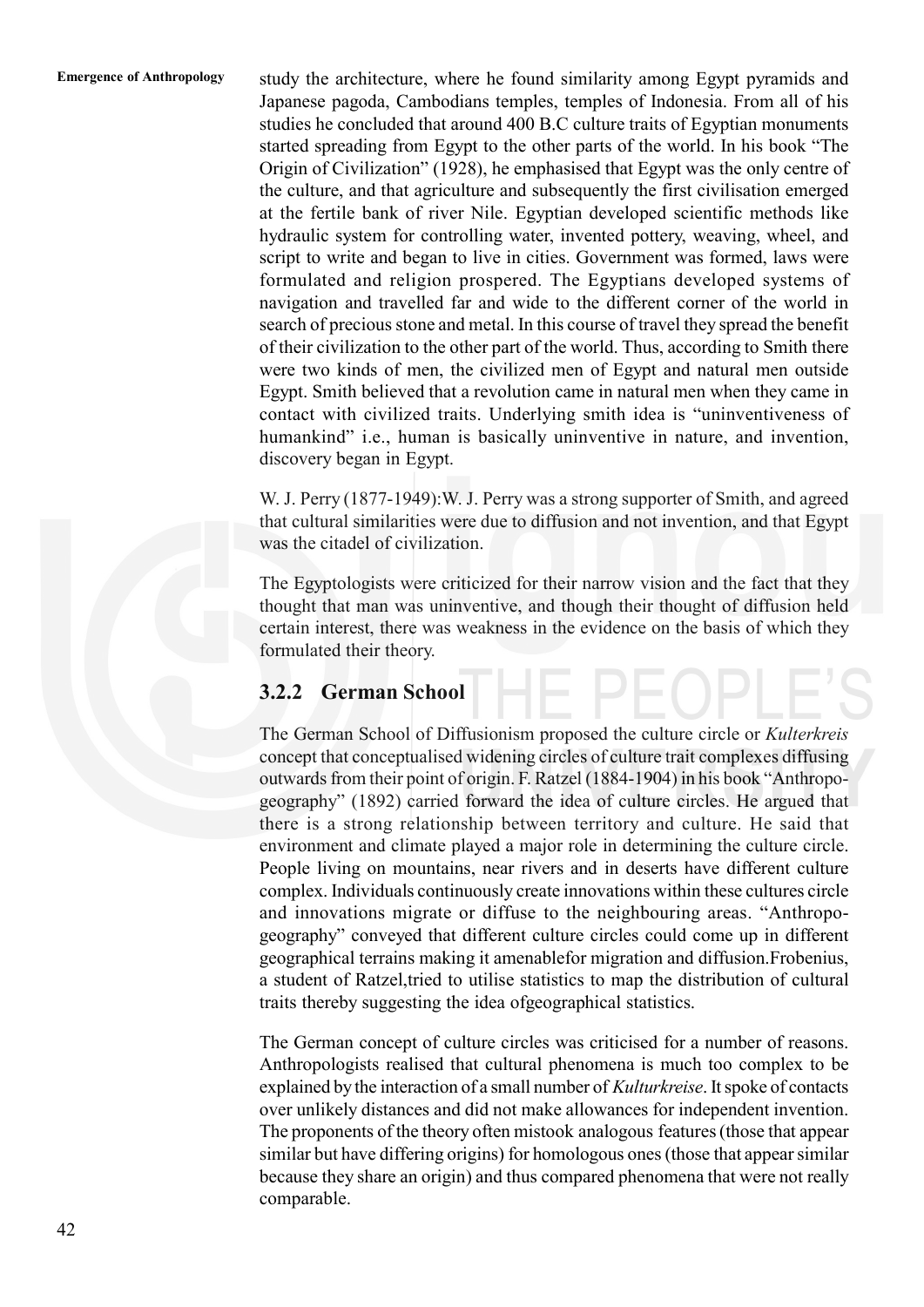**Emergence of Anthropology** study the architecture, where he found similarity among Egypt pyramids and Japanese pagoda, Cambodians temples, temples of Indonesia. From all of his studies he concluded that around 400 B.C culture traits of Egyptian monuments started spreading from Egypt to the other parts of the world. In his book "The Origin of Civilization" (1928), he emphasised that Egypt was the only centre of the culture, and that agriculture and subsequently the first civilisation emerged at the fertile bank of river Nile. Egyptian developed scientific methods like hydraulic system for controlling water, invented pottery, weaving, wheel, and script to write and began to live in cities. Government was formed, laws were formulated and religion prospered. The Egyptians developed systems of navigation and travelled far and wide to the different corner of the world in search of precious stone and metal. In this course of travel they spread the benefit of their civilization to the other part of the world. Thus, according to Smith there were two kinds of men, the civilized men of Egypt and natural men outside Egypt. Smith believed that a revolution came in natural men when they came in contact with civilized traits. Underlying smith idea is "uninventiveness of humankind" i.e., human is basically uninventive in nature, and invention, discovery began in Egypt.

> W. J. Perry (1877-1949):W. J. Perry was a strong supporter of Smith, and agreed that cultural similarities were due to diffusion and not invention, and that Egypt was the citadel of civilization.

> The Egyptologists were criticized for their narrow vision and the fact that they thought that man was uninventive, and though their thought of diffusion held certain interest, there was weakness in the evidence on the basis of which they formulated their theory.

## **3.2.2 German School**

The German School of Diffusionism proposed the culture circle or *Kulterkreis* concept that conceptualised widening circles of culture trait complexes diffusing outwards from their point of origin. F. Ratzel (1884-1904) in his book "Anthropogeography" (1892) carried forward the idea of culture circles. He argued that there is a strong relationship between territory and culture. He said that environment and climate played a major role in determining the culture circle. People living on mountains, near rivers and in deserts have different culture complex. Individuals continuously create innovations within these cultures circle and innovations migrate or diffuse to the neighbouring areas. "Anthropogeography" conveyed that different culture circles could come up in different geographical terrains making it amenablefor migration and diffusion.Frobenius, a student of Ratzel,tried to utilise statistics to map the distribution of cultural traits thereby suggesting the idea ofgeographical statistics.

The German concept of culture circles was criticised for a number of reasons. Anthropologists realised that cultural phenomena is much too complex to be explained by the interaction of a small number of *Kulturkreise*. It spoke of contacts over unlikely distances and did not make allowances for independent invention. The proponents of the theory often mistook analogous features (those that appear similar but have differing origins) for homologous ones (those that appear similar because they share an origin) and thus compared phenomena that were not really comparable.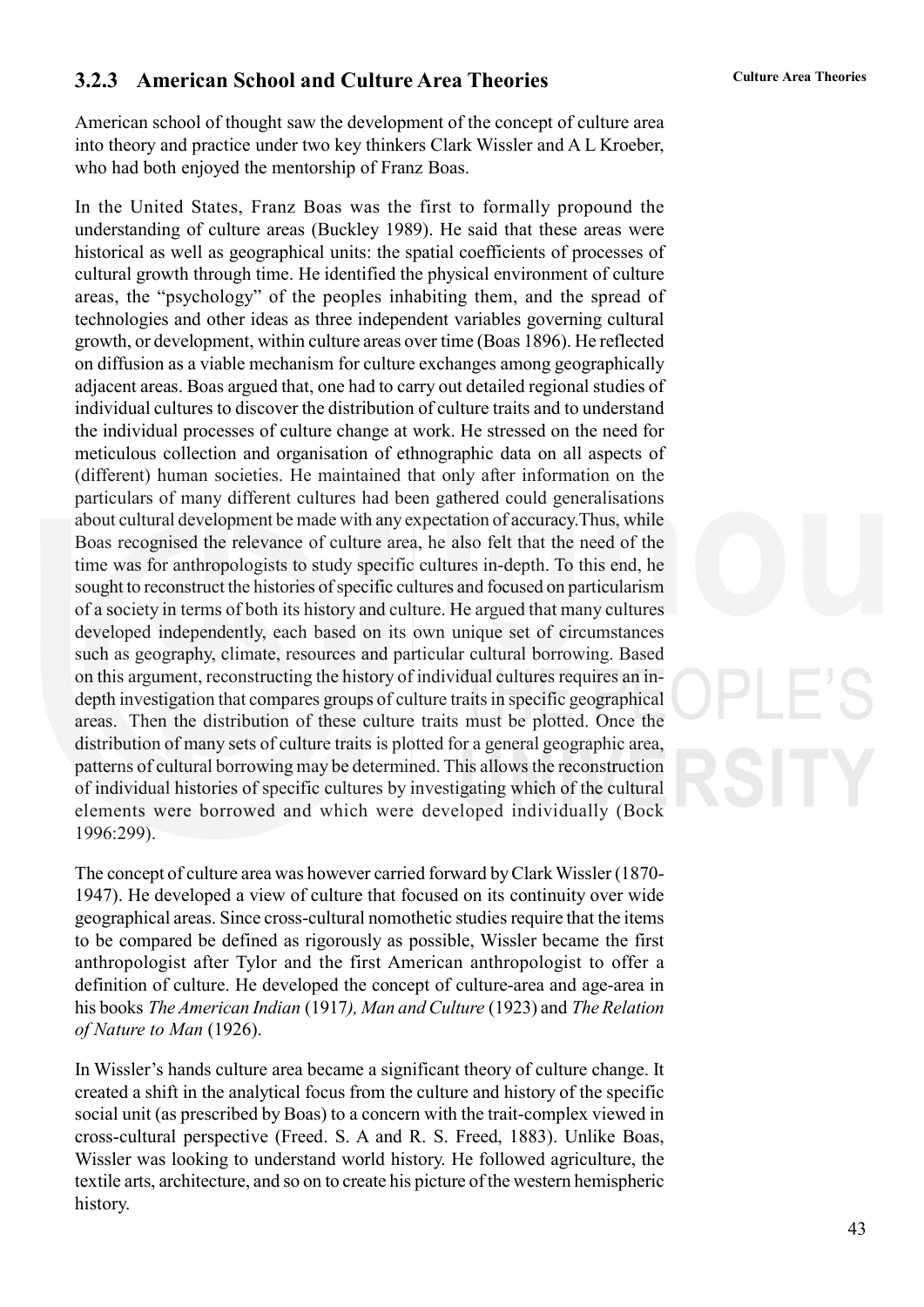## **Culture Area Theories 3.2.3 American School and Culture Area Theories**

American school of thought saw the development of the concept of culture area into theory and practice under two key thinkers Clark Wissler and A L Kroeber, who had both enjoyed the mentorship of Franz Boas.

In the United States, Franz Boas was the first to formally propound the understanding of culture areas (Buckley 1989). He said that these areas were historical as well as geographical units: the spatial coefficients of processes of cultural growth through time. He identified the physical environment of culture areas, the "psychology" of the peoples inhabiting them, and the spread of technologies and other ideas as three independent variables governing cultural growth, or development, within culture areas over time (Boas 1896). He reflected on diffusion as a viable mechanism for culture exchanges among geographically adjacent areas. Boas argued that, one had to carry out detailed regional studies of individual cultures to discover the distribution of culture traits and to understand the individual processes of culture change at work. He stressed on the need for meticulous collection and organisation of ethnographic data on all aspects of (different) human societies. He maintained that only after information on the particulars of many different cultures had been gathered could generalisations about cultural development be made with any expectation of accuracy.Thus, while Boas recognised the relevance of culture area, he also felt that the need of the time was for anthropologists to study specific cultures in-depth. To this end, he sought to reconstruct the histories of specific cultures and focused on particularism of a society in terms of both its history and culture. He argued that many cultures developed independently, each based on its own unique set of circumstances such as geography, climate, resources and particular cultural borrowing. Based on this argument, reconstructing the history of individual cultures requires an indepth investigation that compares groups of culture traits in specific geographical areas. Then the distribution of these culture traits must be plotted. Once the distribution of many sets of culture traits is plotted for a general geographic area, patterns of cultural borrowing may be determined. This allows the reconstruction of individual histories of specific cultures by investigating which of the cultural elements were borrowed and which were developed individually (Bock 1996:299).

The concept of culture area was however carried forward by Clark Wissler (1870- 1947). He developed a view of culture that focused on its continuity over wide geographical areas. Since cross-cultural nomothetic studies require that the items to be compared be defined as rigorously as possible, Wissler became the first anthropologist after Tylor and the first American anthropologist to offer a definition of culture. He developed the concept of culture-area and age-area in his books *The American Indian* (1917*), Man and Culture* (1923) and *The Relation of Nature to Man* (1926).

In Wissler's hands culture area became a significant theory of culture change. It created a shift in the analytical focus from the culture and history of the specific social unit (as prescribed by Boas) to a concern with the trait-complex viewed in cross-cultural perspective (Freed. S. A and R. S. Freed, 1883). Unlike Boas, Wissler was looking to understand world history. He followed agriculture, the textile arts, architecture, and so on to create his picture of the western hemispheric history.

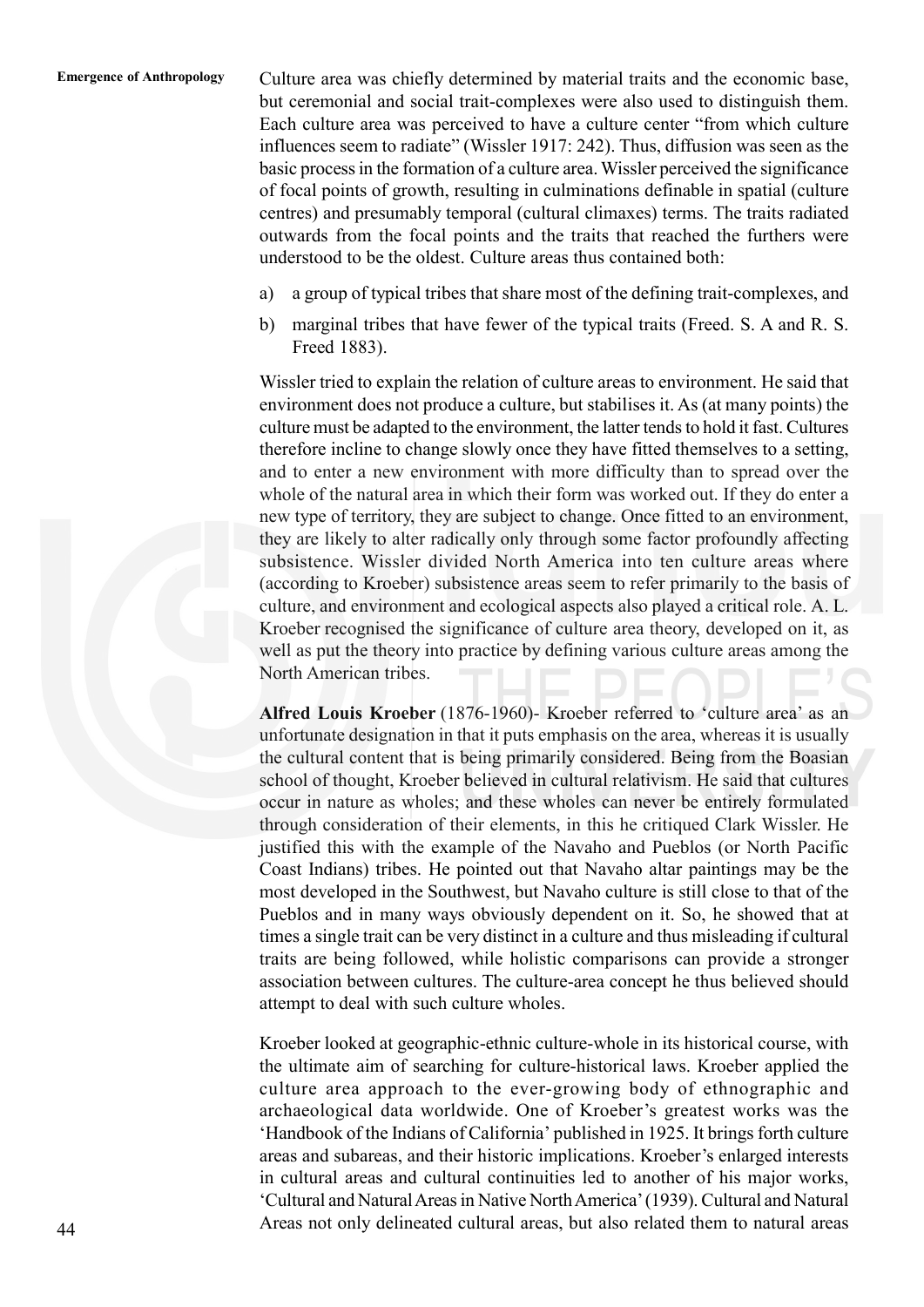**Emergence of Anthropology** Culture area was chiefly determined by material traits and the economic base, but ceremonial and social trait-complexes were also used to distinguish them. Each culture area was perceived to have a culture center "from which culture influences seem to radiate" (Wissler 1917: 242). Thus, diffusion was seen as the basic process in the formation of a culture area. Wissler perceived the significance of focal points of growth, resulting in culminations definable in spatial (culture centres) and presumably temporal (cultural climaxes) terms. The traits radiated outwards from the focal points and the traits that reached the furthers were understood to be the oldest. Culture areas thus contained both:

- a) a group of typical tribes that share most of the defining trait-complexes, and
- b) marginal tribes that have fewer of the typical traits (Freed. S. A and R. S. Freed 1883).

Wissler tried to explain the relation of culture areas to environment. He said that environment does not produce a culture, but stabilises it. As (at many points) the culture must be adapted to the environment, the latter tends to hold it fast. Cultures therefore incline to change slowly once they have fitted themselves to a setting, and to enter a new environment with more difficulty than to spread over the whole of the natural area in which their form was worked out. If they do enter a new type of territory, they are subject to change. Once fitted to an environment, they are likely to alter radically only through some factor profoundly affecting subsistence. Wissler divided North America into ten culture areas where (according to Kroeber) subsistence areas seem to refer primarily to the basis of culture, and environment and ecological aspects also played a critical role. A. L. Kroeber recognised the significance of culture area theory, developed on it, as well as put the theory into practice by defining various culture areas among the North American tribes.

**Alfred Louis Kroeber** (1876-1960)- Kroeber referred to 'culture area' as an unfortunate designation in that it puts emphasis on the area, whereas it is usually the cultural content that is being primarily considered. Being from the Boasian school of thought, Kroeber believed in cultural relativism. He said that cultures occur in nature as wholes; and these wholes can never be entirely formulated through consideration of their elements, in this he critiqued Clark Wissler. He justified this with the example of the Navaho and Pueblos (or North Pacific Coast Indians) tribes. He pointed out that Navaho altar paintings may be the most developed in the Southwest, but Navaho culture is still close to that of the Pueblos and in many ways obviously dependent on it. So, he showed that at times a single trait can be very distinct in a culture and thus misleading if cultural traits are being followed, while holistic comparisons can provide a stronger association between cultures. The culture-area concept he thus believed should attempt to deal with such culture wholes.

Kroeber looked at geographic-ethnic culture-whole in its historical course, with the ultimate aim of searching for culture-historical laws. Kroeber applied the culture area approach to the ever-growing body of ethnographic and archaeological data worldwide. One of Kroeber's greatest works was the 'Handbook of the Indians of California' published in 1925. It brings forth culture areas and subareas, and their historic implications. Kroeber's enlarged interests in cultural areas and cultural continuities led to another of his major works, 'Cultural and Natural Areas in Native North America' (1939). Cultural and Natural Areas not only delineated cultural areas, but also related them to natural areas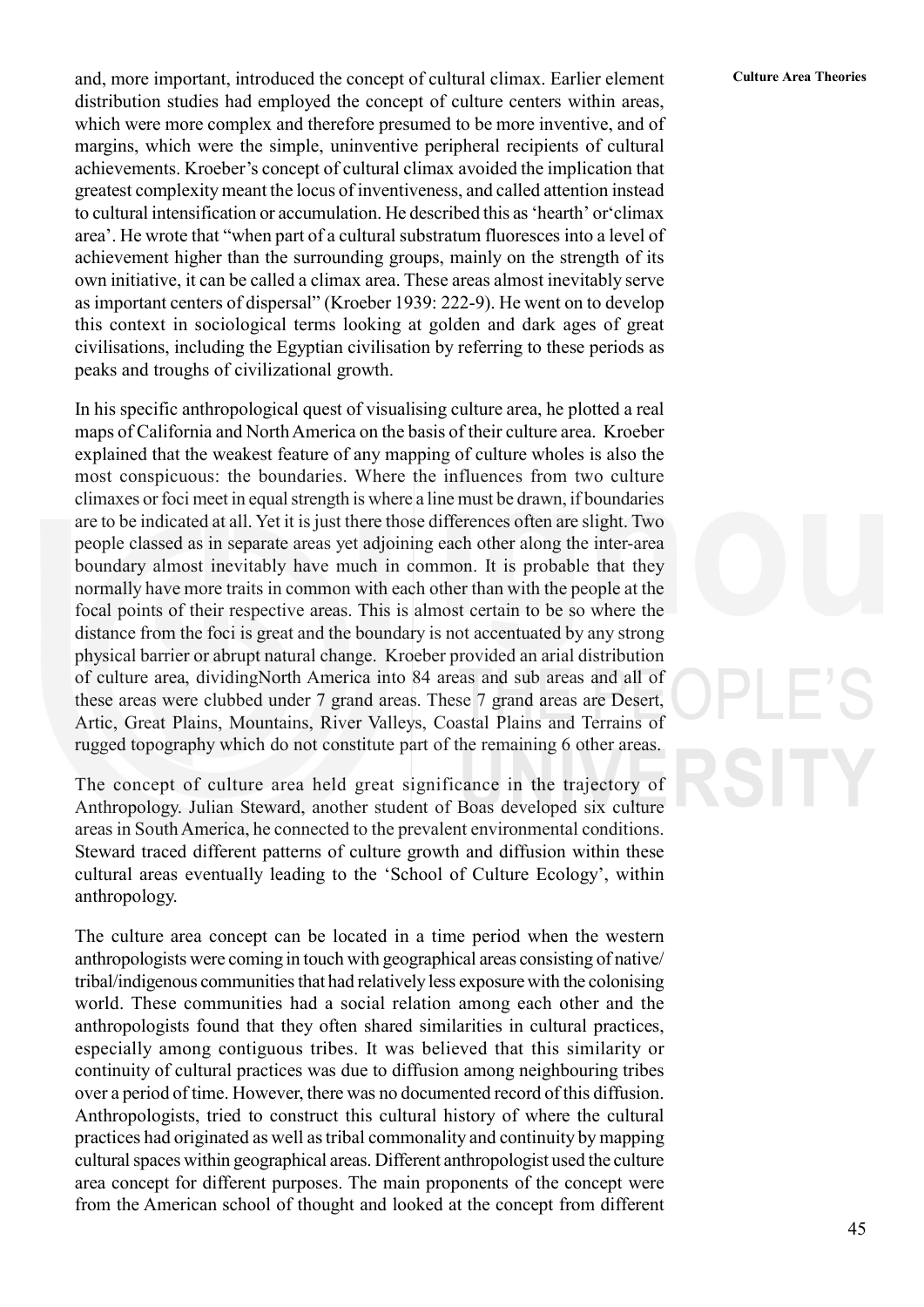and, more important, introduced the concept of cultural climax. Earlier element **Culture Area Theories** distribution studies had employed the concept of culture centers within areas, which were more complex and therefore presumed to be more inventive, and of margins, which were the simple, uninventive peripheral recipients of cultural achievements. Kroeber's concept of cultural climax avoided the implication that greatest complexity meant the locus of inventiveness, and called attention instead to cultural intensification or accumulation. He described this as 'hearth' or'climax area'. He wrote that "when part of a cultural substratum fluoresces into a level of achievement higher than the surrounding groups, mainly on the strength of its own initiative, it can be called a climax area. These areas almost inevitably serve as important centers of dispersal" (Kroeber 1939: 222-9). He went on to develop this context in sociological terms looking at golden and dark ages of great civilisations, including the Egyptian civilisation by referring to these periods as peaks and troughs of civilizational growth.

In his specific anthropological quest of visualising culture area, he plotted a real maps of California and North America on the basis of their culture area. Kroeber explained that the weakest feature of any mapping of culture wholes is also the most conspicuous: the boundaries. Where the influences from two culture climaxes or foci meet in equal strength is where a line must be drawn, if boundaries are to be indicated at all. Yet it is just there those differences often are slight. Two people classed as in separate areas yet adjoining each other along the inter-area boundary almost inevitably have much in common. It is probable that they normally have more traits in common with each other than with the people at the focal points of their respective areas. This is almost certain to be so where the distance from the foci is great and the boundary is not accentuated by any strong physical barrier or abrupt natural change. Kroeber provided an arial distribution of culture area, dividingNorth America into 84 areas and sub areas and all of these areas were clubbed under 7 grand areas. These 7 grand areas are Desert, Artic, Great Plains, Mountains, River Valleys, Coastal Plains and Terrains of rugged topography which do not constitute part of the remaining 6 other areas.

The concept of culture area held great significance in the trajectory of Anthropology. Julian Steward, another student of Boas developed six culture areas in South America, he connected to the prevalent environmental conditions. Steward traced different patterns of culture growth and diffusion within these cultural areas eventually leading to the 'School of Culture Ecology', within anthropology.

The culture area concept can be located in a time period when the western anthropologists were coming in touch with geographical areas consisting of native/ tribal/indigenous communities that had relatively less exposure with the colonising world. These communities had a social relation among each other and the anthropologists found that they often shared similarities in cultural practices, especially among contiguous tribes. It was believed that this similarity or continuity of cultural practices was due to diffusion among neighbouring tribes over a period of time. However, there was no documented record of this diffusion. Anthropologists, tried to construct this cultural history of where the cultural practices had originated as well as tribal commonality and continuity by mapping cultural spaces within geographical areas. Different anthropologist used the culture area concept for different purposes. The main proponents of the concept were from the American school of thought and looked at the concept from different

45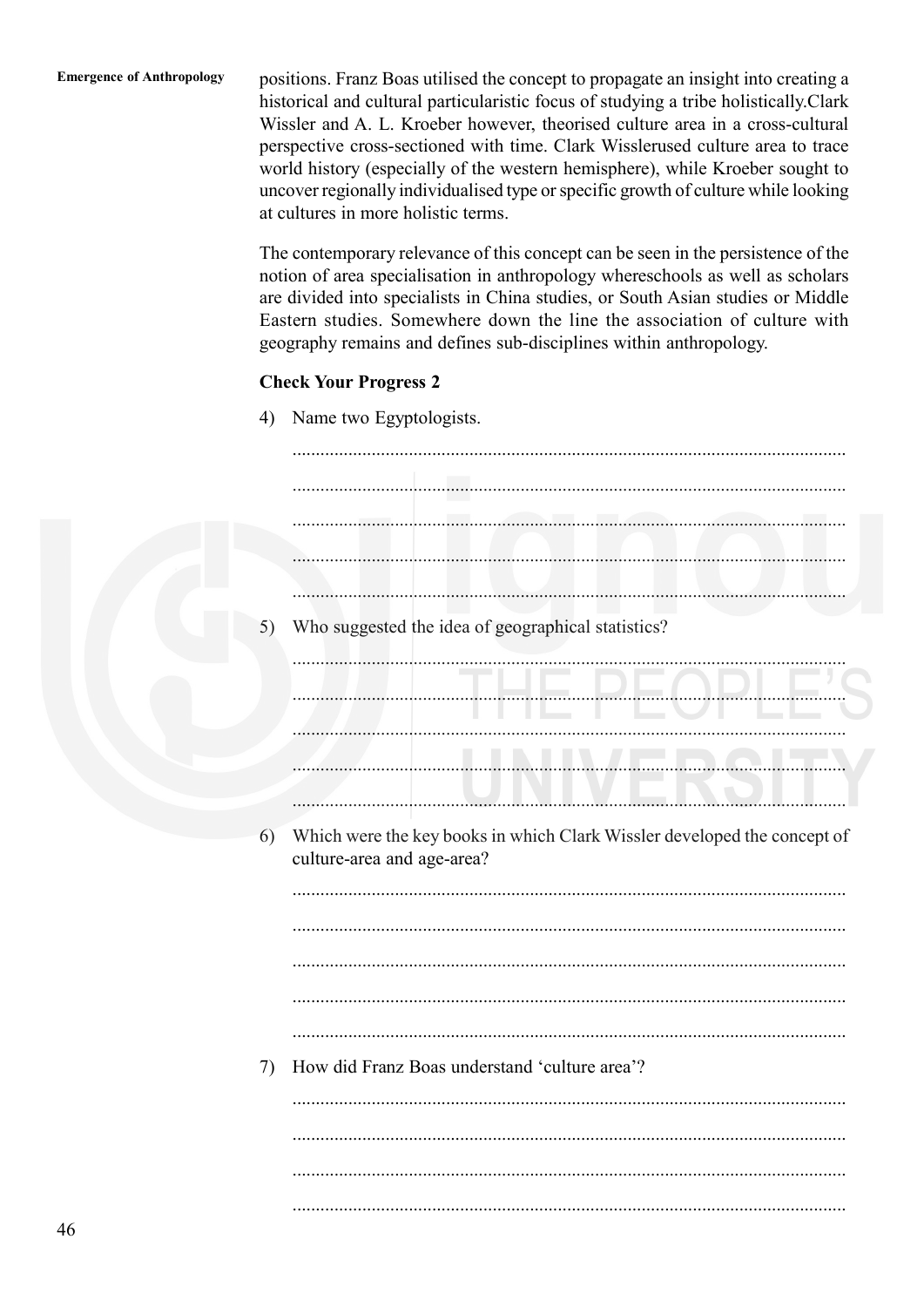**Emergence of Anthropology** positions. Franz Boas utilised the concept to propagate an insight into creating a historical and cultural particularistic focus of studying a tribe holistically.Clark Wissler and A. L. Kroeber however, theorised culture area in a cross-cultural perspective cross-sectioned with time. Clark Wisslerused culture area to trace world history (especially of the western hemisphere), while Kroeber sought to uncover regionally individualised type or specific growth of culture while looking at cultures in more holistic terms.

> The contemporary relevance of this concept can be seen in the persistence of the notion of area specialisation in anthropology whereschools as well as scholars are divided into specialists in China studies, or South Asian studies or Middle Eastern studies. Somewhere down the line the association of culture with geography remains and defines sub-disciplines within anthropology.

.......................................................................................................................

## **Check Your Progress 2**

4) Name two Egyptologists.

| $\left(5\right)$ | Who suggested the idea of geographical statistics?                       |
|------------------|--------------------------------------------------------------------------|
|                  |                                                                          |
|                  |                                                                          |
|                  |                                                                          |
|                  |                                                                          |
|                  |                                                                          |
|                  |                                                                          |
| 6)               | Which were the key books in which Clark Wissler developed the concept of |
|                  | culture-area and age-area?                                               |
|                  |                                                                          |
|                  |                                                                          |
|                  |                                                                          |
|                  |                                                                          |
|                  |                                                                          |
|                  |                                                                          |
| 7)               | How did Franz Boas understand 'culture area'?                            |
|                  |                                                                          |
|                  |                                                                          |
|                  |                                                                          |
|                  |                                                                          |
|                  |                                                                          |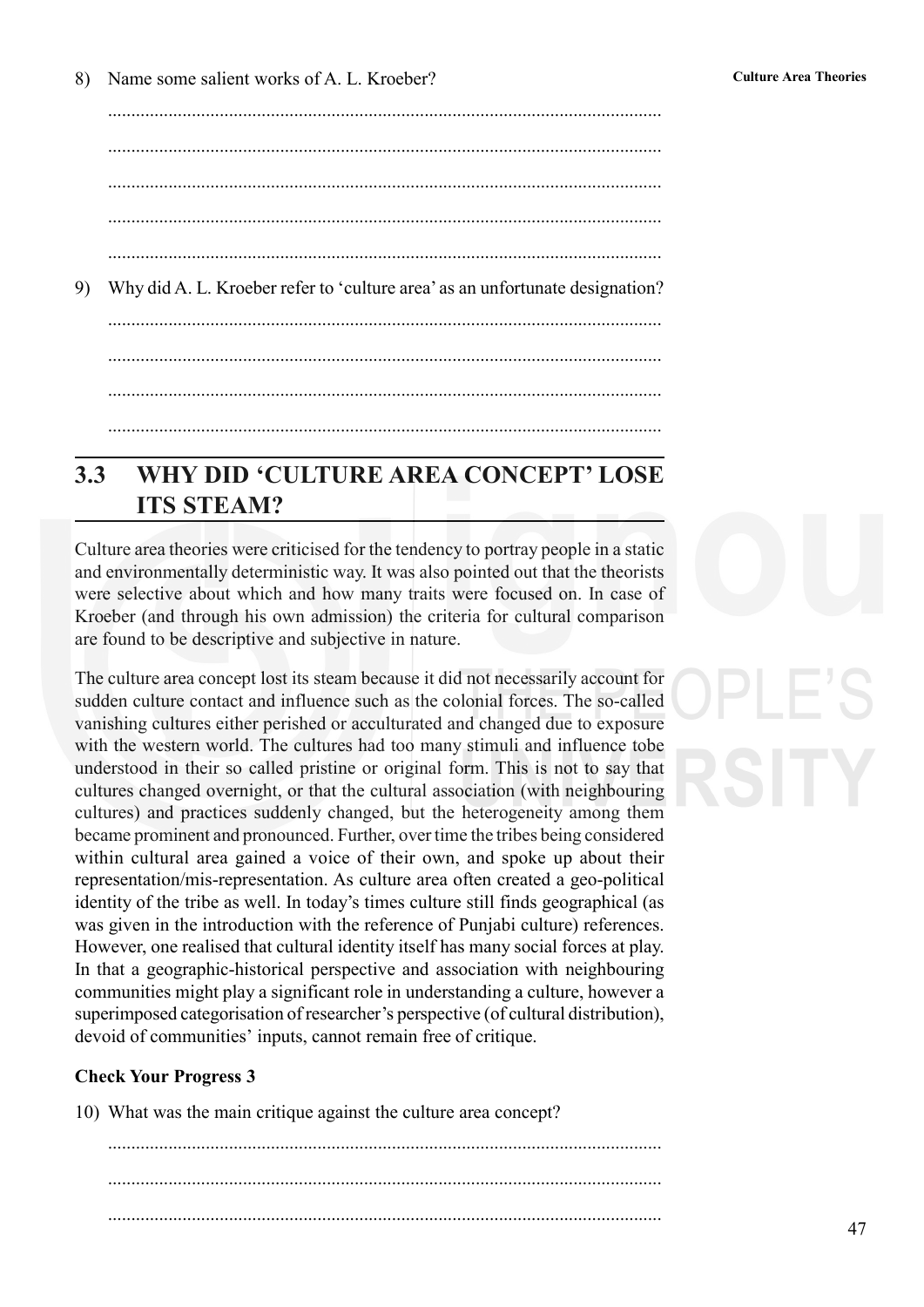8) Name some salient works of A. L. Kroeber? **Culture Area Theories**

....................................................................................................................... ....................................................................................................................... ....................................................................................................................... ....................................................................................................................... 9) Why did A. L. Kroeber refer to 'culture area' as an unfortunate designation? ....................................................................................................................... .......................................................................................................................

## **3.3 WHY DID 'CULTURE AREA CONCEPT' LOSE ITS STEAM?**

.......................................................................................................................

Culture area theories were criticised for the tendency to portray people in a static and environmentally deterministic way. It was also pointed out that the theorists were selective about which and how many traits were focused on. In case of Kroeber (and through his own admission) the criteria for cultural comparison are found to be descriptive and subjective in nature.

The culture area concept lost its steam because it did not necessarily account for sudden culture contact and influence such as the colonial forces. The so-called vanishing cultures either perished or acculturated and changed due to exposure with the western world. The cultures had too many stimuli and influence tobe understood in their so called pristine or original form. This is not to say that cultures changed overnight, or that the cultural association (with neighbouring cultures) and practices suddenly changed, but the heterogeneity among them became prominent and pronounced. Further, over time the tribes being considered within cultural area gained a voice of their own, and spoke up about their representation/mis-representation. As culture area often created a geo-political identity of the tribe as well. In today's times culture still finds geographical (as was given in the introduction with the reference of Punjabi culture) references. However, one realised that cultural identity itself has many social forces at play. In that a geographic-historical perspective and association with neighbouring communities might play a significant role in understanding a culture, however a superimposed categorisation of researcher's perspective (of cultural distribution), devoid of communities' inputs, cannot remain free of critique.

## **Check Your Progress 3**

10) What was the main critique against the culture area concept?

....................................................................................................................... ....................................................................................................................... .......................................................................................................................

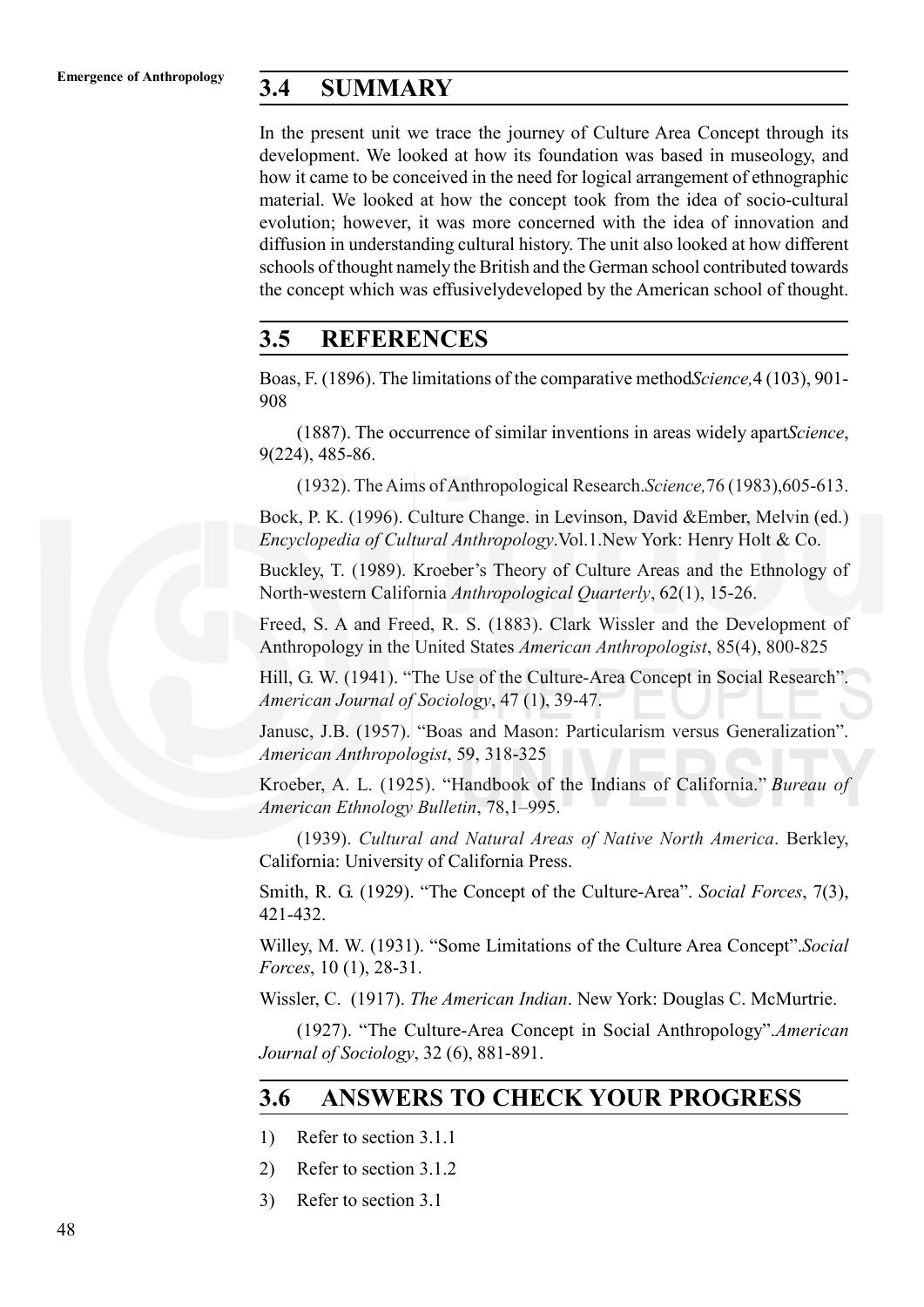## **Emergence of Anthropology 3.4 SUMMARY**

In the present unit we trace the journey of Culture Area Concept through its development. We looked at how its foundation was based in museology, and how it came to be conceived in the need for logical arrangement of ethnographic material. We looked at how the concept took from the idea of socio-cultural evolution; however, it was more concerned with the idea of innovation and diffusion in understanding cultural history. The unit also looked at how different schools of thought namely the British and the German school contributed towards the concept which was effusivelydeveloped by the American school of thought.

## **3.5 REFERENCES**

Boas, F. (1896). The limitations of the comparative method*Science,*4 (103), 901- 908

(1887). The occurrence of similar inventions in areas widely apart*Science*, 9(224), 485-86.

(1932). The Aims of Anthropological Research.*Science,*76 (1983),605-613.

Bock, P. K. (1996). Culture Change. in Levinson, David &Ember, Melvin (ed.) *Encyclopedia of Cultural Anthropology*.Vol.1.New York: Henry Holt & Co.

Buckley, T. (1989). Kroeber's Theory of Culture Areas and the Ethnology of North-western California *Anthropological Quarterly*, 62(1), 15-26.

Freed, S. A and Freed, R. S. (1883). Clark Wissler and the Development of Anthropology in the United States *American Anthropologist*, 85(4), 800-825

Hill, G. W. (1941). "The Use of the Culture-Area Concept in Social Research". *American Journal of Sociology*, 47 (1), 39-47.

Janusc, J.B. (1957). "Boas and Mason: Particularism versus Generalization". *American Anthropologist*, 59, 318-325

Kroeber, A. L. (1925). "Handbook of the Indians of California." *Bureau of American Ethnology Bulletin*, 78,1–995.

(1939). *Cultural and Natural Areas of Native North America*. Berkley, California: University of California Press.

Smith, R. G. (1929). "The Concept of the Culture-Area". *Social Forces*, 7(3), 421-432.

Willey, M. W. (1931). "Some Limitations of the Culture Area Concept".*Social Forces*, 10 (1), 28-31.

Wissler, C. (1917). *The American Indian*. New York: Douglas C. McMurtrie.

(1927). "The Culture-Area Concept in Social Anthropology".*American Journal of Sociology*, 32 (6), 881-891.

## **3.6 ANSWERS TO CHECK YOUR PROGRESS**

- 1) Refer to section 3.1.1
- 2) Refer to section 3.1.2
- 3) Refer to section 3.1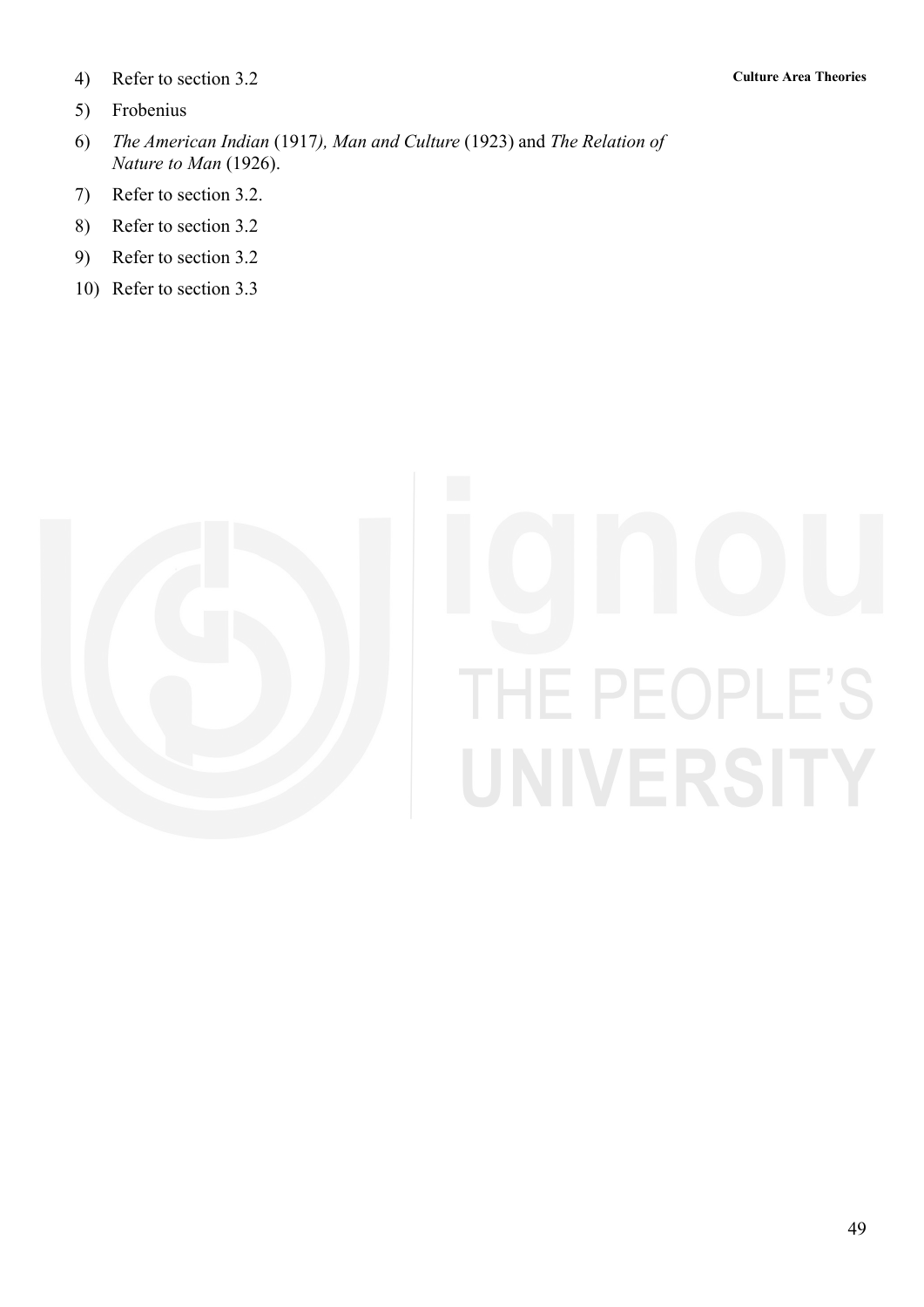4) Refer to section 3.2 **Culture Area Theories**

- 5) Frobenius
- 6) *The American Indian* (1917*), Man and Culture* (1923) and *The Relation of Nature to Man* (1926).
- 7) Refer to section 3.2.
- 8) Refer to section 3.2
- 9) Refer to section 3.2
- 10) Refer to section 3.3



# THE PEOPLE'S UNIVERSITY